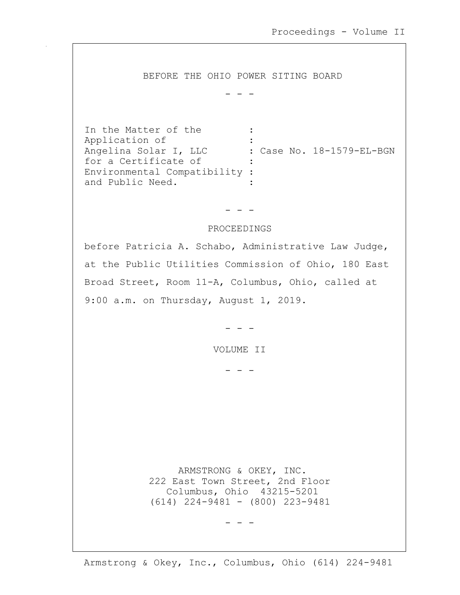BEFORE THE OHIO POWER SITING BOARD

- - -

In the Matter of the : Application of : Angelina Solar I, LLC : Case No. 18-1579-EL-BGN<br>for a Certificate of : for a Certificate of Environmental Compatibility : and Public Need.

- - -

## PROCEEDINGS

before Patricia A. Schabo, Administrative Law Judge, at the Public Utilities Commission of Ohio, 180 East Broad Street, Room 11-A, Columbus, Ohio, called at 9:00 a.m. on Thursday, August 1, 2019.

- - -

VOLUME II

- - -

 ARMSTRONG & OKEY, INC. 222 East Town Street, 2nd Floor Columbus, Ohio 43215-5201 (614) 224-9481 - (800) 223-9481

- - -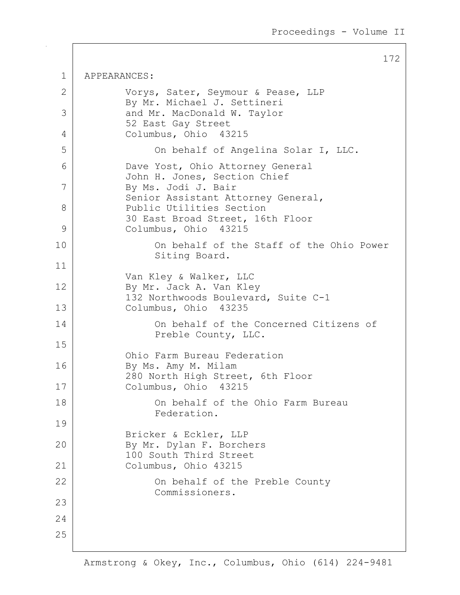172 1 APPEARANCES: 2 Vorys, Sater, Seymour & Pease, LLP By Mr. Michael J. Settineri 3 and Mr. MacDonald W. Taylor 52 East Gay Street 4 Columbus, Ohio 43215 5 On behalf of Angelina Solar I, LLC. 6 Dave Yost, Ohio Attorney General John H. Jones, Section Chief 7 By Ms. Jodi J. Bair Senior Assistant Attorney General, 8 Public Utilities Section 30 East Broad Street, 16th Floor 9 Columbus, Ohio 43215 10 On behalf of the Staff of the Ohio Power Siting Board. 11 Van Kley & Walker, LLC 12 By Mr. Jack A. Van Kley 132 Northwoods Boulevard, Suite C-1 13 Columbus, Ohio 43235 14 On behalf of the Concerned Citizens of Preble County, LLC. 15 Ohio Farm Bureau Federation 16 By Ms. Amy M. Milam 280 North High Street, 6th Floor 17 Columbus, Ohio 43215 18 On behalf of the Ohio Farm Bureau Federation. 19 Bricker & Eckler, LLP 20 By Mr. Dylan F. Borchers 100 South Third Street 21 Columbus, Ohio 43215 22 | Con behalf of the Preble County Commissioners. 23 24 25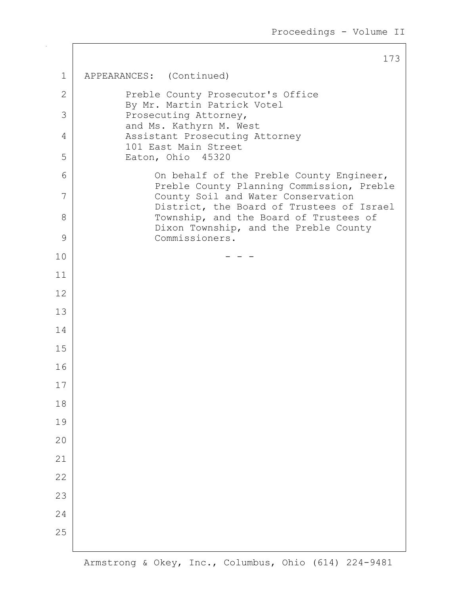1 APPEARANCES: (Continued) 2 Preble County Prosecutor's Office By Mr. Martin Patrick Votel 3 Prosecuting Attorney, and Ms. Kathyrn M. West 4 | Assistant Prosecuting Attorney 101 East Main Street 5 Eaton, Ohio 45320 6 | Con behalf of the Preble County Engineer, Preble County Planning Commission, Preble 7 County Soil and Water Conservation District, the Board of Trustees of Israel 8 Township, and the Board of Trustees of Dixon Township, and the Preble County 9 Commissioners.  $10$  - - -11 12 13 14 15 16 17 18 19 20 21 22 23 24 25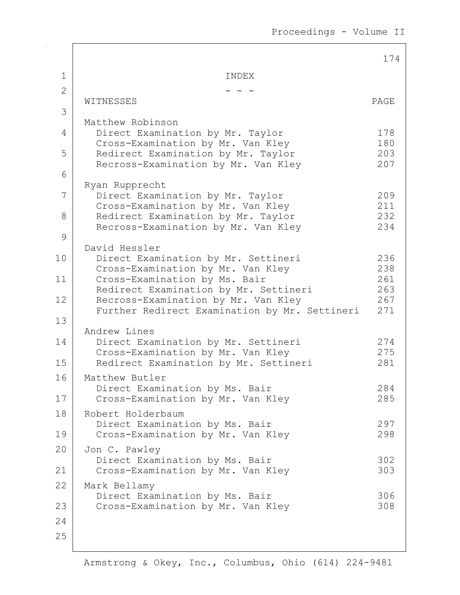Proceedings - Volume II

|                |                                                                           | 174        |
|----------------|---------------------------------------------------------------------------|------------|
| $\mathbf 1$    | INDEX                                                                     |            |
| $\overline{2}$ |                                                                           |            |
| 3              | WITNESSES                                                                 | PAGE       |
|                | Matthew Robinson                                                          |            |
| 4              | Direct Examination by Mr. Taylor<br>Cross-Examination by Mr. Van Kley     | 178<br>180 |
| 5              | Redirect Examination by Mr. Taylor                                        | 203<br>207 |
| 6              | Recross-Examination by Mr. Van Kley                                       |            |
| 7              | Ryan Rupprecht<br>Direct Examination by Mr. Taylor                        | 209        |
|                | Cross-Examination by Mr. Van Kley                                         | 211        |
| 8              | Redirect Examination by Mr. Taylor<br>Recross-Examination by Mr. Van Kley | 232<br>234 |
| 9              |                                                                           |            |
| 10             | David Hessler<br>Direct Examination by Mr. Settineri                      | 236        |
|                | Cross-Examination by Mr. Van Kley                                         | 238        |
| 11             | Cross-Examination by Ms. Bair<br>Redirect Examination by Mr. Settineri    | 261<br>263 |
| 12             | Recross-Examination by Mr. Van Kley                                       | 267        |
| 13             | Further Redirect Examination by Mr. Settineri                             | 271        |
|                | Andrew Lines                                                              |            |
| 14             | Direct Examination by Mr. Settineri<br>Cross-Examination by Mr. Van Kley  | 274<br>275 |
| 15             | Redirect Examination by Mr. Settineri                                     | 281        |
| 16             | Matthew Butler                                                            | 284        |
| 17             | Direct Examination by Ms. Bair<br>Cross-Examination by Mr. Van Kley       | 285        |
| 18             | Robert Holderbaum                                                         |            |
| 19             | Direct Examination by Ms. Bair<br>Cross-Examination by Mr. Van Kley       | 297<br>298 |
| 20             | Jon C. Pawley                                                             |            |
|                | Direct Examination by Ms. Bair                                            | 302        |
| 21<br>22       | Cross-Examination by Mr. Van Kley<br>Mark Bellamy                         | 303        |
|                | Direct Examination by Ms. Bair                                            | 306        |
| 23             | Cross-Examination by Mr. Van Kley                                         | 308        |
| 24             |                                                                           |            |
| 25             |                                                                           |            |
|                |                                                                           |            |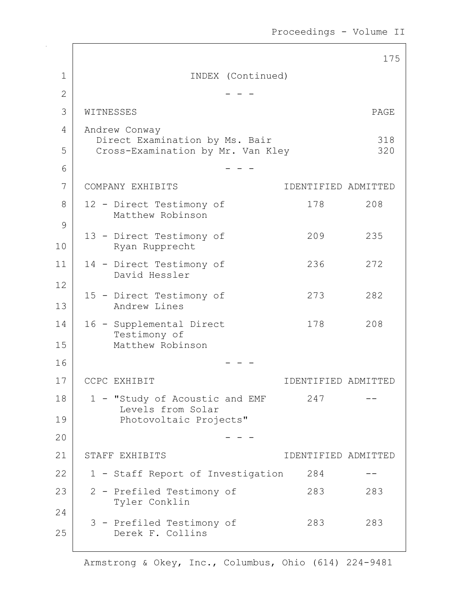Proceedings - Volume II

|                |                                                            | 175                 |
|----------------|------------------------------------------------------------|---------------------|
| 1              | INDEX (Continued)                                          |                     |
| $\overline{2}$ |                                                            |                     |
| 3              | WITNESSES                                                  | PAGE                |
| 4              | Andrew Conway<br>Direct Examination by Ms. Bair            | 318                 |
| 5              | Cross-Examination by Mr. Van Kley                          | 320                 |
| 6              |                                                            |                     |
| 7              | COMPANY EXHIBITS                                           | IDENTIFIED ADMITTED |
| 8              | 12 - Direct Testimony of<br>178<br>Matthew Robinson        | 208                 |
| 9              |                                                            |                     |
| 10             | 209<br>13 - Direct Testimony of<br>Ryan Rupprecht          | 235                 |
| 11             | 14 - Direct Testimony of<br>236                            | 272                 |
| 12             | David Hessler                                              |                     |
| 13             | 15 - Direct Testimony of<br>273<br>Andrew Lines            | 282                 |
| 14             | 178<br>16 - Supplemental Direct                            | 208                 |
| 15             | Testimony of<br>Matthew Robinson                           |                     |
| 16             |                                                            |                     |
| 17             | CCPC EXHIBIT                                               | IDENTIFIED ADMITTED |
| 18             | 247<br>1 - "Study of Acoustic and EMF<br>Levels from Solar |                     |
| 19             | Photovoltaic Projects"                                     |                     |
| 20             |                                                            |                     |
| 21             | STAFF EXHIBITS                                             | IDENTIFIED ADMITTED |
| 22             | 1 - Staff Report of Investigation<br>284                   |                     |
| 23             | 2 - Prefiled Testimony of<br>283                           | 283                 |
| 24             | Tyler Conklin                                              |                     |
| 25             | 3 - Prefiled Testimony of<br>283<br>Derek F. Collins       | 283                 |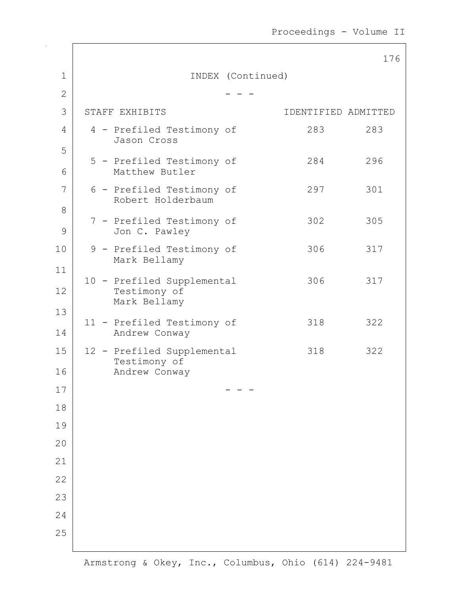|                    |                                                |                   |                     | 176 |
|--------------------|------------------------------------------------|-------------------|---------------------|-----|
| $\mathbf 1$        |                                                | INDEX (Continued) |                     |     |
| $\overline{2}$     |                                                |                   |                     |     |
| 3                  | STAFF EXHIBITS                                 |                   | IDENTIFIED ADMITTED |     |
| 4                  | 4 - Prefiled Testimony of<br>Jason Cross       |                   | 283                 | 283 |
| 5<br>6             | 5 - Prefiled Testimony of<br>Matthew Butler    |                   | 284                 | 296 |
| 7                  | 6 - Prefiled Testimony of<br>Robert Holderbaum |                   | 297                 | 301 |
| 8<br>$\mathcal{G}$ | 7 - Prefiled Testimony of<br>Jon C. Pawley     |                   | 302                 | 305 |
| 10                 | 9 - Prefiled Testimony of<br>Mark Bellamy      |                   | 306                 | 317 |
| 11                 | 10 - Prefiled Supplemental                     |                   | 306                 | 317 |
| 12                 | Testimony of<br>Mark Bellamy                   |                   |                     |     |
| 13<br>14           | 11 - Prefiled Testimony of<br>Andrew Conway    |                   | 318                 | 322 |
| 15                 | 12 - Prefiled Supplemental<br>Testimony of     |                   | 318                 | 322 |
| 16                 | Andrew Conway                                  |                   |                     |     |
| $17$               |                                                |                   |                     |     |
| 18<br>19           |                                                |                   |                     |     |
| 20                 |                                                |                   |                     |     |
|                    |                                                |                   |                     |     |
| 21                 |                                                |                   |                     |     |
| 22<br>23           |                                                |                   |                     |     |
| 24                 |                                                |                   |                     |     |
| 25                 |                                                |                   |                     |     |
|                    |                                                |                   |                     |     |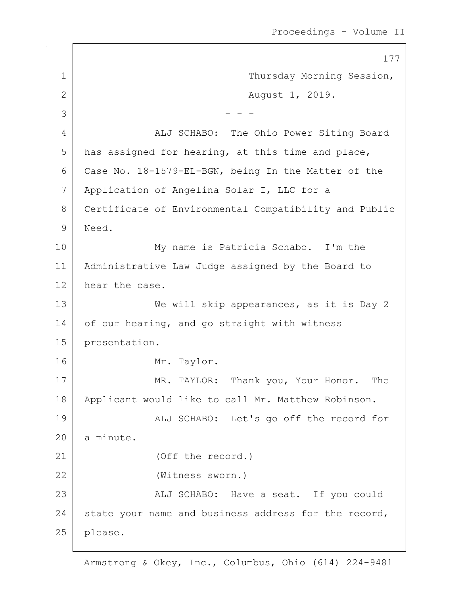177 1 | Thursday Morning Session, 2 | Rugust 1, 2019.  $3 \mid - - -$ 4 ALJ SCHABO: The Ohio Power Siting Board  $5$  has assigned for hearing, at this time and place, 6 Case No. 18-1579-EL-BGN, being In the Matter of the 7 Application of Angelina Solar I, LLC for a 8 Certificate of Environmental Compatibility and Public 9 Need. 10 My name is Patricia Schabo. I'm the 11 Administrative Law Judge assigned by the Board to 12 hear the case. 13 We will skip appearances, as it is Day 2 14 of our hearing, and go straight with witness 15 presentation. 16 Mr. Taylor. 17 MR. TAYLOR: Thank you, Your Honor. The 18 | Applicant would like to call Mr. Matthew Robinson. 19 | ALJ SCHABO: Let's go off the record for 20 a minute. 21 (Off the record.) 22 (Witness sworn.) 23 | ALJ SCHABO: Have a seat. If you could 24 state your name and business address for the record, 25 please.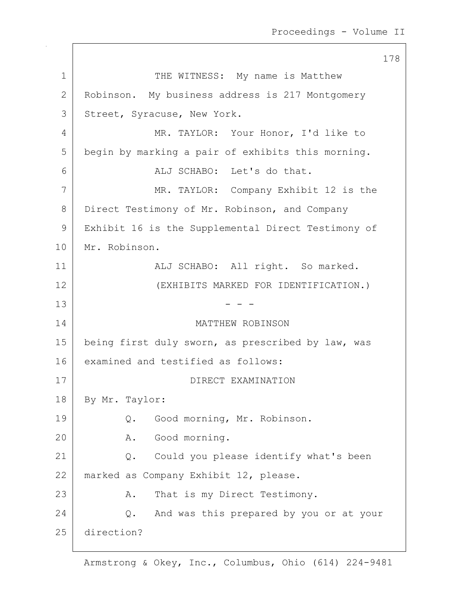1 THE WITNESS: My name is Matthew 2 Robinson. My business address is 217 Montgomery 3 Street, Syracuse, New York. 4 MR. TAYLOR: Your Honor, I'd like to 5 begin by marking a pair of exhibits this morning. 6 ALJ SCHABO: Let's do that. 7 MR. TAYLOR: Company Exhibit 12 is the 8 Direct Testimony of Mr. Robinson, and Company 9 | Exhibit 16 is the Supplemental Direct Testimony of 10 Mr. Robinson. 11 | ALJ SCHABO: All right. So marked. 12 (EXHIBITS MARKED FOR IDENTIFICATION.)  $13$  - - -14 MATTHEW ROBINSON 15 | being first duly sworn, as prescribed by law, was 16 examined and testified as follows: 17 DIRECT EXAMINATION 18 By Mr. Taylor: 19 | Q. Good morning, Mr. Robinson. 20 A. Good morning. 21 | Q. Could you please identify what's been 22 marked as Company Exhibit 12, please. 23 A. That is my Direct Testimony. 24 Q. And was this prepared by you or at your 25 direction?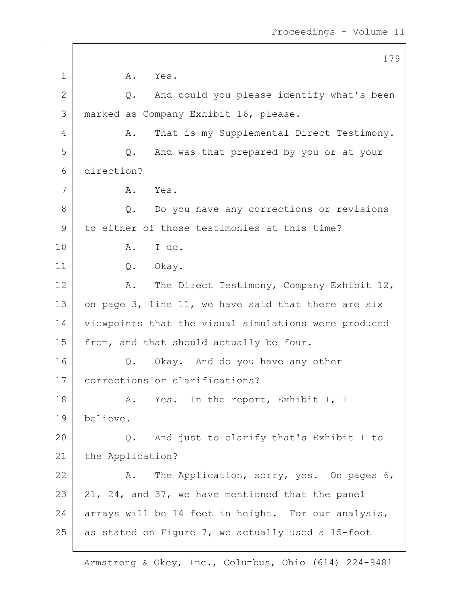|              | 179                                                  |
|--------------|------------------------------------------------------|
| 1            | Α.<br>Yes.                                           |
| $\mathbf{2}$ | And could you please identify what's been<br>Q.      |
| 3            | marked as Company Exhibit 16, please.                |
| 4            | That is my Supplemental Direct Testimony.<br>Α.      |
| 5            | And was that prepared by you or at your<br>Q.        |
| 6            | direction?                                           |
| 7            | A. Yes.                                              |
| 8            | Do you have any corrections or revisions<br>Q.       |
| 9            | to either of those testimonies at this time?         |
| 10           | I do.<br>A.                                          |
| 11           | Q. Okay.                                             |
| 12           | The Direct Testimony, Company Exhibit 12,<br>A.      |
| 13           | on page 3, line 11, we have said that there are six  |
| 14           | viewpoints that the visual simulations were produced |
| 15           | from, and that should actually be four.              |
| 16           | Okay. And do you have any other<br>Q.                |
| 17           | corrections or clarifications?                       |
| 18           | A. Yes. In the report, Exhibit I, I                  |
| 19           | believe.                                             |
| 20           | And just to clarify that's Exhibit I to<br>Q.        |
| 21           | the Application?                                     |
| 22           | The Application, sorry, yes. On pages 6,<br>Α.       |
| 23           | 21, 24, and 37, we have mentioned that the panel     |
| 24           | arrays will be 14 feet in height. For our analysis,  |
| 25           | as stated on Figure 7, we actually used a 15-foot    |

 $\mathsf{I}$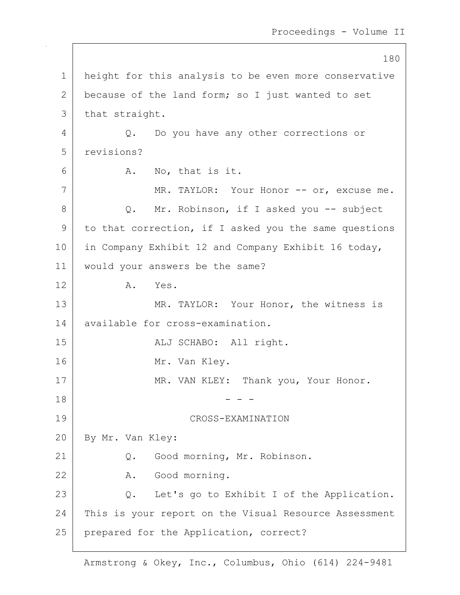180 1 | height for this analysis to be even more conservative 2 because of the land form; so I just wanted to set 3 | that straight. 4 Q. Do you have any other corrections or 5 revisions?  $6$  A. No, that is it. 7 | MR. TAYLOR: Your Honor -- or, excuse me. 8 Q. Mr. Robinson, if I asked you -- subject 9 to that correction, if I asked you the same questions 10 | in Company Exhibit 12 and Company Exhibit 16 today, 11 would your answers be the same? 12 A. Yes. 13 MR. TAYLOR: Your Honor, the witness is 14 available for cross-examination. 15 | REALU SCHABO: All right. 16 Mr. Van Kley. 17 MR. VAN KLEY: Thank you, Your Honor.  $18$  - - -19 CROSS-EXAMINATION 20 By Mr. Van Kley: 21 Q. Good morning, Mr. Robinson. 22 A. Good morning. 23 Q. Let's go to Exhibit I of the Application. 24 This is your report on the Visual Resource Assessment 25 | prepared for the Application, correct?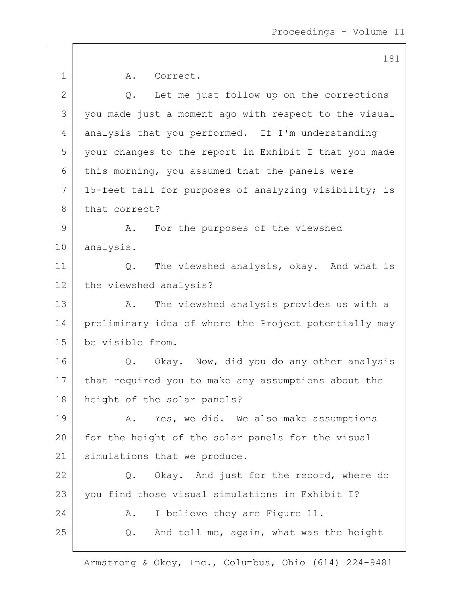|              | 181                                                   |
|--------------|-------------------------------------------------------|
| $\mathbf 1$  | A. Correct.                                           |
| $\mathbf{2}$ | Let me just follow up on the corrections<br>Q.        |
| 3            | you made just a moment ago with respect to the visual |
| 4            | analysis that you performed. If I'm understanding     |
| 5            | your changes to the report in Exhibit I that you made |
| 6            | this morning, you assumed that the panels were        |
| 7            | 15-feet tall for purposes of analyzing visibility; is |
| 8            | that correct?                                         |
| 9            | For the purposes of the viewshed<br>Α.                |
| 10           | analysis.                                             |
| 11           | The viewshed analysis, okay. And what is<br>Q.        |
| 12           | the viewshed analysis?                                |
| 13           | The viewshed analysis provides us with a<br>Α.        |
| 14           | preliminary idea of where the Project potentially may |
| 15           | be visible from.                                      |
| 16           | Q. Okay. Now, did you do any other analysis           |
| 17           | that required you to make any assumptions about the   |
| 18           | height of the solar panels?                           |
| 19           | Yes, we did. We also make assumptions<br>Α.           |
| 20           | for the height of the solar panels for the visual     |
| 21           | simulations that we produce.                          |
| 22           | Okay. And just for the record, where do<br>Q.         |
| 23           | you find those visual simulations in Exhibit I?       |
| 24           | I believe they are Figure 11.<br>Α.                   |
| 25           | And tell me, again, what was the height<br>Q.         |
|              |                                                       |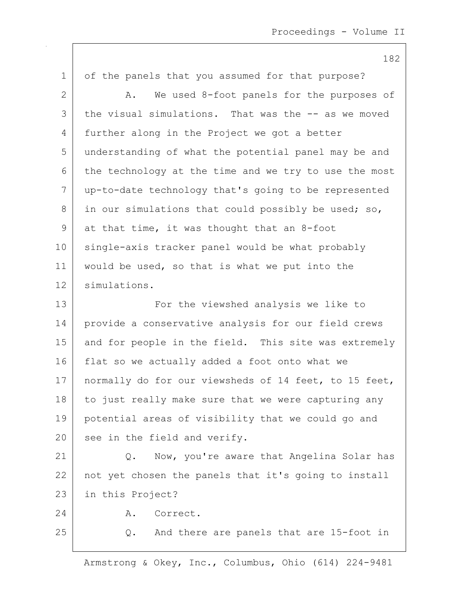182 1 of the panels that you assumed for that purpose? 2 A. We used 8-foot panels for the purposes of 3 the visual simulations. That was the -- as we moved 4 further along in the Project we got a better 5 understanding of what the potential panel may be and 6 the technology at the time and we try to use the most 7 up-to-date technology that's going to be represented  $8$  in our simulations that could possibly be used; so, 9 at that time, it was thought that an 8-foot 10 single-axis tracker panel would be what probably 11 | would be used, so that is what we put into the 12 simulations. 13 | The viewshed analysis we like to 14 provide a conservative analysis for our field crews 15 and for people in the field. This site was extremely 16 flat so we actually added a foot onto what we 17 | normally do for our viewsheds of 14 feet, to 15 feet,  $18$  to just really make sure that we were capturing any

19 potential areas of visibility that we could go and 20 see in the field and verify.

21 | Q. Now, you're aware that Angelina Solar has 22 not yet chosen the panels that it's going to install 23 in this Project?

24 A. Correct.

25 Q. And there are panels that are 15-foot in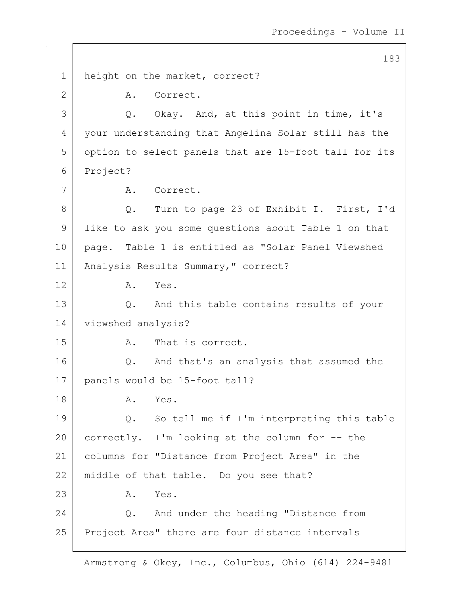183 1 | height on the market, correct? 2 A. Correct. 3 Q. Okay. And, at this point in time, it's 4 your understanding that Angelina Solar still has the 5 option to select panels that are 15-foot tall for its 6 Project? 7 | A. Correct. 8 Q. Turn to page 23 of Exhibit I. First, I'd 9 like to ask you some questions about Table 1 on that 10 page. Table 1 is entitled as "Solar Panel Viewshed 11 | Analysis Results Summary, " correct? 12 A. Yes. 13 Q. And this table contains results of your 14 | viewshed analysis? 15 A. That is correct. 16 Q. And that's an analysis that assumed the 17 panels would be 15-foot tall? 18 A. Yes. 19 Q. So tell me if I'm interpreting this table 20 correctly. I'm looking at the column for -- the 21 columns for "Distance from Project Area" in the 22 | middle of that table. Do you see that? 23 A. Yes. 24 | C. And under the heading "Distance from 25 Project Area" there are four distance intervals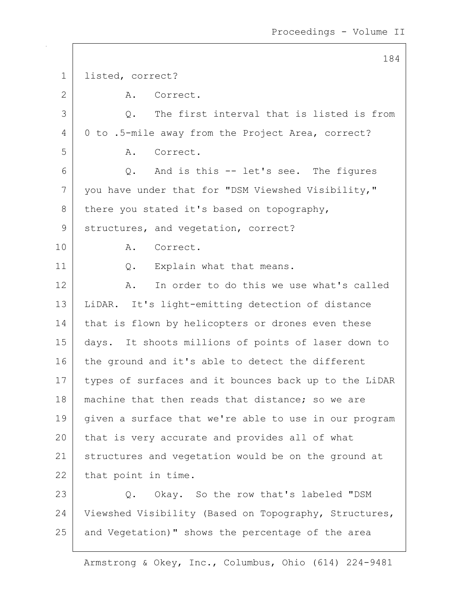184 1 listed, correct? 2 A. Correct. 3 0. The first interval that is listed is from 4 0 to .5-mile away from the Project Area, correct? 5 A. Correct.  $6$  Q. And is this  $-$  let's see. The figures 7 you have under that for "DSM Viewshed Visibility," 8 there you stated it's based on topography, 9 structures, and vegetation, correct? 10 A. Correct. 11 | Q. Explain what that means. 12 A. In order to do this we use what's called 13 LiDAR. It's light-emitting detection of distance 14 | that is flown by helicopters or drones even these 15 days. It shoots millions of points of laser down to 16 the ground and it's able to detect the different 17 types of surfaces and it bounces back up to the LiDAR 18 | machine that then reads that distance; so we are 19 given a surface that we're able to use in our program 20 that is very accurate and provides all of what 21 structures and vegetation would be on the ground at 22 that point in time. 23 Q. Okay. So the row that's labeled "DSM 24 Viewshed Visibility (Based on Topography, Structures, 25 and Vegetation)" shows the percentage of the area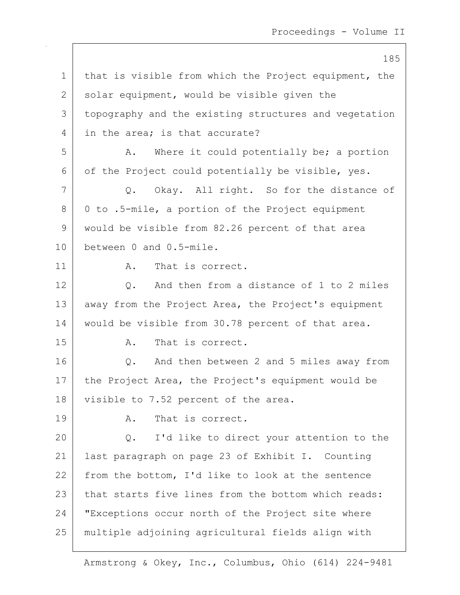185 1 | that is visible from which the Project equipment, the 2 solar equipment, would be visible given the 3 topography and the existing structures and vegetation 4 in the area: is that accurate? 5 A. Where it could potentially be; a portion 6 of the Project could potentially be visible, yes. 7 Q. Okay. All right. So for the distance of  $8 \mid 0$  to .5-mile, a portion of the Project equipment 9 would be visible from 82.26 percent of that area 10 between 0 and 0.5-mile. 11 a. That is correct. 12 O. And then from a distance of 1 to 2 miles 13 away from the Project Area, the Project's equipment 14 would be visible from 30.78 percent of that area. 15 A. That is correct. 16 Q. And then between 2 and 5 miles away from 17 the Project Area, the Project's equipment would be 18 visible to 7.52 percent of the area. 19 A. That is correct. 20 Q. I'd like to direct your attention to the 21 last paragraph on page 23 of Exhibit I. Counting 22 from the bottom, I'd like to look at the sentence 23 | that starts five lines from the bottom which reads: 24 "Exceptions occur north of the Project site where 25 multiple adjoining agricultural fields align with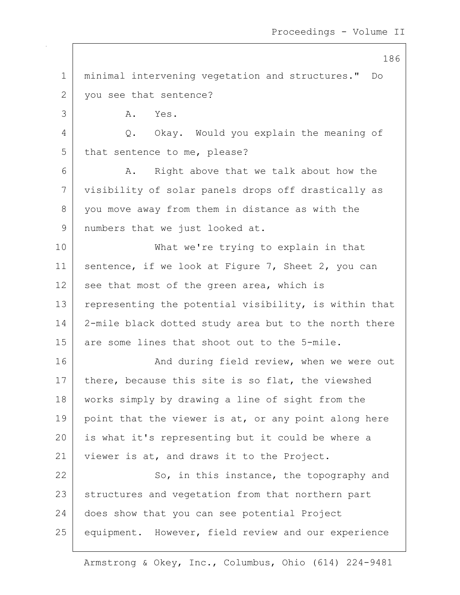1 minimal intervening vegetation and structures." Do 2 vou see that sentence? 3 A. Yes. 4 Q. Okay. Would you explain the meaning of 5 that sentence to me, please? 6 A. Right above that we talk about how the 7 visibility of solar panels drops off drastically as 8 you move away from them in distance as with the 9 | numbers that we just looked at. 10 What we're trying to explain in that 11 | sentence, if we look at Figure 7, Sheet 2, you can  $12$  see that most of the green area, which is 13 representing the potential visibility, is within that 14 2-mile black dotted study area but to the north there 15 are some lines that shoot out to the 5-mile. 16 And during field review, when we were out 17 | there, because this site is so flat, the viewshed 18 works simply by drawing a line of sight from the 19 point that the viewer is at, or any point along here 20 is what it's representing but it could be where a 21 viewer is at, and draws it to the Project. 22 So, in this instance, the topography and 23 structures and vegetation from that northern part 24 does show that you can see potential Project 25 equipment. However, field review and our experience

Armstrong & Okey, Inc., Columbus, Ohio (614) 224-9481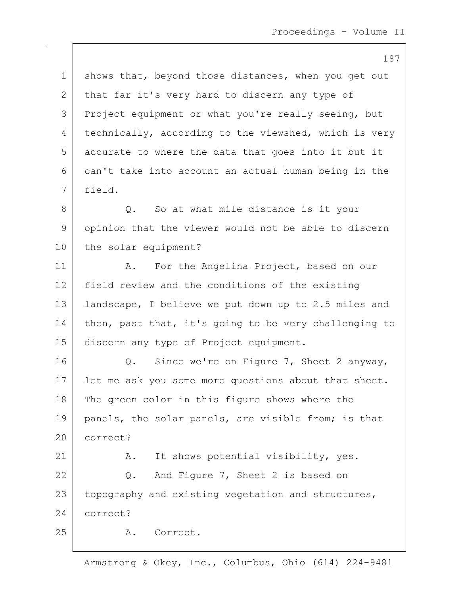|             | 187                                                   |
|-------------|-------------------------------------------------------|
| $\mathbf 1$ | shows that, beyond those distances, when you get out  |
| 2           | that far it's very hard to discern any type of        |
| 3           | Project equipment or what you're really seeing, but   |
| 4           | technically, according to the viewshed, which is very |
| 5           | accurate to where the data that goes into it but it   |
| 6           | can't take into account an actual human being in the  |
| 7           | field.                                                |
| 8           | So at what mile distance is it your<br>Q.             |
| 9           | opinion that the viewer would not be able to discern  |
| 10          | the solar equipment?                                  |
| 11          | For the Angelina Project, based on our<br>Α.          |
| 12          | field review and the conditions of the existing       |
| 13          | landscape, I believe we put down up to 2.5 miles and  |
| 14          | then, past that, it's going to be very challenging to |
| 15          | discern any type of Project equipment.                |
| 16          | Since we're on Figure 7, Sheet 2 anyway,<br>$Q$ .     |
| 17          | let me ask you some more questions about that sheet.  |
| 18          | The green color in this figure shows where the        |
| 19          | panels, the solar panels, are visible from; is that   |
| 20          | correct?                                              |
| 21          | It shows potential visibility, yes.<br>Α.             |
| 22          | And Figure 7, Sheet 2 is based on<br>Q.               |
| 23          | topography and existing vegetation and structures,    |
| 24          | correct?                                              |
| 25          | Correct.<br>Α.                                        |
|             |                                                       |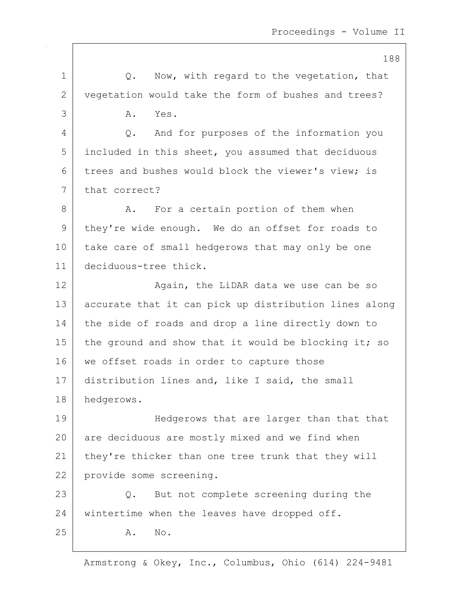188 1 1 O. Now, with regard to the vegetation, that 2 vegetation would take the form of bushes and trees? 3 A. Yes. 4 Q. And for purposes of the information you 5 included in this sheet, you assumed that deciduous 6 trees and bushes would block the viewer's view; is 7 that correct? 8 A. For a certain portion of them when 9 they're wide enough. We do an offset for roads to 10 take care of small hedgerows that may only be one 11 deciduous-tree thick. 12 Again, the LiDAR data we use can be so 13 accurate that it can pick up distribution lines along 14 the side of roads and drop a line directly down to 15 the ground and show that it would be blocking it; so 16 we offset roads in order to capture those 17 distribution lines and, like I said, the small 18 hedgerows. 19 | Hedgerows that are larger than that that 20 are deciduous are mostly mixed and we find when 21 | they're thicker than one tree trunk that they will 22 provide some screening. 23 Q. But not complete screening during the 24 wintertime when the leaves have dropped off. 25 A. No.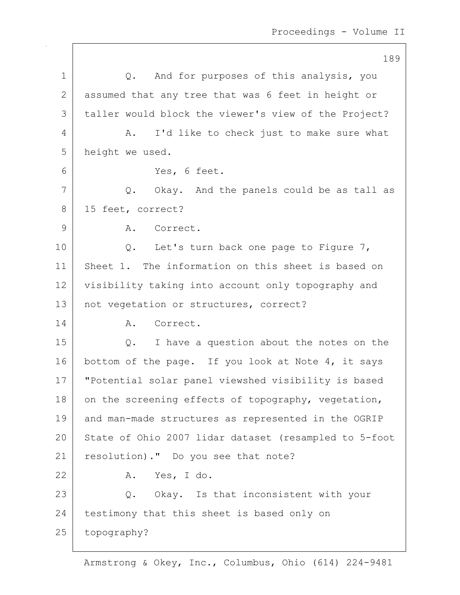189 1 | Q. And for purposes of this analysis, you 2 assumed that any tree that was 6 feet in height or 3 taller would block the viewer's view of the Project? 4 A. I'd like to check just to make sure what 5 height we used. 6 Yes, 6 feet.  $7$  Q. Okay. And the panels could be as tall as 8 15 feet, correct? 9 A. Correct. 10 | Q. Let's turn back one page to Figure 7, 11 Sheet 1. The information on this sheet is based on 12 visibility taking into account only topography and 13 | not vegetation or structures, correct? 14 A. Correct. 15 Q. I have a question about the notes on the 16 bottom of the page. If you look at Note 4, it says 17 "Potential solar panel viewshed visibility is based 18 on the screening effects of topography, vegetation, 19 and man-made structures as represented in the OGRIP 20 State of Ohio 2007 lidar dataset (resampled to 5-foot 21 | resolution)." Do you see that note? 22 A. Yes, I do. 23 Q. Okay. Is that inconsistent with your 24 testimony that this sheet is based only on 25 topography?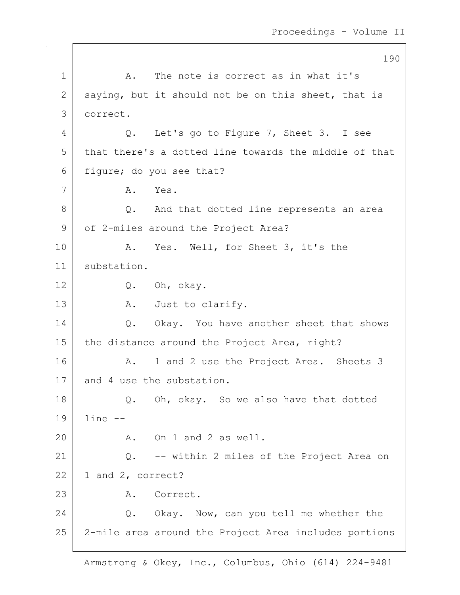190 1 | A. The note is correct as in what it's 2 saying, but it should not be on this sheet, that is 3 correct. 4 Q. Let's go to Figure 7, Sheet 3. I see 5 that there's a dotted line towards the middle of that 6 figure; do you see that? 7 A. Yes. 8 Q. And that dotted line represents an area 9 of 2-miles around the Project Area? 10 | A. Yes. Well, for Sheet 3, it's the 11 substation. 12 Q. Oh, okay. 13 A. Just to clarify. 14 | O. Okay. You have another sheet that shows 15 | the distance around the Project Area, right? 16 A. 1 and 2 use the Project Area. Sheets 3 17 and 4 use the substation. 18 | Q. Oh, okay. So we also have that dotted 19 line -- 20 A. On 1 and 2 as well. 21 Q. -- within 2 miles of the Project Area on  $22$  | 1 and 2, correct? 23 A. Correct. 24 Q. Okay. Now, can you tell me whether the 25 2-mile area around the Project Area includes portions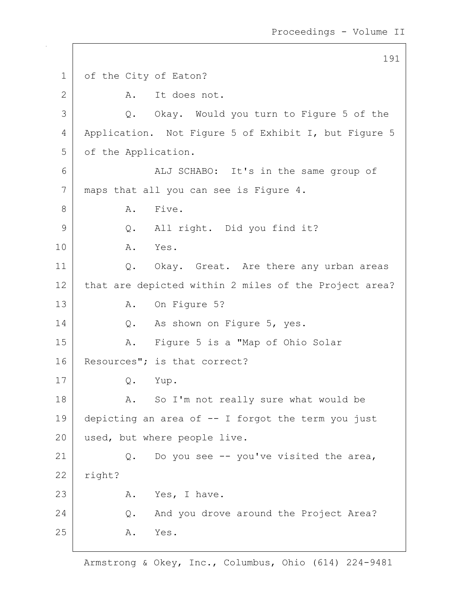191 1 of the City of Eaton? 2 A. It does not. 3 Q. Okay. Would you turn to Figure 5 of the 4 | Application. Not Figure 5 of Exhibit I, but Figure 5 5 of the Application. 6 | ALJ SCHABO: It's in the same group of 7 maps that all you can see is Figure 4. 8 A. Five. 9 Q. All right. Did you find it? 10 A. Yes. 11 | Q. Okay. Great. Are there any urban areas 12 that are depicted within 2 miles of the Project area? 13 A. On Figure 5? 14 | Q. As shown on Figure 5, yes. 15 | A. Figure 5 is a "Map of Ohio Solar 16 Resources"; is that correct? 17 Q. Yup. 18 | A. So I'm not really sure what would be 19 depicting an area of -- I forgot the term you just 20 used, but where people live. 21  $\vert$  Q. Do you see -- you've visited the area,  $22$  right? 23 A. Yes, I have. 24 Q. And you drove around the Project Area? 25 A. Yes.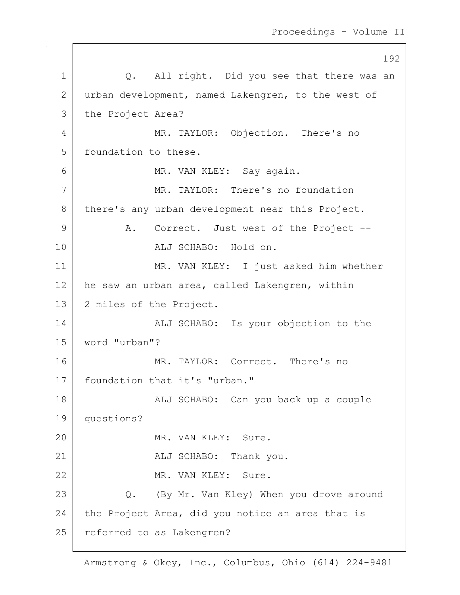192 1 | Q. All right. Did you see that there was an 2 urban development, named Lakengren, to the west of 3 the Project Area? 4 MR. TAYLOR: Objection. There's no 5 | foundation to these. 6 MR. VAN KLEY: Say again. 7 MR. TAYLOR: There's no foundation 8 there's any urban development near this Project. 9 A. Correct. Just west of the Project --10 ALJ SCHABO: Hold on. 11 | MR. VAN KLEY: I just asked him whether 12 he saw an urban area, called Lakengren, within 13 2 miles of the Project. 14 | ALJ SCHABO: Is your objection to the 15 word "urban"? 16 MR. TAYLOR: Correct. There's no 17 | foundation that it's "urban." 18 | The CHABO: Can you back up a couple 19 questions? 20 MR. VAN KLEY: Sure. 21 ALJ SCHABO: Thank you. 22 MR. VAN KLEY: Sure. 23 | Q. (By Mr. Van Kley) When you drove around 24 the Project Area, did you notice an area that is 25 referred to as Lakengren?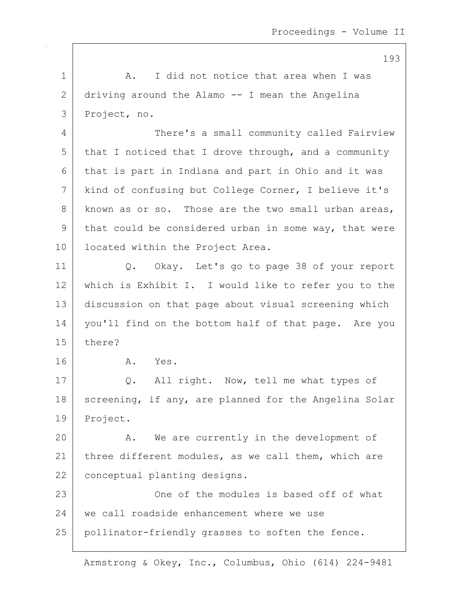1 | A. I did not notice that area when I was 2 driving around the Alamo -- I mean the Angelina 3 Project, no. 4 There's a small community called Fairview  $5$  that I noticed that I drove through, and a community 6 that is part in Indiana and part in Ohio and it was 7 kind of confusing but College Corner, I believe it's 8 known as or so. Those are the two small urban areas, 9 that could be considered urban in some way, that were 10 | located within the Project Area. 11 Q. Okay. Let's go to page 38 of your report 12 which is Exhibit I. I would like to refer you to the 13 discussion on that page about visual screening which 14 | you'll find on the bottom half of that page. Are you 15 there? 16 A. Yes. 17 | Q. All right. Now, tell me what types of 18 | screening, if any, are planned for the Angelina Solar 19 Project. 20 A. We are currently in the development of 21 | three different modules, as we call them, which are 22 | conceptual planting designs. 23 | Che of the modules is based off of what 24 we call roadside enhancement where we use 25 pollinator-friendly grasses to soften the fence.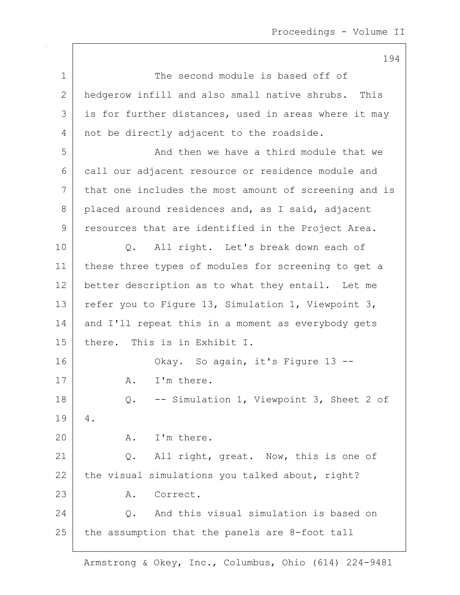1 The second module is based off of 2 hedgerow infill and also small native shrubs. This  $3$  is for further distances, used in areas where it may 4 not be directly adjacent to the roadside. 5 And then we have a third module that we 6 call our adjacent resource or residence module and 7 that one includes the most amount of screening and is 8 placed around residences and, as I said, adjacent 9 | resources that are identified in the Project Area. 10 | O. All right. Let's break down each of 11 | these three types of modules for screening to get a 12 better description as to what they entail. Let me 13 refer you to Figure 13, Simulation 1, Viewpoint 3, 14 and I'll repeat this in a moment as everybody gets 15 there. This is in Exhibit I. 16 Okay. So again, it's Figure 13 --17 A. I'm there. 18 Q. -- Simulation 1, Viewpoint 3, Sheet 2 of 19 4. 20 A. I'm there. 21 | Q. All right, great. Now, this is one of 22 the visual simulations you talked about, right? 23 A. Correct. 24 Q. And this visual simulation is based on  $25$  the assumption that the panels are 8-foot tall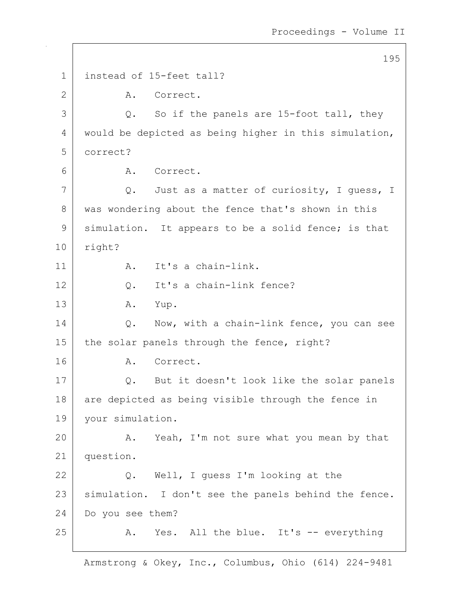195 1 instead of 15-feet tall? 2 A. Correct.  $3$  Q. So if the panels are 15-foot tall, they 4 would be depicted as being higher in this simulation, 5 correct? 6 A. Correct. 7 | Q. Just as a matter of curiosity, I guess, I 8 was wondering about the fence that's shown in this 9 | simulation. It appears to be a solid fence; is that 10 right? 11 | A. It's a chain-link. 12 | C. It's a chain-link fence? 13 A. Yup. 14 | Q. Now, with a chain-link fence, you can see 15 | the solar panels through the fence, right? 16 A. Correct. 17 | Q. But it doesn't look like the solar panels 18 are depicted as being visible through the fence in 19 | your simulation. 20 A. Yeah, I'm not sure what you mean by that 21 question. 22 | Q. Well, I guess I'm looking at the 23 | simulation. I don't see the panels behind the fence. 24 Do you see them? 25 A. Yes. All the blue. It's -- everything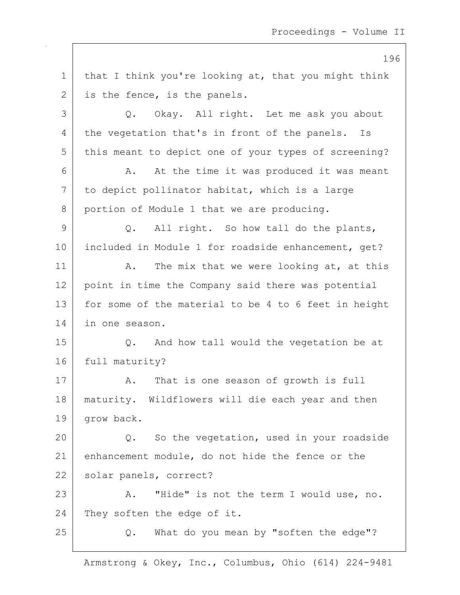1 | that I think you're looking at, that you might think 2 is the fence, is the panels. 3 Q. Okay. All right. Let me ask you about 4 the vegetation that's in front of the panels. Is 5 this meant to depict one of your types of screening? 6 A. At the time it was produced it was meant 7 to depict pollinator habitat, which is a large 8 portion of Module 1 that we are producing.  $9$  Q. All right. So how tall do the plants, 10 included in Module 1 for roadside enhancement, get? 11 | A. The mix that we were looking at, at this 12 point in time the Company said there was potential 13 | for some of the material to be 4 to 6 feet in height 14 in one season. 15 Q. And how tall would the vegetation be at 16 full maturity? 17 | A. That is one season of growth is full 18 maturity. Wildflowers will die each year and then 19 | grow back. 20 Q. So the vegetation, used in your roadside 21 enhancement module, do not hide the fence or the 22 | solar panels, correct? 23 A. "Hide" is not the term I would use, no. 24 They soften the edge of it. 25 | Q. What do you mean by "soften the edge"?

Armstrong & Okey, Inc., Columbus, Ohio (614) 224-9481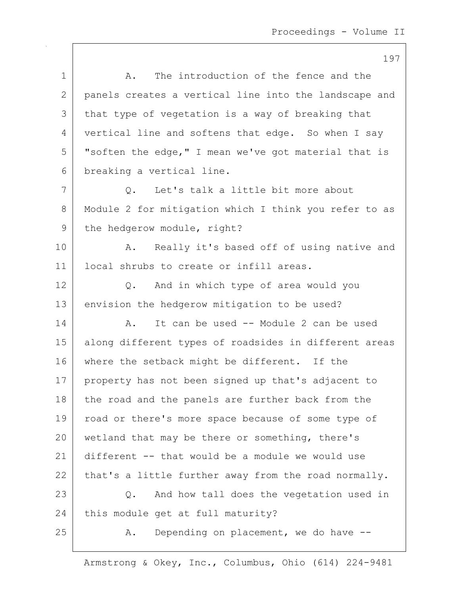| エンノ                                                   |
|-------------------------------------------------------|
| The introduction of the fence and the<br>Α.           |
| panels creates a vertical line into the landscape and |
| that type of vegetation is a way of breaking that     |
| vertical line and softens that edge. So when I say    |
| "soften the edge," I mean we've got material that is  |
| breaking a vertical line.                             |
| Let's talk a little bit more about<br>Q.              |
| Module 2 for mitigation which I think you refer to as |
| the hedgerow module, right?                           |
| Really it's based off of using native and<br>Α.       |
| local shrubs to create or infill areas.               |
| And in which type of area would you<br>$Q$ .          |
| envision the hedgerow mitigation to be used?          |
| It can be used -- Module 2 can be used<br>Α.          |
| along different types of roadsides in different areas |
| where the setback might be different. If the          |
| property has not been signed up that's adjacent to    |
| the road and the panels are further back from the     |
| road or there's more space because of some type of    |
| wetland that may be there or something, there's       |
| different -- that would be a module we would use      |
| that's a little further away from the road normally.  |
| And how tall does the vegetation used in<br>Q.        |
| this module get at full maturity?                     |
| Depending on placement, we do have --<br>Α.           |
|                                                       |

Armstrong & Okey, Inc., Columbus, Ohio (614) 224-9481

 $\overline{\phantom{a}}$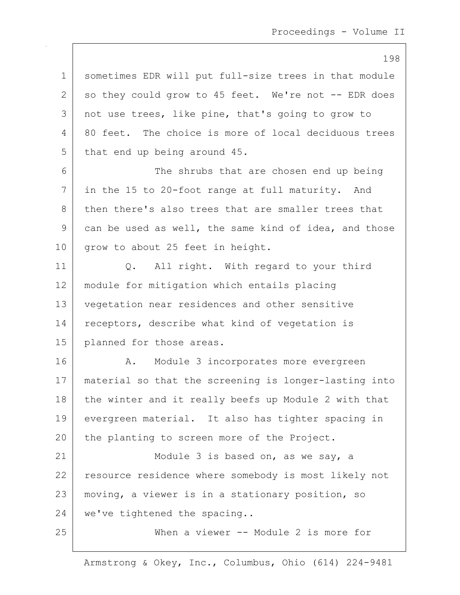1 sometimes EDR will put full-size trees in that module  $2$  so they could grow to 45 feet. We're not  $-$ - EDR does 3 | not use trees, like pine, that's going to grow to 4 80 feet. The choice is more of local deciduous trees 5 that end up being around 45. 6 The shrubs that are chosen end up being 7 in the 15 to 20-foot range at full maturity. And 8 then there's also trees that are smaller trees that  $9$  can be used as well, the same kind of idea, and those 10 grow to about 25 feet in height. 11 | Q. All right. With regard to your third 12 module for mitigation which entails placing 13 vegetation near residences and other sensitive 14 | receptors, describe what kind of vegetation is 15 planned for those areas. 16 | A. Module 3 incorporates more evergreen 17 material so that the screening is longer-lasting into 18 the winter and it really beefs up Module 2 with that 19 evergreen material. It also has tighter spacing in 20 the planting to screen more of the Project. 21 | Module 3 is based on, as we say, a 22 resource residence where somebody is most likely not 23 moving, a viewer is in a stationary position, so 24 we've tightened the spacing.. 25 When a viewer -- Module 2 is more for

Armstrong & Okey, Inc., Columbus, Ohio (614) 224-9481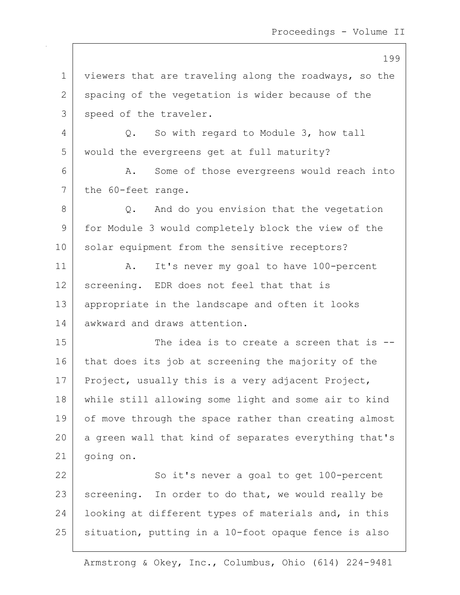199 1 viewers that are traveling along the roadways, so the 2 spacing of the vegetation is wider because of the 3 speed of the traveler. 4 Q. So with regard to Module 3, how tall 5 would the evergreens get at full maturity? 6 A. Some of those evergreens would reach into 7 the 60-feet range. 8 Q. And do you envision that the vegetation 9 for Module 3 would completely block the view of the 10 solar equipment from the sensitive receptors? 11 | A. It's never my goal to have 100-percent 12 | screening. EDR does not feel that that is 13 appropriate in the landscape and often it looks 14 awkward and draws attention. 15 The idea is to create a screen that is  $-$ 16 that does its job at screening the majority of the 17 Project, usually this is a very adjacent Project, 18 while still allowing some light and some air to kind 19 of move through the space rather than creating almost 20 a green wall that kind of separates everything that's 21 going on. 22 So it's never a goal to get 100-percent 23 screening. In order to do that, we would really be 24 | looking at different types of materials and, in this 25 | situation, putting in a 10-foot opaque fence is also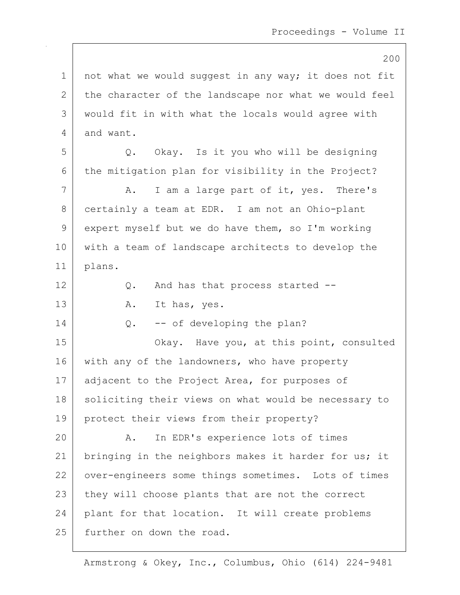200 1 | not what we would suggest in any way; it does not fit 2 the character of the landscape nor what we would feel 3 would fit in with what the locals would agree with 4 and want. 5 Q. Okay. Is it you who will be designing 6 the mitigation plan for visibility in the Project? 7 A. I am a large part of it, yes. There's 8 certainly a team at EDR. I am not an Ohio-plant 9 expert myself but we do have them, so I'm working 10 with a team of landscape architects to develop the 11 plans. 12 Q. And has that process started --13 A. It has, yes.  $14$  Q.  $-$  of developing the plan? 15 | Chay. Have you, at this point, consulted 16 with any of the landowners, who have property 17 | adjacent to the Project Area, for purposes of 18 | soliciting their views on what would be necessary to 19 | protect their views from their property? 20 A. In EDR's experience lots of times 21 | bringing in the neighbors makes it harder for us; it 22 | over-engineers some things sometimes. Lots of times 23 they will choose plants that are not the correct 24 plant for that location. It will create problems 25 further on down the road.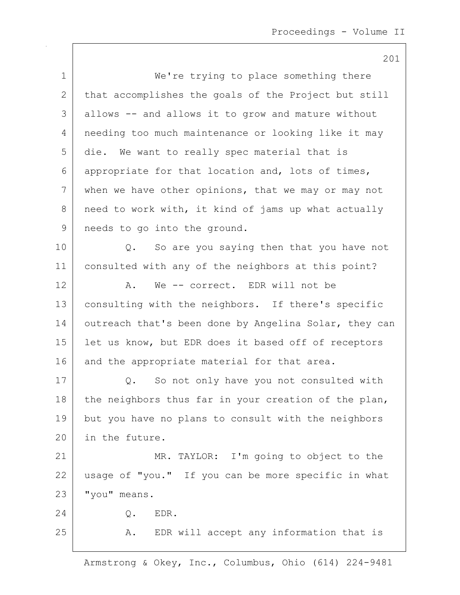201 1 | We're trying to place something there 2 that accomplishes the goals of the Project but still 3 allows -- and allows it to grow and mature without 4 needing too much maintenance or looking like it may 5 die. We want to really spec material that is 6 appropriate for that location and, lots of times,  $7$  when we have other opinions, that we may or may not 8 need to work with, it kind of jams up what actually 9 | needs to go into the ground. 10 | Q. So are you saying then that you have not 11 consulted with any of the neighbors at this point? 12 A. We -- correct. EDR will not be 13 | consulting with the neighbors. If there's specific 14 outreach that's been done by Angelina Solar, they can 15 | let us know, but EDR does it based off of receptors 16 and the appropriate material for that area. 17 | Q. So not only have you not consulted with 18 the neighbors thus far in your creation of the plan, 19 but you have no plans to consult with the neighbors 20 in the future. 21 | MR. TAYLOR: I'm going to object to the 22 usage of "you." If you can be more specific in what 23 | "you" means. 24 Q. EDR. 25 | A. EDR will accept any information that is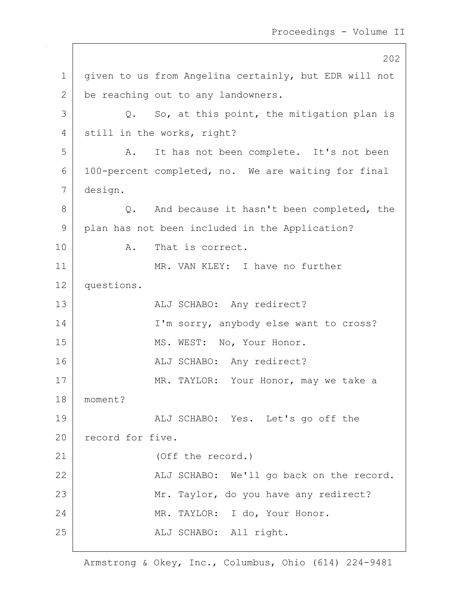202 1 | given to us from Angelina certainly, but EDR will not 2 | be reaching out to any landowners.  $3$  Q. So, at this point, the mitigation plan is 4 still in the works, right? 5 A. It has not been complete. It's not been 6 100-percent completed, no. We are waiting for final 7 design. 8 Q. And because it hasn't been completed, the 9 plan has not been included in the Application? 10 A. That is correct. 11 MR. VAN KLEY: I have no further 12 questions. 13 | REALU SCHABO: Any redirect? 14 I'm sorry, anybody else want to cross? 15 MS. WEST: No, Your Honor. 16 ALJ SCHABO: Any redirect? 17 MR. TAYLOR: Your Honor, may we take a 18 moment? 19 | ALJ SCHABO: Yes. Let's go off the 20 record for five. 21 (Off the record.) 22 | ALJ SCHABO: We'll go back on the record. 23 | Mr. Taylor, do you have any redirect? 24 MR. TAYLOR: I do, Your Honor. 25 | REALU SCHABO: All right.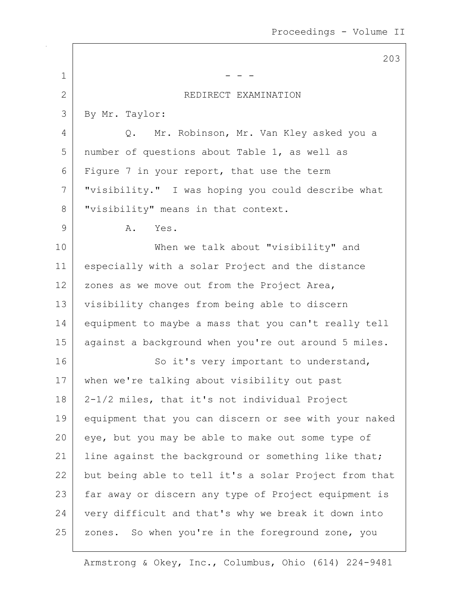|                | 203                                                   |
|----------------|-------------------------------------------------------|
| $\mathbf 1$    |                                                       |
| $\overline{2}$ | REDIRECT EXAMINATION                                  |
| 3              | By Mr. Taylor:                                        |
| 4              | Mr. Robinson, Mr. Van Kley asked you a<br>Q.          |
| 5              | number of questions about Table 1, as well as         |
| 6              | Figure 7 in your report, that use the term            |
| 7              | "visibility." I was hoping you could describe what    |
| 8              | "visibility" means in that context.                   |
| 9              | Α.<br>Yes.                                            |
| 10             | When we talk about "visibility" and                   |
| 11             | especially with a solar Project and the distance      |
| 12             | zones as we move out from the Project Area,           |
| 13             | visibility changes from being able to discern         |
| 14             | equipment to maybe a mass that you can't really tell  |
| 15             | against a background when you're out around 5 miles.  |
| 16             | So it's very important to understand,                 |
| 17             | when we're talking about visibility out past          |
| 18             | 2-1/2 miles, that it's not individual Project         |
| 19             | equipment that you can discern or see with your naked |
| 20             | eye, but you may be able to make out some type of     |
| 21             | line against the background or something like that;   |
| 22             | but being able to tell it's a solar Project from that |
| 23             | far away or discern any type of Project equipment is  |
| 24             | very difficult and that's why we break it down into   |
| 25             | zones. So when you're in the foreground zone, you     |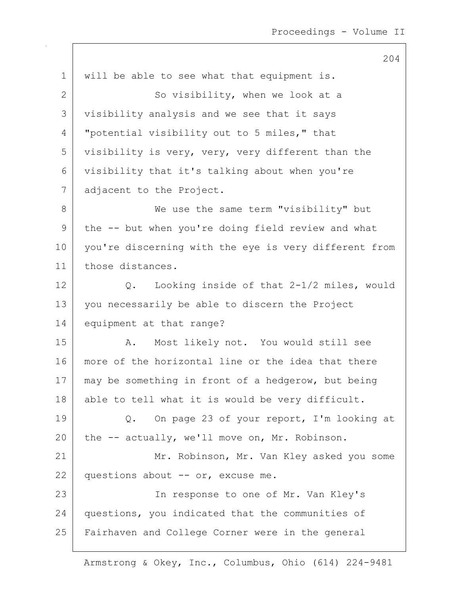1 | will be able to see what that equipment is. 2 So visibility, when we look at a 3 visibility analysis and we see that it says 4 | "potential visibility out to 5 miles," that 5 visibility is very, very, very different than the 6 visibility that it's talking about when you're 7 adjacent to the Project. 8 We use the same term "visibility" but  $9$  the  $-$  but when you're doing field review and what 10 you're discerning with the eye is very different from 11 | those distances. 12 Q. Looking inside of that 2-1/2 miles, would 13 you necessarily be able to discern the Project 14 equipment at that range? 15 | A. Most likely not. You would still see 16 more of the horizontal line or the idea that there 17 may be something in front of a hedgerow, but being 18 able to tell what it is would be very difficult. 19 Q. On page 23 of your report, I'm looking at 20 the  $-$  actually, we'll move on, Mr. Robinson. 21 | Mr. Robinson, Mr. Van Kley asked you some 22 questions about  $--$  or, excuse me. 23 | The response to one of Mr. Van Kley's 24 questions, you indicated that the communities of 25 | Fairhaven and College Corner were in the general

Armstrong & Okey, Inc., Columbus, Ohio (614) 224-9481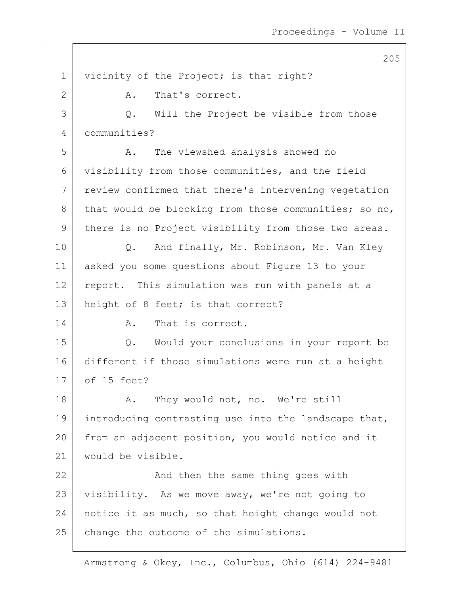1 | vicinity of the Project; is that right? 2 A. That's correct. 3 Q. Will the Project be visible from those 4 communities? 5 A. The viewshed analysis showed no 6 visibility from those communities, and the field 7 review confirmed that there's intervening vegetation 8 that would be blocking from those communities; so no, 9 | there is no Project visibility from those two areas. 10 Q. And finally, Mr. Robinson, Mr. Van Kley 11 asked you some questions about Figure 13 to your 12 report. This simulation was run with panels at a 13 | height of 8 feet; is that correct? 14 A. That is correct. 15 Q. Would your conclusions in your report be 16 different if those simulations were run at a height 17 of 15 feet? 18 | R. They would not, no. We're still 19 introducing contrasting use into the landscape that, 20 from an adjacent position, you would notice and it 21 would be visible. 22 | And then the same thing goes with 23 visibility. As we move away, we're not going to 24 notice it as much, so that height change would not 25 change the outcome of the simulations.

Armstrong & Okey, Inc., Columbus, Ohio (614) 224-9481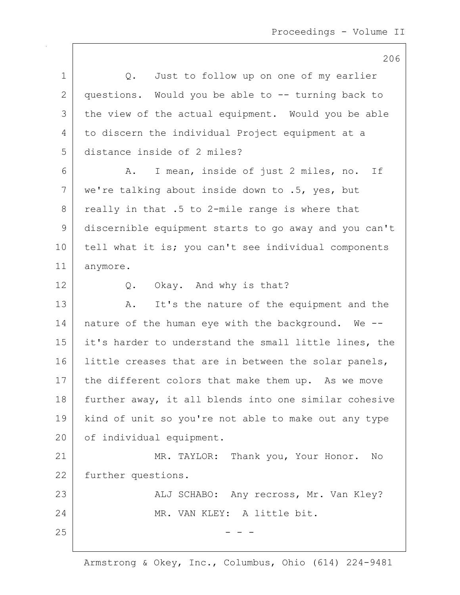|                | 206                                                   |
|----------------|-------------------------------------------------------|
| $\mathbf 1$    | Just to follow up on one of my earlier<br>Q.          |
| $\overline{2}$ | questions. Would you be able to -- turning back to    |
| 3              | the view of the actual equipment. Would you be able   |
| 4              | to discern the individual Project equipment at a      |
| 5              | distance inside of 2 miles?                           |
| 6              | I mean, inside of just 2 miles, no. If<br>Α.          |
| 7              | we're talking about inside down to .5, yes, but       |
| 8              | really in that .5 to 2-mile range is where that       |
| 9              | discernible equipment starts to go away and you can't |
| 10             | tell what it is; you can't see individual components  |
| 11             | anymore.                                              |
| 12             | Okay. And why is that?<br>Q.                          |
| 13             | It's the nature of the equipment and the<br>Α.        |
| 14             | nature of the human eye with the background. We --    |
| 15             | it's harder to understand the small little lines, the |
| 16             | little creases that are in between the solar panels,  |
| 17             | the different colors that make them up. As we move    |
| 18             | further away, it all blends into one similar cohesive |
| 19             | kind of unit so you're not able to make out any type  |
| 20             | of individual equipment.                              |
| 21             | MR. TAYLOR: Thank you, Your Honor. No                 |
| 22             | further questions.                                    |
| 23             | ALJ SCHABO: Any recross, Mr. Van Kley?                |
| 24             | MR. VAN KLEY: A little bit.                           |
| 25             |                                                       |
|                |                                                       |

 $\overline{\phantom{a}}$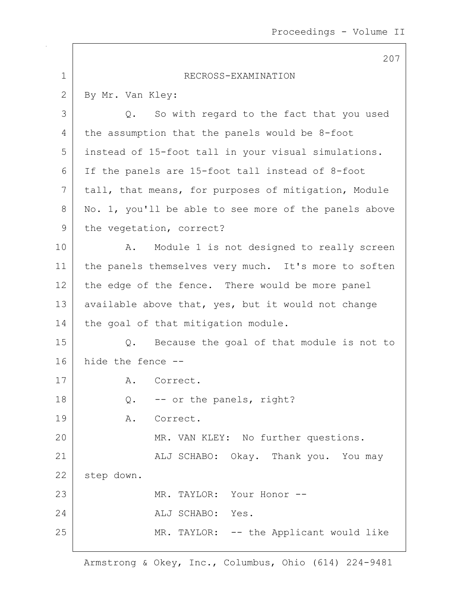|             | 207                                                   |
|-------------|-------------------------------------------------------|
| $\mathbf 1$ | RECROSS-EXAMINATION                                   |
| 2           | By Mr. Van Kley:                                      |
| 3           | Q. So with regard to the fact that you used           |
| 4           | the assumption that the panels would be 8-foot        |
| 5           | instead of 15-foot tall in your visual simulations.   |
| 6           | If the panels are 15-foot tall instead of 8-foot      |
| 7           | tall, that means, for purposes of mitigation, Module  |
| 8           | No. 1, you'll be able to see more of the panels above |
| 9           | the vegetation, correct?                              |
| 10          | Module 1 is not designed to really screen<br>Α.       |
| 11          | the panels themselves very much. It's more to soften  |
| 12          | the edge of the fence. There would be more panel      |
| 13          | available above that, yes, but it would not change    |
| 14          | the goal of that mitigation module.                   |
| 15          | Because the goal of that module is not to<br>$Q$ .    |
| 16          | hide the fence --                                     |
| 17          | A. Correct.                                           |
| 18          | -- or the panels, right?<br>Q.                        |
| 19          | A. Correct.                                           |
| 20          | MR. VAN KLEY: No further questions.                   |
| 21          | ALJ SCHABO: Okay. Thank you. You may                  |
| 22          | step down.                                            |
| 23          | MR. TAYLOR: Your Honor --                             |
| 24          | ALJ SCHABO: Yes.                                      |
| 25          | MR. TAYLOR: -- the Applicant would like               |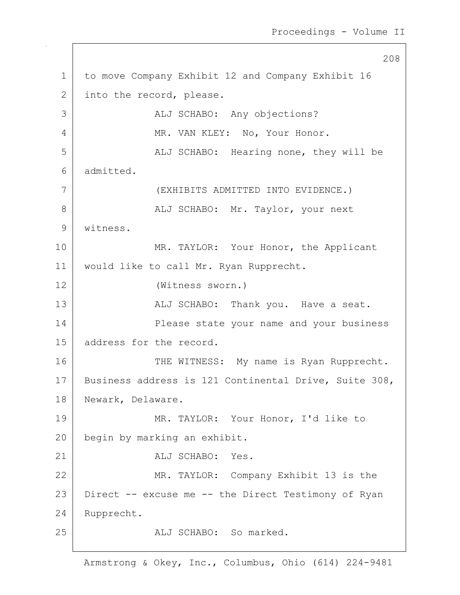```
208
1 to move Company Exhibit 12 and Company Exhibit 16
2 into the record, please.
3 |                         ALJ SCHABO:   Any objections?
4 MR. VAN KLEY: No, Your Honor.
5 | ALJ SCHABO: Hearing none, they will be
6 admitted.
7 (EXHIBITS ADMITTED INTO EVIDENCE.)
8 |                   ALJ SCHABO: Mr. Taylor, your next
9 witness.
10 MR. TAYLOR: Your Honor, the Applicant
11 would like to call Mr. Ryan Rupprecht.
12 (Witness sworn.)
13 | REALJ SCHABO: Thank you. Have a seat.
14 Please state your name and your business
15 | address for the record.
16 THE WITNESS: My name is Ryan Rupprecht.
17 | Business address is 121 Continental Drive, Suite 308,
18 | Newark, Delaware.
19 MR. TAYLOR: Your Honor, I'd like to
20 begin by marking an exhibit.
21 ALJ SCHABO: Yes.
22 | MR. TAYLOR: Company Exhibit 13 is the
23 Direct -- excuse me -- the Direct Testimony of Ryan
24 Rupprecht.
25 ALJ SCHABO: So marked.
```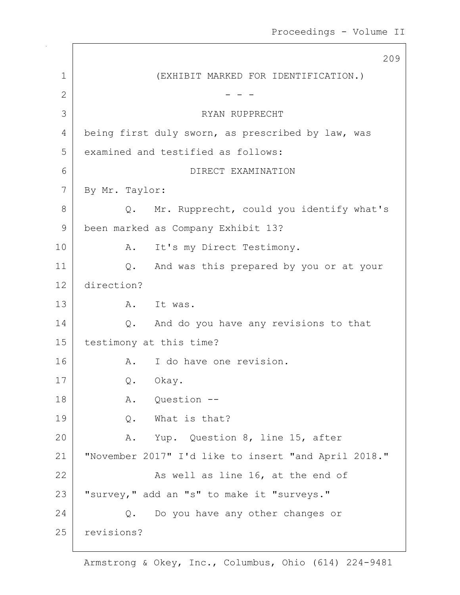209 1 (EXHIBIT MARKED FOR IDENTIFICATION.) 2  $-$  -  $-$ 3 RYAN RUPPRECHT 4 being first duly sworn, as prescribed by law, was 5 examined and testified as follows: 6 DIRECT EXAMINATION 7 By Mr. Taylor: 8 Q. Mr. Rupprecht, could you identify what's 9 been marked as Company Exhibit 13? 10 | R. It's my Direct Testimony. 11 Q. And was this prepared by you or at your 12 direction? 13 A. It was. 14 | Q. And do you have any revisions to that 15 testimony at this time? 16 A. I do have one revision. 17 Q. Okay. 18 A. Question --19 O. What is that? 20 A. Yup. Question 8, line 15, after 21 "November 2017" I'd like to insert "and April 2018." 22 As well as line 16, at the end of 23 | "survey," add an "s" to make it "surveys." 24 Q. Do you have any other changes or 25 revisions?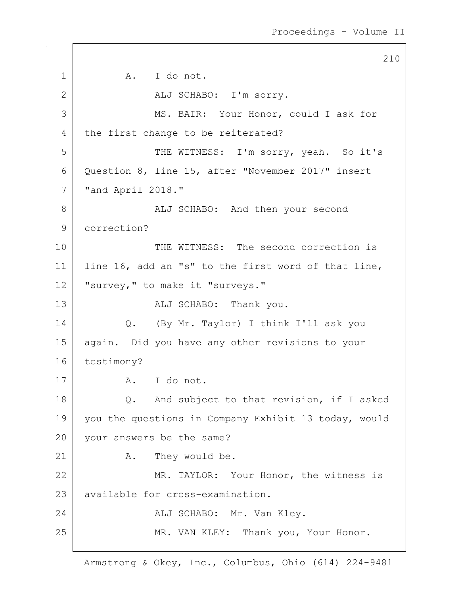210 1 a. I do not. 2 | ALJ SCHABO: I'm sorry. 3 MS. BAIR: Your Honor, could I ask for 4 the first change to be reiterated? 5 | THE WITNESS: I'm sorry, yeah. So it's 6 Question 8, line 15, after "November 2017" insert 7 "and April 2018." 8 | ALJ SCHABO: And then your second 9 correction? 10 THE WITNESS: The second correction is 11 line 16, add an "s" to the first word of that line, 12 | "survey," to make it "surveys." 13 ALJ SCHABO: Thank you. 14 Q. (By Mr. Taylor) I think I'll ask you 15 again. Did you have any other revisions to your 16 testimony? 17 A. I do not. 18 Q. And subject to that revision, if I asked 19 you the questions in Company Exhibit 13 today, would 20 your answers be the same? 21 A. They would be. 22 MR. TAYLOR: Your Honor, the witness is 23 available for cross-examination. 24 ALJ SCHABO: Mr. Van Kley. 25 | MR. VAN KLEY: Thank you, Your Honor.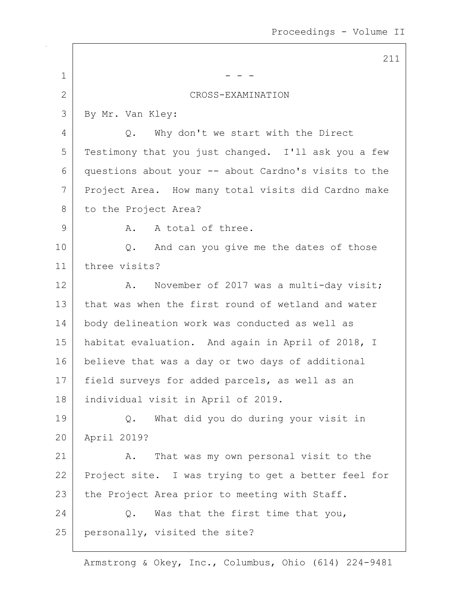|                | 211                                                  |
|----------------|------------------------------------------------------|
| $\mathbf 1$    |                                                      |
| $\overline{2}$ | CROSS-EXAMINATION                                    |
| 3              | By Mr. Van Kley:                                     |
| 4              | Why don't we start with the Direct<br>Q.             |
| 5              | Testimony that you just changed. I'll ask you a few  |
| 6              | questions about your -- about Cardno's visits to the |
| 7              | Project Area. How many total visits did Cardno make  |
| 8              | to the Project Area?                                 |
| 9              | A total of three.<br>Α.                              |
| 10             | And can you give me the dates of those<br>Q.         |
| 11             | three visits?                                        |
| 12             | November of 2017 was a multi-day visit;<br>Α.        |
| 13             | that was when the first round of wetland and water   |
| 14             | body delineation work was conducted as well as       |
| 15             | habitat evaluation. And again in April of 2018, I    |
| 16             | believe that was a day or two days of additional     |
| 17             | field surveys for added parcels, as well as an       |
| 18             | individual visit in April of 2019.                   |
| 19             | What did you do during your visit in<br>Q.           |
| 20             | April 2019?                                          |
| 21             | That was my own personal visit to the<br>Α.          |
| 22             | Project site. I was trying to get a better feel for  |
| 23             | the Project Area prior to meeting with Staff.        |
| 24             | Was that the first time that you,<br>Q.              |
| 25             | personally, visited the site?                        |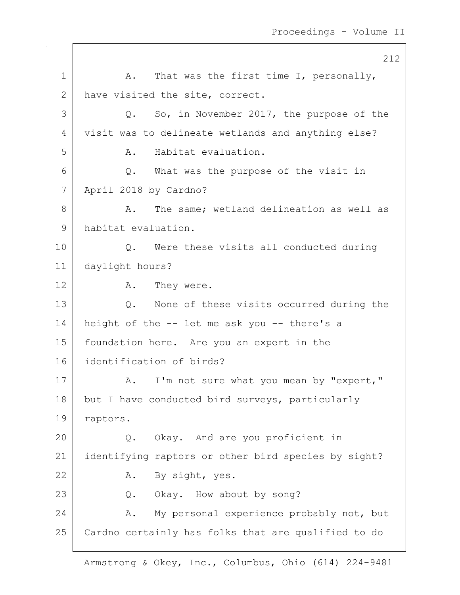212 1  $\vert$  A. That was the first time I, personally, 2 have visited the site, correct. 3 Q. So, in November 2017, the purpose of the 4 visit was to delineate wetlands and anything else? 5 A. Habitat evaluation. 6 Q. What was the purpose of the visit in 7 April 2018 by Cardno? 8 A. The same; wetland delineation as well as 9 habitat evaluation. 10 Q. Were these visits all conducted during 11 daylight hours? 12 A. They were. 13 Q. None of these visits occurred during the 14 height of the -- let me ask you -- there's a 15 foundation here. Are you an expert in the 16 identification of birds? 17 | A. I'm not sure what you mean by "expert," 18 but I have conducted bird surveys, particularly 19 raptors. 20 Q. Okay. And are you proficient in 21 identifying raptors or other bird species by sight? 22 A. By sight, yes. 23 Q. Okay. How about by song? 24 A. My personal experience probably not, but 25 Cardno certainly has folks that are qualified to do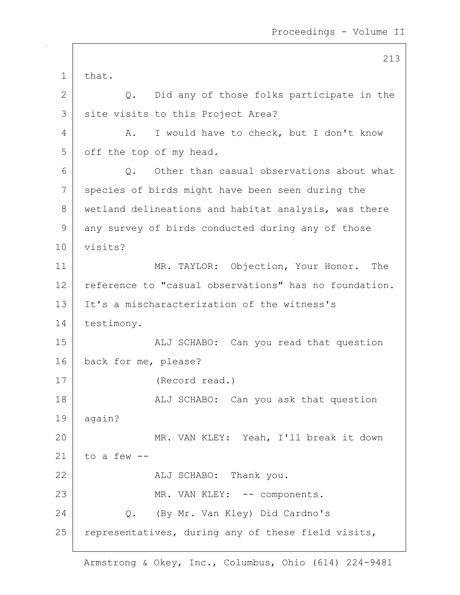213 1 that. 2 Q. Did any of those folks participate in the 3 | site visits to this Project Area? 4 A. I would have to check, but I don't know 5 off the top of my head.  $6$   $\sim$  0. Other than casual observations about what 7 species of birds might have been seen during the 8 wetland delineations and habitat analysis, was there 9 any survey of birds conducted during any of those 10 visits? 11 MR. TAYLOR: Objection, Your Honor. The 12 reference to "casual observations" has no foundation. 13 It's a mischaracterization of the witness's 14 testimony. 15 | ALJ SCHABO: Can you read that question 16 back for me, please? 17 (Record read.) 18 | The South Market Can you ask that question  $19$  again? 20 MR. VAN KLEY: Yeah, I'll break it down 21 to a few  $-$ 22 ALJ SCHABO: Thank you. 23 | MR. VAN KLEY: -- components. 24 | C. (By Mr. Van Kley) Did Cardno's 25 representatives, during any of these field visits,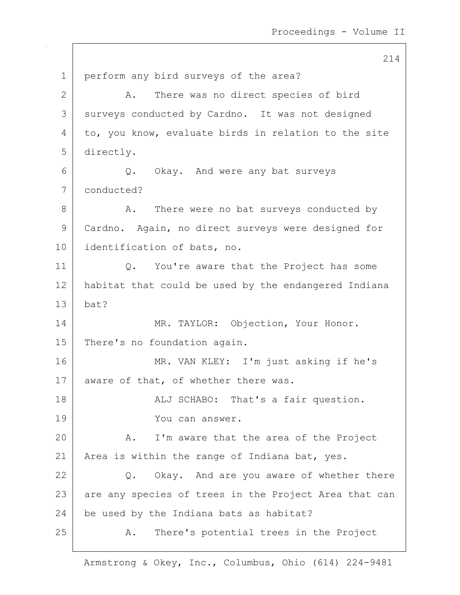214 1 perform any bird surveys of the area? 2 A. There was no direct species of bird 3 surveys conducted by Cardno. It was not designed 4 to, you know, evaluate birds in relation to the site 5 directly. 6 Q. Okay. And were any bat surveys 7 conducted? 8 A. There were no bat surveys conducted by 9 Cardno. Again, no direct surveys were designed for 10 identification of bats, no. 11 Q. You're aware that the Project has some 12 habitat that could be used by the endangered Indiana  $13$  bat? 14 MR. TAYLOR: Objection, Your Honor. 15 There's no foundation again. 16 MR. VAN KLEY: I'm just asking if he's 17 aware of that, of whether there was. 18 | REALJ SCHABO: That's a fair question. 19 You can answer. 20 A. I'm aware that the area of the Project 21 | Area is within the range of Indiana bat, yes.  $22$  Q. Okay. And are you aware of whether there 23 are any species of trees in the Project Area that can  $24$  be used by the Indiana bats as habitat? 25 A. There's potential trees in the Project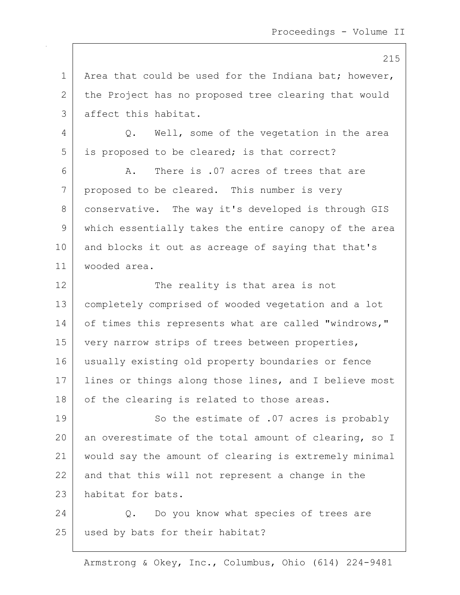1 | Area that could be used for the Indiana bat; however, 2 the Project has no proposed tree clearing that would 3 affect this habitat.

4 Q. Well, some of the vegetation in the area 5 is proposed to be cleared; is that correct?

6 A. There is .07 acres of trees that are 7 proposed to be cleared. This number is very 8 conservative. The way it's developed is through GIS 9 which essentially takes the entire canopy of the area 10 and blocks it out as acreage of saying that that's 11 wooded area.

12 The reality is that area is not 13 completely comprised of wooded vegetation and a lot 14 of times this represents what are called "windrows," 15 | very narrow strips of trees between properties, 16 usually existing old property boundaries or fence 17 | lines or things along those lines, and I believe most 18 | of the clearing is related to those areas.

19 So the estimate of .07 acres is probably 20 an overestimate of the total amount of clearing, so I 21 would say the amount of clearing is extremely minimal  $22$  and that this will not represent a change in the 23 habitat for bats.

24 Q. Do you know what species of trees are 25 | used by bats for their habitat?

Armstrong & Okey, Inc., Columbus, Ohio (614) 224-9481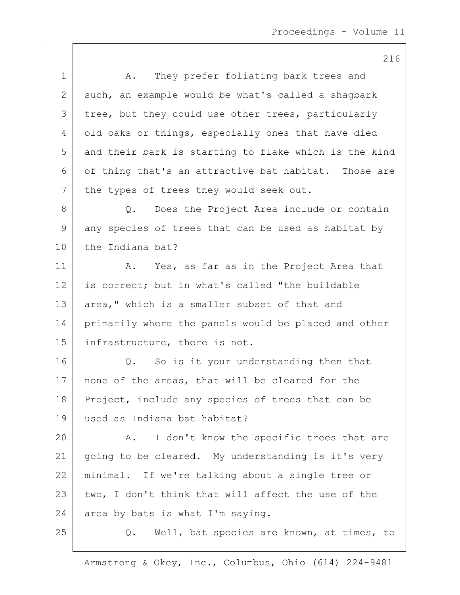|             | 216                                                   |
|-------------|-------------------------------------------------------|
| $\mathbf 1$ | They prefer foliating bark trees and<br>Α.            |
| 2           | such, an example would be what's called a shagbark    |
| 3           | tree, but they could use other trees, particularly    |
| 4           | old oaks or things, especially ones that have died    |
| 5           | and their bark is starting to flake which is the kind |
| 6           | of thing that's an attractive bat habitat. Those are  |
| 7           | the types of trees they would seek out.               |
| 8           | Does the Project Area include or contain<br>$Q$ .     |
| 9           | any species of trees that can be used as habitat by   |
| 10          | the Indiana bat?                                      |
| 11          | A. Yes, as far as in the Project Area that            |
| 12          | is correct; but in what's called "the buildable       |
| 13          | area," which is a smaller subset of that and          |
| 14          | primarily where the panels would be placed and other  |
| 15          | infrastructure, there is not.                         |
| 16          | So is it your understanding then that<br>Q.           |
| 17          | none of the areas, that will be cleared for the       |
| 18          | Project, include any species of trees that can be     |
| 19          | used as Indiana bat habitat?                          |
| 20          | I don't know the specific trees that are<br>Α.        |
| 21          | going to be cleared. My understanding is it's very    |
| 22          | minimal. If we're talking about a single tree or      |
| 23          | two, I don't think that will affect the use of the    |
| 24          | area by bats is what I'm saying.                      |
| 25          | Well, bat species are known, at times, to<br>Q.       |
|             |                                                       |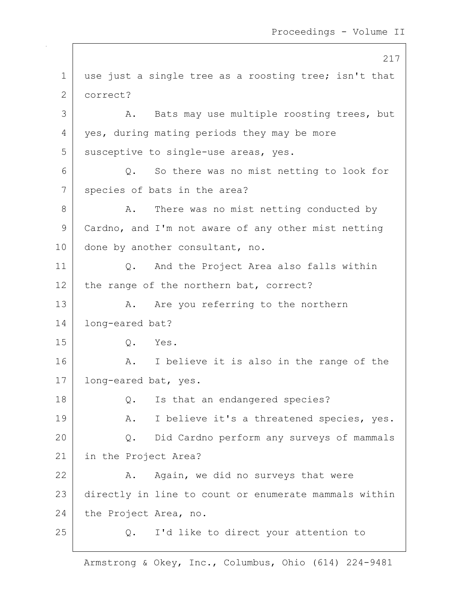217 1 | use just a single tree as a roosting tree; isn't that 2 correct? 3 A. Bats may use multiple roosting trees, but 4 | yes, during mating periods they may be more 5 susceptive to single-use areas, yes. 6 Q. So there was no mist netting to look for 7 species of bats in the area? 8 A. There was no mist netting conducted by 9 | Cardno, and I'm not aware of any other mist netting 10 done by another consultant, no. 11 | Q. And the Project Area also falls within 12 | the range of the northern bat, correct? 13 A. Are you referring to the northern 14 long-eared bat? 15 Q. Yes. 16 A. I believe it is also in the range of the 17 | long-eared bat, yes. 18 Q. Is that an endangered species? 19 | A. I believe it's a threatened species, yes. 20 Q. Did Cardno perform any surveys of mammals 21 in the Project Area?  $22$   $\sim$   $A$ . Again, we did no surveys that were 23 directly in line to count or enumerate mammals within 24 the Project Area, no. 25 Q. I'd like to direct your attention to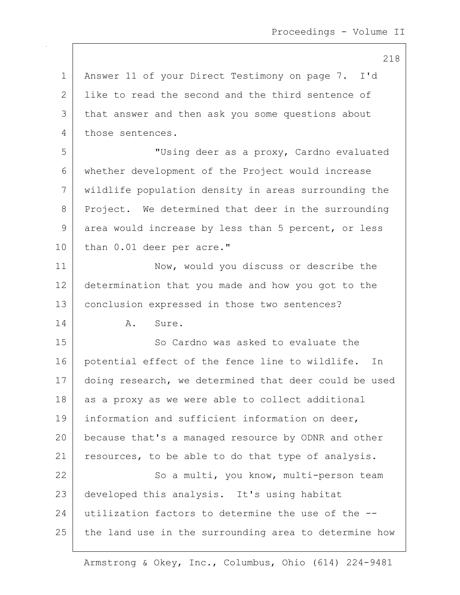218

1 | Answer 11 of your Direct Testimony on page 7. I'd 2 | like to read the second and the third sentence of 3 that answer and then ask you some questions about 4 those sentences.

5 "Using deer as a proxy, Cardno evaluated 6 whether development of the Project would increase 7 wildlife population density in areas surrounding the 8 Project. We determined that deer in the surrounding 9 area would increase by less than 5 percent, or less 10 than 0.01 deer per acre."

11 Now, would you discuss or describe the 12 determination that you made and how you got to the 13 | conclusion expressed in those two sentences?

14 A. Sure.

15 So Cardno was asked to evaluate the 16 potential effect of the fence line to wildlife. In 17 doing research, we determined that deer could be used  $18$  as a proxy as we were able to collect additional 19 information and sufficient information on deer, 20 because that's a managed resource by ODNR and other 21 | resources, to be able to do that type of analysis. 22 | So a multi, you know, multi-person team 23 developed this analysis. It's using habitat 24 utilization factors to determine the use of the --

 $25$  the land use in the surrounding area to determine how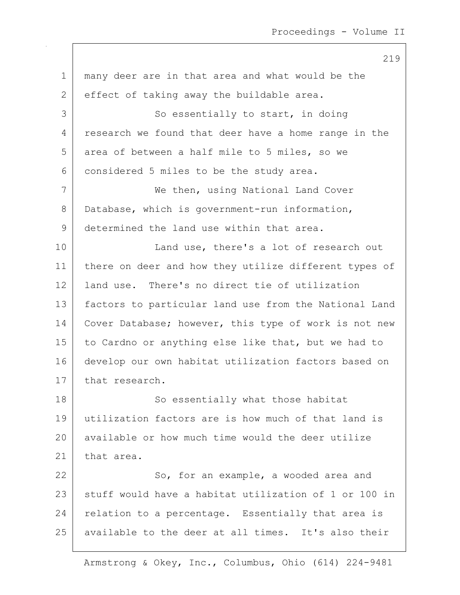| $\mathbf 1$  | many deer are in that area and what would be the      |
|--------------|-------------------------------------------------------|
| $\mathbf{2}$ | effect of taking away the buildable area.             |
| 3            | So essentially to start, in doing                     |
| 4            | research we found that deer have a home range in the  |
| 5            | area of between a half mile to 5 miles, so we         |
| 6            | considered 5 miles to be the study area.              |
| 7            | We then, using National Land Cover                    |
| 8            | Database, which is government-run information,        |
| $\mathsf 9$  | determined the land use within that area.             |
| 10           | Land use, there's a lot of research out               |
| 11           | there on deer and how they utilize different types of |
| 12           | land use. There's no direct tie of utilization        |
| 13           | factors to particular land use from the National Land |
| 14           | Cover Database; however, this type of work is not new |
| 15           | to Cardno or anything else like that, but we had to   |
| 16           | develop our own habitat utilization factors based on  |
| 17           | that research.                                        |
| 18           | So essentially what those habitat                     |
| 19           | utilization factors are is how much of that land is   |
| 20           | available or how much time would the deer utilize     |
| 21           | that area.                                            |
| 22           | So, for an example, a wooded area and                 |
| 23           | stuff would have a habitat utilization of 1 or 100 in |
| 24           | relation to a percentage. Essentially that area is    |
| 25           | available to the deer at all times. It's also their   |
|              |                                                       |

Armstrong & Okey, Inc., Columbus, Ohio (614) 224-9481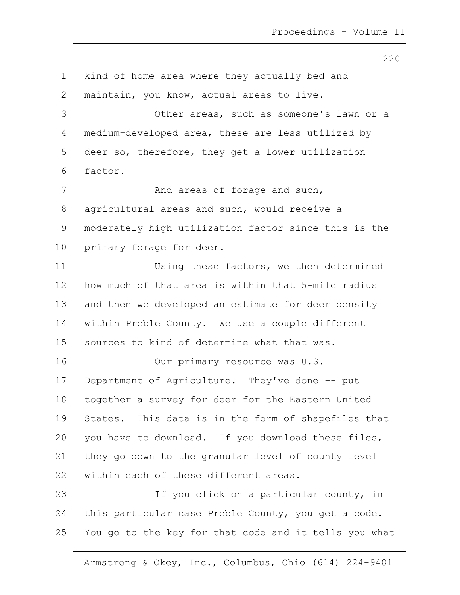1 | kind of home area where they actually bed and 2 | maintain, you know, actual areas to live. 3 Other areas, such as someone's lawn or a 4 | medium-developed area, these are less utilized by 5 deer so, therefore, they get a lower utilization 6 factor. 7 | And areas of forage and such, 8 agricultural areas and such, would receive a 9 moderately-high utilization factor since this is the 10 primary forage for deer. 11 | Using these factors, we then determined 12 how much of that area is within that 5-mile radius 13 and then we developed an estimate for deer density 14 within Preble County. We use a couple different 15 | sources to kind of determine what that was. 16 Our primary resource was U.S. 17 Department of Agriculture. They've done -- put 18 | together a survey for deer for the Eastern United 19 States. This data is in the form of shapefiles that 20 you have to download. If you download these files, 21 they go down to the granular level of county level 22 within each of these different areas. 23 | The State of the County, in the State of The State of The State of The State of the State of The State of T 24 this particular case Preble County, you get a code. 25 You go to the key for that code and it tells you what

Armstrong & Okey, Inc., Columbus, Ohio (614) 224-9481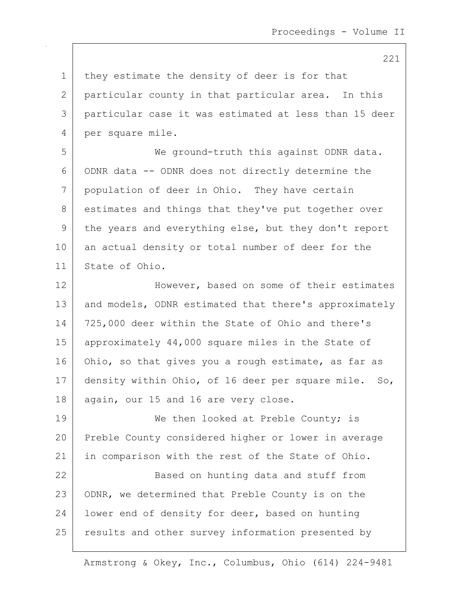221

| $\mathbf 1$ | they estimate the density of deer is for that         |
|-------------|-------------------------------------------------------|
| 2           | particular county in that particular area. In this    |
| 3           | particular case it was estimated at less than 15 deer |
| 4           | per square mile.                                      |
| 5           | We ground-truth this against ODNR data.               |
| 6           | ODNR data -- ODNR does not directly determine the     |
| 7           | population of deer in Ohio. They have certain         |
| 8           | estimates and things that they've put together over   |
| 9           | the years and everything else, but they don't report  |
| 10          | an actual density or total number of deer for the     |
| 11          | State of Ohio.                                        |
| 12          | However, based on some of their estimates             |
| 13          | and models, ODNR estimated that there's approximately |
| 14          | 725,000 deer within the State of Ohio and there's     |
| 15          | approximately 44,000 square miles in the State of     |
| 16          | Ohio, so that gives you a rough estimate, as far as   |
| 17          | density within Ohio, of 16 deer per square mile. So,  |
| 18          | again, our 15 and 16 are very close.                  |
| 19          | We then looked at Preble County; is                   |
| 20          | Preble County considered higher or lower in average   |
| 21          | in comparison with the rest of the State of Ohio.     |
| 22          | Based on hunting data and stuff from                  |
| 23          | ODNR, we determined that Preble County is on the      |
| 24          | lower end of density for deer, based on hunting       |
| 25          | results and other survey information presented by     |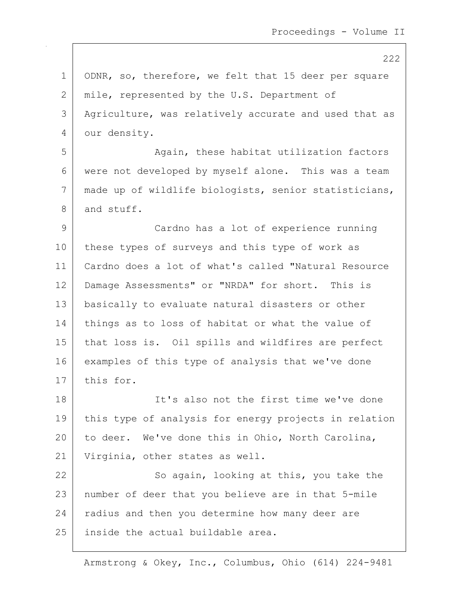1 | ODNR, so, therefore, we felt that 15 deer per square 2 mile, represented by the U.S. Department of 3 | Agriculture, was relatively accurate and used that as 4 our density. 5 | Again, these habitat utilization factors 6 were not developed by myself alone. This was a team 7 made up of wildlife biologists, senior statisticians, 8 and stuff. 9 Cardno has a lot of experience running 10 these types of surveys and this type of work as 11 Cardno does a lot of what's called "Natural Resource 12 Damage Assessments" or "NRDA" for short. This is 13 basically to evaluate natural disasters or other 14 things as to loss of habitat or what the value of 15 that loss is. Oil spills and wildfires are perfect 16 examples of this type of analysis that we've done 17 this for. 18 It's also not the first time we've done 19 this type of analysis for energy projects in relation 20 to deer. We've done this in Ohio, North Carolina, 21 Virginia, other states as well. 22 | So again, looking at this, you take the 23 number of deer that you believe are in that 5-mile 24 radius and then you determine how many deer are 25 | inside the actual buildable area.

Armstrong & Okey, Inc., Columbus, Ohio (614) 224-9481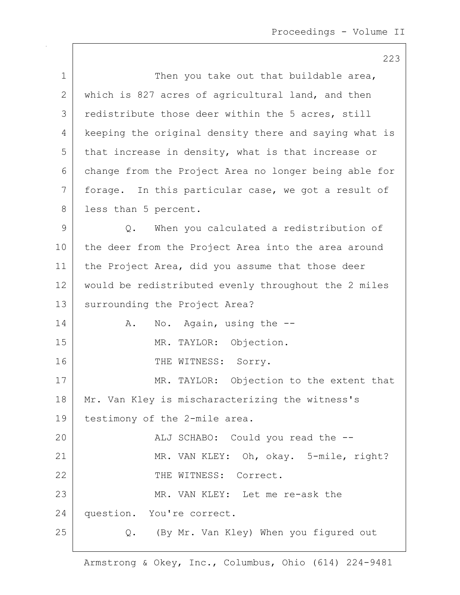|              | 223                                                   |
|--------------|-------------------------------------------------------|
| 1            | Then you take out that buildable area,                |
| $\mathbf{2}$ | which is 827 acres of agricultural land, and then     |
| 3            | redistribute those deer within the 5 acres, still     |
| 4            | keeping the original density there and saying what is |
| 5            | that increase in density, what is that increase or    |
| 6            | change from the Project Area no longer being able for |
| 7            | forage. In this particular case, we got a result of   |
| 8            | less than 5 percent.                                  |
| $\mathsf 9$  | When you calculated a redistribution of<br>Q.         |
| 10           | the deer from the Project Area into the area around   |
| 11           | the Project Area, did you assume that those deer      |
| 12           | would be redistributed evenly throughout the 2 miles  |
| 13           | surrounding the Project Area?                         |
| 14           | No. Again, using the --<br>Α.                         |
| 15           | MR. TAYLOR: Objection.                                |
| 16           | THE WITNESS: Sorry.                                   |
| 17           | MR. TAYLOR: Objection to the extent that              |
| 18           | Mr. Van Kley is mischaracterizing the witness's       |
| 19           | testimony of the 2-mile area.                         |
| 20           | ALJ SCHABO: Could you read the --                     |
| 21           | MR. VAN KLEY: Oh, okay. 5-mile, right?                |
| 22           | THE WITNESS: Correct.                                 |
| 23           | MR. VAN KLEY: Let me re-ask the                       |
| 24           | question. You're correct.                             |
| 25           | Q. (By Mr. Van Kley) When you figured out             |

 $\mathsf{I}$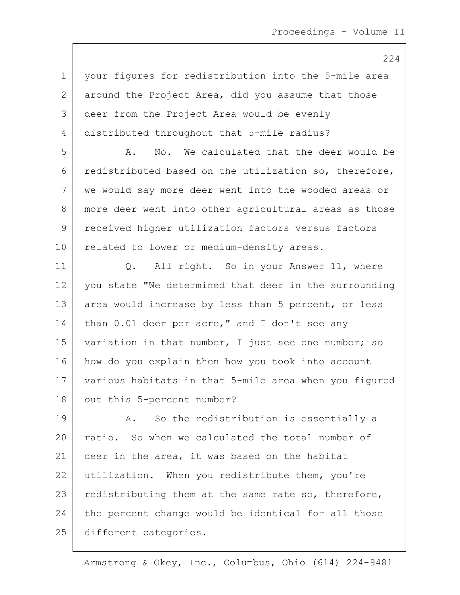1 your figures for redistribution into the 5-mile area 2 around the Project Area, did you assume that those 3 deer from the Project Area would be evenly 4 distributed throughout that 5-mile radius? 5 A. No. We calculated that the deer would be 6 redistributed based on the utilization so, therefore, 7 we would say more deer went into the wooded areas or 8 | more deer went into other agricultural areas as those 9 received higher utilization factors versus factors 10 related to lower or medium-density areas. 11 | Q. All right. So in your Answer 11, where 12 you state "We determined that deer in the surrounding 13 area would increase by less than 5 percent, or less 14 than 0.01 deer per acre," and I don't see any 15 | variation in that number, I just see one number; so 16 how do you explain then how you took into account 17 various habitats in that 5-mile area when you figured 18 | out this 5-percent number? 19 | A. So the redistribution is essentially a 20 ratio. So when we calculated the total number of 21 deer in the area, it was based on the habitat 22 utilization. When you redistribute them, you're 23 redistributing them at the same rate so, therefore, 24 the percent change would be identical for all those 25 different categories.

Armstrong & Okey, Inc., Columbus, Ohio (614) 224-9481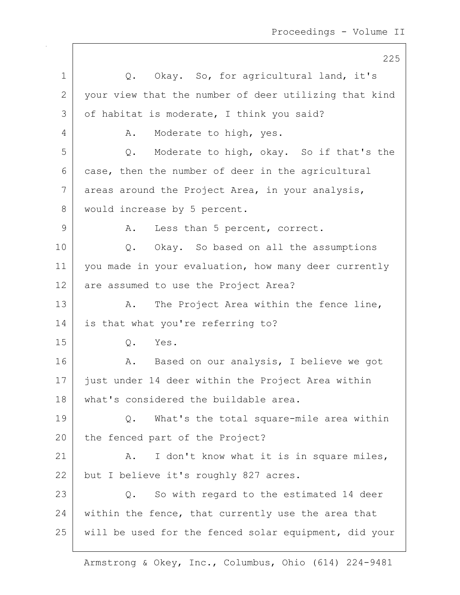225 1 |  $Q.$  Okay. So, for agricultural land, it's 2 your view that the number of deer utilizing that kind 3 of habitat is moderate, I think you said? 4 A. Moderate to high, yes. 5 Q. Moderate to high, okay. So if that's the 6 case, then the number of deer in the agricultural 7 areas around the Project Area, in your analysis, 8 | would increase by 5 percent. 9 A. Less than 5 percent, correct. 10 | Q. Okay. So based on all the assumptions 11 | you made in your evaluation, how many deer currently 12 are assumed to use the Project Area? 13 A. The Project Area within the fence line, 14 is that what you're referring to? 15 Q. Yes. 16 A. Based on our analysis, I believe we got 17 just under 14 deer within the Project Area within 18 what's considered the buildable area. 19 Q. What's the total square-mile area within 20 the fenced part of the Project? 21 | A. I don't know what it is in square miles, 22 but I believe it's roughly 827 acres. 23 | Q. So with regard to the estimated 14 deer  $24$  within the fence, that currently use the area that 25 will be used for the fenced solar equipment, did your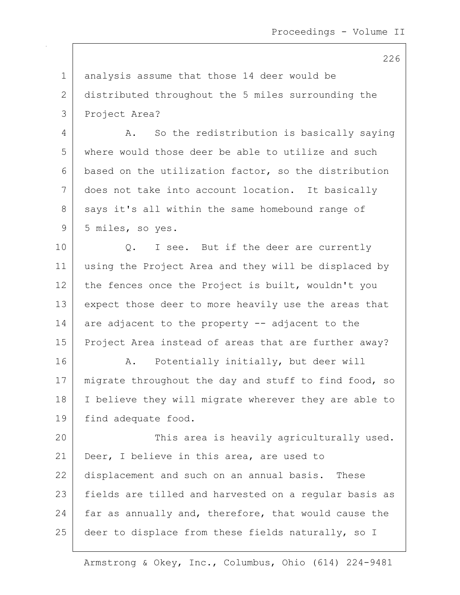1 analysis assume that those 14 deer would be 2 distributed throughout the 5 miles surrounding the 3 Project Area?

4 A. So the redistribution is basically saying 5 where would those deer be able to utilize and such 6 based on the utilization factor, so the distribution 7 does not take into account location. It basically 8 says it's all within the same homebound range of 9 5 miles, so yes.

10 | Q. I see. But if the deer are currently 11 using the Project Area and they will be displaced by 12 the fences once the Project is built, wouldn't you 13 expect those deer to more heavily use the areas that 14 are adjacent to the property  $-$  adjacent to the 15 | Project Area instead of areas that are further away?

16 | A. Potentially initially, but deer will 17 | migrate throughout the day and stuff to find food, so 18 I believe they will migrate wherever they are able to 19 | find adequate food.

20 This area is heavily agriculturally used. 21 Deer, I believe in this area, are used to 22 displacement and such on an annual basis. These 23 | fields are tilled and harvested on a regular basis as 24  $\vert$  far as annually and, therefore, that would cause the 25 deer to displace from these fields naturally, so I

Armstrong & Okey, Inc., Columbus, Ohio (614) 224-9481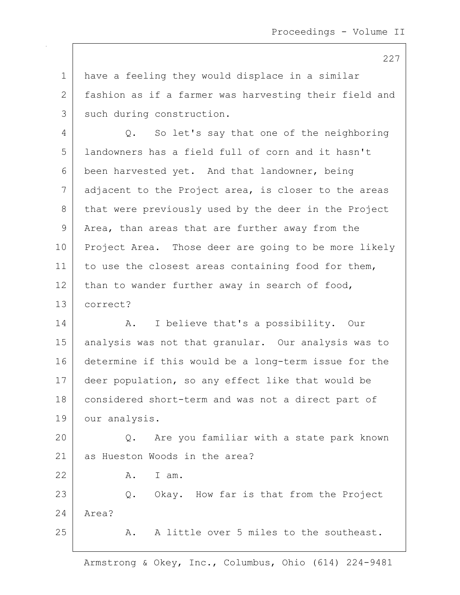1 have a feeling they would displace in a similar 2 | fashion as if a farmer was harvesting their field and 3 | such during construction.

4 Q. So let's say that one of the neighboring 5 landowners has a field full of corn and it hasn't 6 been harvested yet. And that landowner, being  $7$  adjacent to the Project area, is closer to the areas 8 that were previously used by the deer in the Project 9 Area, than areas that are further away from the 10 Project Area. Those deer are going to be more likely 11 to use the closest areas containing food for them,  $12$  than to wander further away in search of food, 13 correct?

14 | A. I believe that's a possibility. Our 15 analysis was not that granular. Our analysis was to 16 determine if this would be a long-term issue for the 17 deer population, so any effect like that would be 18 | considered short-term and was not a direct part of 19 our analysis.

20 Q. Are you familiar with a state park known 21 as Hueston Woods in the area?

22 A. I am.

23 Q. Okay. How far is that from the Project 24 Area?

25 A. A little over 5 miles to the southeast.

Armstrong & Okey, Inc., Columbus, Ohio (614) 224-9481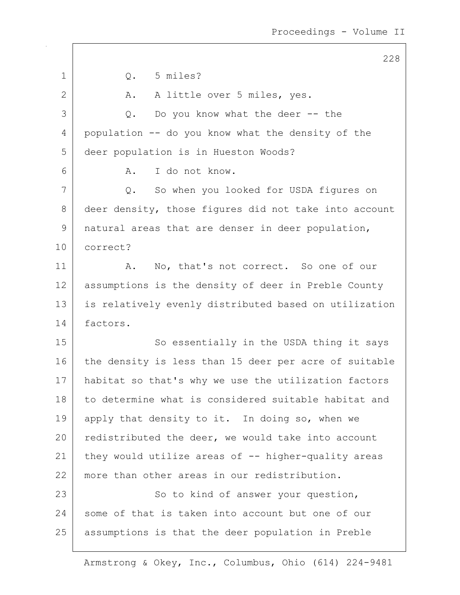| $\mathbf 1$  | 5 miles?<br>Q.                                        |
|--------------|-------------------------------------------------------|
| $\mathbf{2}$ | A little over 5 miles, yes.<br>Α.                     |
| 3            | Do you know what the deer $--$ the<br>Q.              |
| 4            | population -- do you know what the density of the     |
| 5            | deer population is in Hueston Woods?                  |
| 6            | I do not know.<br>Α.                                  |
| 7            | So when you looked for USDA figures on<br>Q.          |
| 8            | deer density, those figures did not take into account |
| 9            | natural areas that are denser in deer population,     |
| 10           | correct?                                              |
| 11           | No, that's not correct. So one of our<br>Α.           |
| 12           | assumptions is the density of deer in Preble County   |
| 13           | is relatively evenly distributed based on utilization |
| 14           | factors.                                              |
| 15           | So essentially in the USDA thing it says              |
| 16           | the density is less than 15 deer per acre of suitable |
| 17           | habitat so that's why we use the utilization factors  |
| 18           | to determine what is considered suitable habitat and  |
| 19           | apply that density to it. In doing so, when we        |
| 20           | redistributed the deer, we would take into account    |
| 21           | they would utilize areas of $-$ higher-quality areas  |
| 22           | more than other areas in our redistribution.          |
| 23           | So to kind of answer your question,                   |
| 24           | some of that is taken into account but one of our     |
| 25           | assumptions is that the deer population in Preble     |
|              |                                                       |

Armstrong & Okey, Inc., Columbus, Ohio (614) 224-9481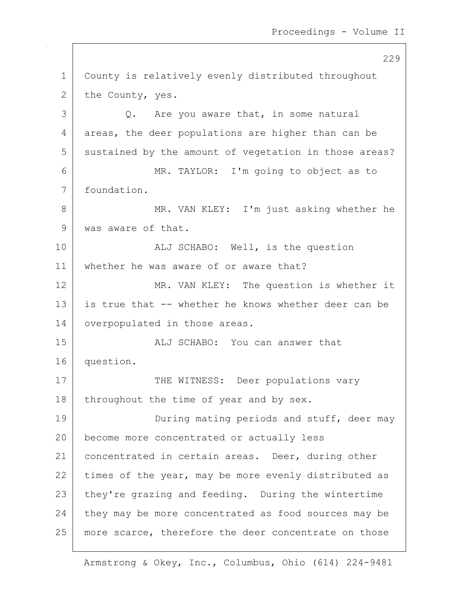229 1 County is relatively evenly distributed throughout 2 the County, yes.  $3$  Q. Are you aware that, in some natural 4 areas, the deer populations are higher than can be 5 sustained by the amount of vegetation in those areas? 6 MR. TAYLOR: I'm going to object as to 7 foundation. 8 MR. VAN KLEY: I'm just asking whether he 9 was aware of that. 10 | REGILER ALJ SCHABO: Well, is the question 11 whether he was aware of or aware that? 12 MR. VAN KLEY: The question is whether it 13 is true that -- whether he knows whether deer can be 14 | overpopulated in those areas. 15 | ALJ SCHABO: You can answer that 16 question. 17 THE WITNESS: Deer populations vary 18 | throughout the time of year and by sex. 19 During mating periods and stuff, deer may 20 become more concentrated or actually less 21 | concentrated in certain areas. Deer, during other  $22$  times of the year, may be more evenly distributed as 23 they're grazing and feeding. During the wintertime 24 they may be more concentrated as food sources may be 25 | more scarce, therefore the deer concentrate on those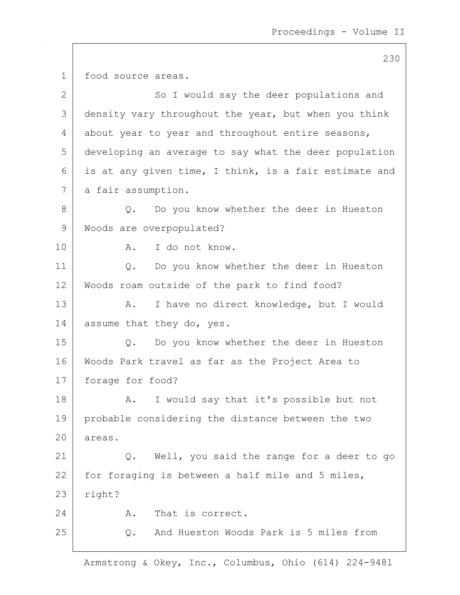230 1 food source areas. 2 So I would say the deer populations and 3 density vary throughout the year, but when you think 4 about year to year and throughout entire seasons, 5 developing an average to say what the deer population 6 | is at any given time, I think, is a fair estimate and 7 a fair assumption. 8 Q. Do you know whether the deer in Hueston 9 | Woods are overpopulated? 10 R. I do not know. 11 | Q. Do you know whether the deer in Hueston 12 Woods roam outside of the park to find food? 13 | A. I have no direct knowledge, but I would 14 assume that they do, yes. 15 | Q. Do you know whether the deer in Hueston 16 Woods Park travel as far as the Project Area to 17 forage for food? 18 | A. I would say that it's possible but not 19 probable considering the distance between the two 20 areas. 21 | Q. Well, you said the range for a deer to go  $22$  for foraging is between a half mile and 5 miles,  $23$  right? 24 A. That is correct. 25 Q. And Hueston Woods Park is 5 miles from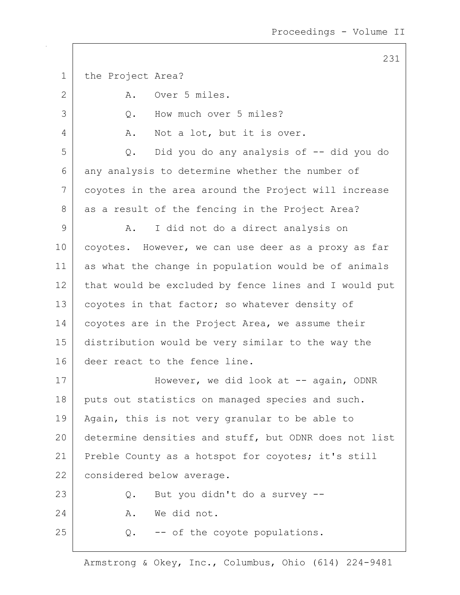1 the Project Area? 2 A. Over 5 miles. 3 Q. How much over 5 miles? 4 A. Not a lot, but it is over. 5 Q. Did you do any analysis of -- did you do 6 any analysis to determine whether the number of 7 coyotes in the area around the Project will increase 8 as a result of the fencing in the Project Area? 9 | A. I did not do a direct analysis on 10 coyotes. However, we can use deer as a proxy as far 11 as what the change in population would be of animals 12 that would be excluded by fence lines and I would put 13 | coyotes in that factor; so whatever density of 14 coyotes are in the Project Area, we assume their 15 distribution would be very similar to the way the 16 deer react to the fence line. 17 | However, we did look at -- again, ODNR 18 puts out statistics on managed species and such. 19 | Again, this is not very granular to be able to 20 determine densities and stuff, but ODNR does not list 21 Preble County as a hotspot for coyotes; it's still 22 considered below average. 23 Q. But you didn't do a survey --24 A. We did not.  $25$  Q.  $-$ - of the coyote populations.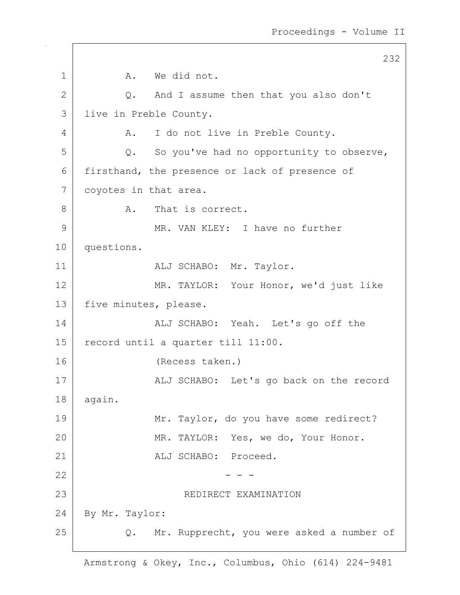232 1 A. We did not. 2 Q. And I assume then that you also don't 3 live in Preble County. 4 A. I do not live in Preble County.  $5$  Q. So you've had no opportunity to observe, 6 firsthand, the presence or lack of presence of 7 | coyotes in that area. 8 A. That is correct. 9 MR. VAN KLEY: I have no further 10 questions. 11 | ALJ SCHABO: Mr. Taylor. 12 MR. TAYLOR: Your Honor, we'd just like 13 | five minutes, please. 14 | ALJ SCHABO: Yeah. Let's go off the 15 | record until a quarter till 11:00. 16 (Recess taken.) 17 | ALJ SCHABO: Let's go back on the record 18 again. 19 Mr. Taylor, do you have some redirect? 20 MR. TAYLOR: Yes, we do, Your Honor. 21 | ALJ SCHABO: Proceed.  $22$   $-$  - -23 | REDIRECT EXAMINATION 24 By Mr. Taylor: 25 | Q. Mr. Rupprecht, you were asked a number of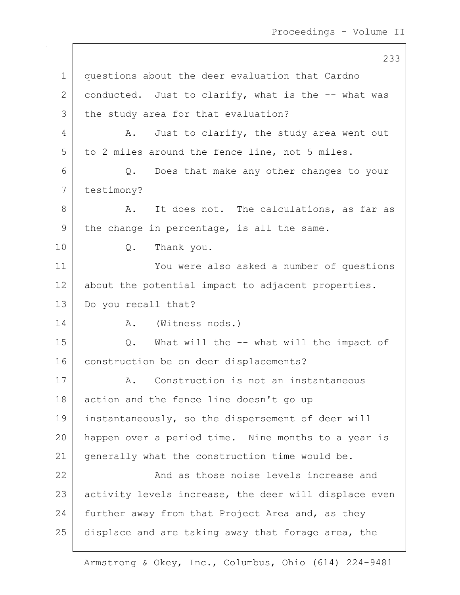233 1 questions about the deer evaluation that Cardno 2 conducted. Just to clarify, what is the  $-$ - what was 3 the study area for that evaluation? 4 A. Just to clarify, the study area went out  $5$  to 2 miles around the fence line, not 5 miles. 6 Q. Does that make any other changes to your 7 testimony? 8 A. It does not. The calculations, as far as  $9$  the change in percentage, is all the same. 10 | Q. Thank you. 11 You were also asked a number of questions 12 about the potential impact to adjacent properties. 13 Do you recall that? 14 R. (Witness nods.) 15 Q. What will the -- what will the impact of 16 construction be on deer displacements? 17 A. Construction is not an instantaneous 18 action and the fence line doesn't go up 19 | instantaneously, so the dispersement of deer will 20 happen over a period time. Nine months to a year is 21 | generally what the construction time would be. 22 **And as those noise levels increase and** 23 activity levels increase, the deer will displace even 24 further away from that Project Area and, as they 25 displace and are taking away that forage area, the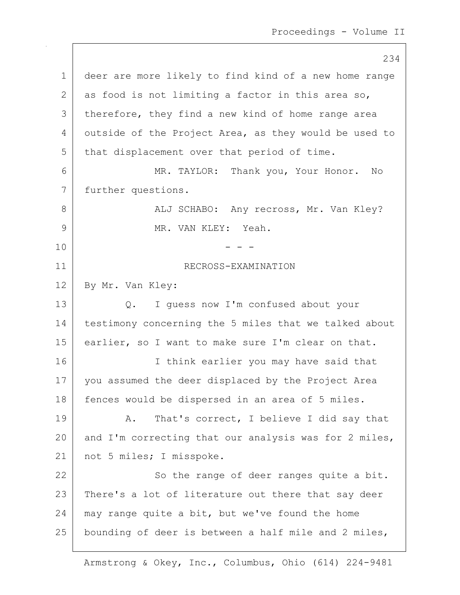234 1 deer are more likely to find kind of a new home range 2 as food is not limiting a factor in this area so, 3 | therefore, they find a new kind of home range area 4 outside of the Project Area, as they would be used to 5 that displacement over that period of time. 6 MR. TAYLOR: Thank you, Your Honor. No 7 further questions. 8 | ALJ SCHABO: Any recross, Mr. Van Kley? 9 MR. VAN KLEY: Yeah.  $10$  - - -11 | RECROSS-EXAMINATION 12 By Mr. Van Kley: 13 Q. I guess now I'm confused about your 14 testimony concerning the 5 miles that we talked about 15 earlier, so I want to make sure I'm clear on that. 16 I think earlier you may have said that 17 | you assumed the deer displaced by the Project Area 18 | fences would be dispersed in an area of 5 miles. 19 | A. That's correct, I believe I did say that 20  $\vert$  and I'm correcting that our analysis was for 2 miles, 21 | not 5 miles; I misspoke. 22 | So the range of deer ranges quite a bit. 23 | There's a lot of literature out there that say deer  $24$  may range quite a bit, but we've found the home 25 | bounding of deer is between a half mile and 2 miles,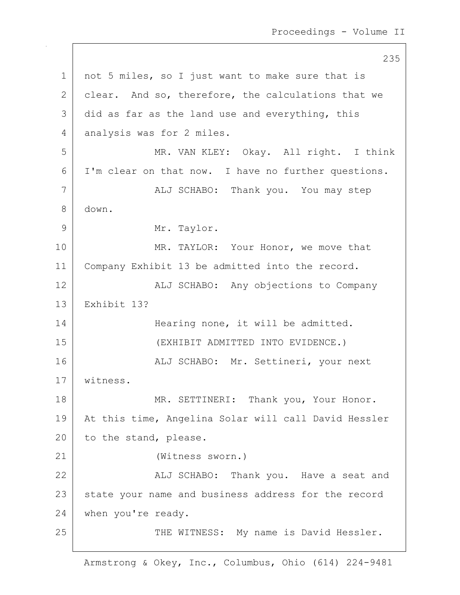235 1 | not 5 miles, so I just want to make sure that is 2 clear. And so, therefore, the calculations that we  $3$  did as far as the land use and everything, this 4 analysis was for 2 miles. 5 MR. VAN KLEY: Okay. All right. I think 6 I'm clear on that now. I have no further questions. 7 | ALJ SCHABO: Thank you. You may step 8 down. 9 Mr. Taylor. 10 MR. TAYLOR: Your Honor, we move that 11 Company Exhibit 13 be admitted into the record. 12 | ALJ SCHABO: Any objections to Company 13 Exhibit 13? 14 Hearing none, it will be admitted. 15 (EXHIBIT ADMITTED INTO EVIDENCE.) 16 | ALJ SCHABO: Mr. Settineri, your next 17 witness. 18 | MR. SETTINERI: Thank you, Your Honor. 19 At this time, Angelina Solar will call David Hessler 20 to the stand, please. 21 (Witness sworn.) 22 | Kalj SCHABO: Thank you. Have a seat and 23 state your name and business address for the record 24 when you're ready. 25 | THE WITNESS: My name is David Hessler.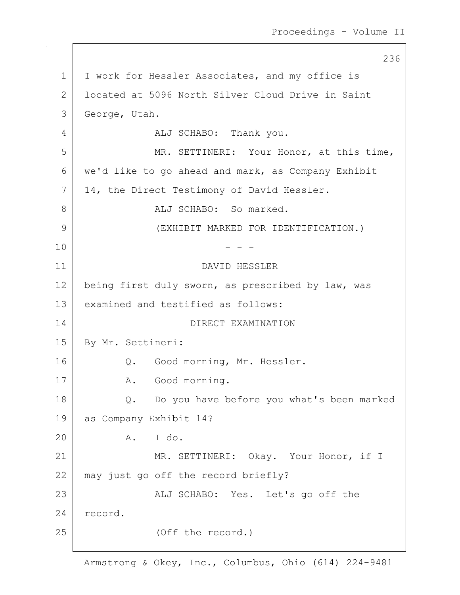236 1 | I work for Hessler Associates, and my office is 2 located at 5096 North Silver Cloud Drive in Saint 3 George, Utah. 4 ALJ SCHABO: Thank you. 5 MR. SETTINERI: Your Honor, at this time, 6 | we'd like to go ahead and mark, as Company Exhibit 7 | 14, the Direct Testimony of David Hessler. 8 ALJ SCHABO: So marked. 9 (EXHIBIT MARKED FOR IDENTIFICATION.)  $10$  - - -11 DAVID HESSLER 12 being first duly sworn, as prescribed by law, was 13 examined and testified as follows: 14 DIRECT EXAMINATION 15 | By Mr. Settineri: 16 | Q. Good morning, Mr. Hessler. 17 | A. Good morning. 18 Q. Do you have before you what's been marked 19 as Company Exhibit 14? 20 A. I do. 21 MR. SETTINERI: Okay. Your Honor, if I 22 may just go off the record briefly? 23 | ALJ SCHABO: Yes. Let's go off the 24 record. 25 (Off the record.)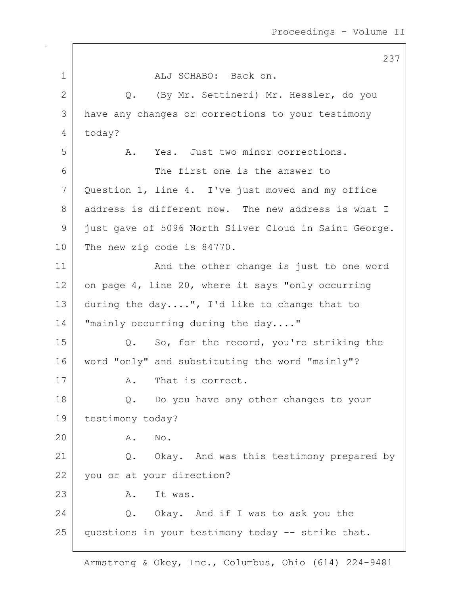|              | 237                                                   |
|--------------|-------------------------------------------------------|
| $\mathbf 1$  | ALJ SCHABO: Back on.                                  |
| $\mathbf{2}$ | (By Mr. Settineri) Mr. Hessler, do you<br>$Q$ .       |
| 3            | have any changes or corrections to your testimony     |
| 4            | today?                                                |
| 5            | A. Yes. Just two minor corrections.                   |
| 6            | The first one is the answer to                        |
| 7            | Question 1, line 4. I've just moved and my office     |
| 8            | address is different now. The new address is what I   |
| 9            | just gave of 5096 North Silver Cloud in Saint George. |
| 10           | The new zip code is 84770.                            |
| 11           | And the other change is just to one word              |
| 12           | on page 4, line 20, where it says "only occurring     |
| 13           | during the day", I'd like to change that to           |
| 14           | "mainly occurring during the day"                     |
| 15           | Q. So, for the record, you're striking the            |
| 16           | word "only" and substituting the word "mainly"?       |
| 17           | A. That is correct.                                   |
| 18           | Do you have any other changes to your<br>Q.           |
| 19           | testimony today?                                      |
| 20           | Α.<br>No.                                             |
| 21           | Q. Okay. And was this testimony prepared by           |
| 22           | you or at your direction?                             |
| 23           | It was.<br>Α.                                         |
| 24           | Q. Okay. And if I was to ask you the                  |
| 25           | questions in your testimony today -- strike that.     |
|              |                                                       |

 $\sqrt{ }$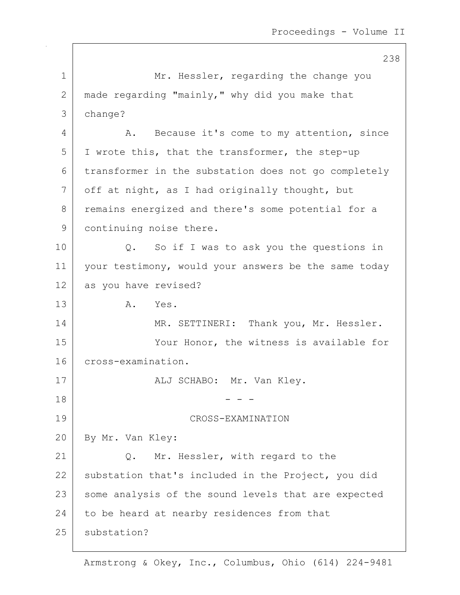238 1 Mr. Hessler, regarding the change you 2 made regarding "mainly," why did you make that 3 change? 4 A. Because it's come to my attention, since 5 I wrote this, that the transformer, the step-up 6 transformer in the substation does not go completely  $7$  off at night, as I had originally thought, but 8 remains energized and there's some potential for a 9 continuing noise there. 10 Q. So if I was to ask you the questions in 11 your testimony, would your answers be the same today 12 as you have revised? 13 A. Yes. 14 MR. SETTINERI: Thank you, Mr. Hessler. 15 Your Honor, the witness is available for 16 cross-examination. 17 | ALJ SCHABO: Mr. Van Kley.  $18$  - - -19 CROSS-EXAMINATION 20 By Mr. Van Kley: 21 Q. Mr. Hessler, with regard to the 22 substation that's included in the Project, you did 23 | some analysis of the sound levels that are expected 24 to be heard at nearby residences from that 25 substation?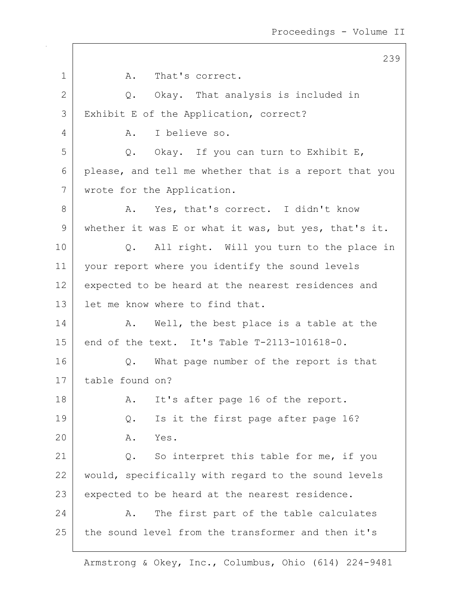239 1 A. That's correct. 2 Q. Okay. That analysis is included in 3 Exhibit E of the Application, correct? 4 A. I believe so.  $5$  Q. Okay. If you can turn to Exhibit E, 6 please, and tell me whether that is a report that you 7 wrote for the Application. 8 A. Yes, that's correct. I didn't know 9 | whether it was E or what it was, but yes, that's it. 10 | Q. All right. Will you turn to the place in 11 your report where you identify the sound levels 12 expected to be heard at the nearest residences and 13 l let me know where to find that. 14 A. Well, the best place is a table at the 15 end of the text. It's Table T-2113-101618-0. 16 | Q. What page number of the report is that 17 table found on? 18 | R. It's after page 16 of the report. 19 Q. Is it the first page after page 16? 20 A. Yes. 21  $\vert$  Q. So interpret this table for me, if you 22 | would, specifically with regard to the sound levels 23 expected to be heard at the nearest residence. 24 A. The first part of the table calculates 25 the sound level from the transformer and then it's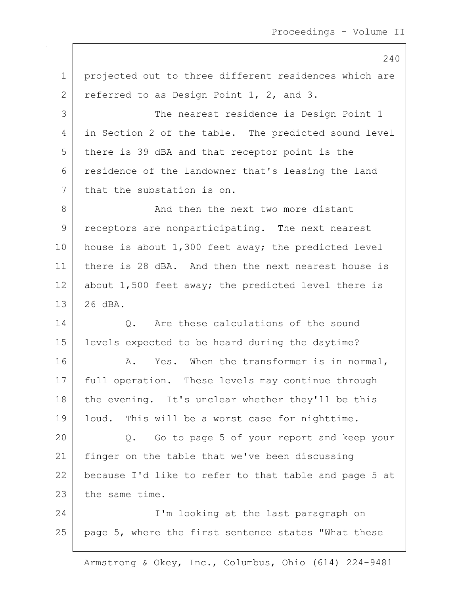240 1 | projected out to three different residences which are 2 referred to as Design Point 1, 2, and 3. 3 | The nearest residence is Design Point 1 4 in Section 2 of the table. The predicted sound level 5 there is 39 dBA and that receptor point is the 6 residence of the landowner that's leasing the land 7 that the substation is on. 8 And then the next two more distant 9 receptors are nonparticipating. The next nearest 10 | house is about 1,300 feet away; the predicted level 11 there is 28 dBA. And then the next nearest house is 12 about 1,500 feet away; the predicted level there is 13 26 dBA. 14 O. Are these calculations of the sound 15 levels expected to be heard during the daytime? 16 | A. Yes. When the transformer is in normal, 17 | full operation. These levels may continue through 18 | the evening. It's unclear whether they'll be this 19 | loud. This will be a worst case for nighttime. 20 Q. Go to page 5 of your report and keep your 21 | finger on the table that we've been discussing 22 because I'd like to refer to that table and page 5 at 23 the same time. 24 I'm looking at the last paragraph on 25 page 5, where the first sentence states "What these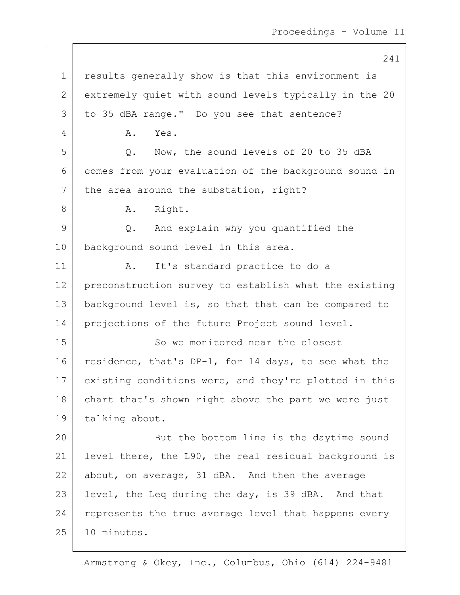241 1 results generally show is that this environment is 2 extremely quiet with sound levels typically in the 20 3 to 35 dBA range." Do you see that sentence? 4 A. Yes. 5 Q. Now, the sound levels of 20 to 35 dBA 6 comes from your evaluation of the background sound in  $7$  the area around the substation, right? 8 A. Right. 9 Q. And explain why you quantified the 10 | background sound level in this area. 11 | A. It's standard practice to do a 12 preconstruction survey to establish what the existing 13 | background level is, so that that can be compared to 14 projections of the future Project sound level. 15 So we monitored near the closest 16 residence, that's DP-1, for 14 days, to see what the 17 existing conditions were, and they're plotted in this 18 | chart that's shown right above the part we were just 19 talking about. 20 **But the bottom line is the daytime sound** 21 level there, the L90, the real residual background is 22 about, on average, 31 dBA. And then the average 23 | level, the Leq during the day, is 39 dBA. And that  $24$  represents the true average level that happens every  $25$  | 10 minutes.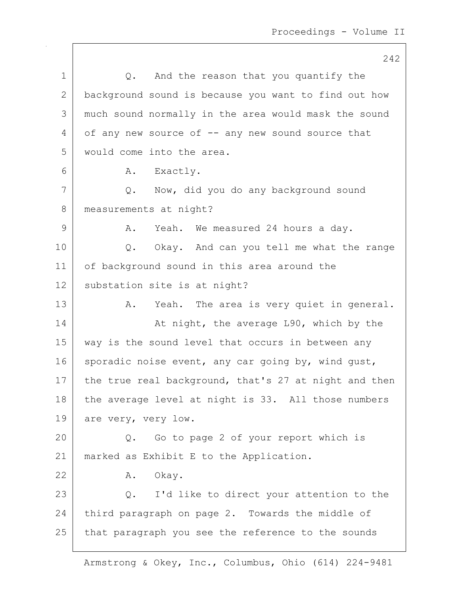242 1 | Q. And the reason that you quantify the 2 background sound is because you want to find out how 3 much sound normally in the area would mask the sound  $4 \mid$  of any new source of  $-$  any new sound source that 5 would come into the area. 6 | A. Exactly. 7 Q. Now, did you do any background sound 8 | measurements at night? 9 A. Yeah. We measured 24 hours a day. 10 Q. Okay. And can you tell me what the range 11 of background sound in this area around the 12 substation site is at night? 13 A. Yeah. The area is very quiet in general. 14 At night, the average L90, which by the 15 | way is the sound level that occurs in between any 16 sporadic noise event, any car going by, wind qust, 17 the true real background, that's 27 at night and then 18 the average level at night is 33. All those numbers 19 are very, very low. 20 Q. Go to page 2 of your report which is 21 | marked as Exhibit E to the Application. 22 A. Okay. 23 Q. I'd like to direct your attention to the 24 third paragraph on page 2. Towards the middle of 25 that paragraph you see the reference to the sounds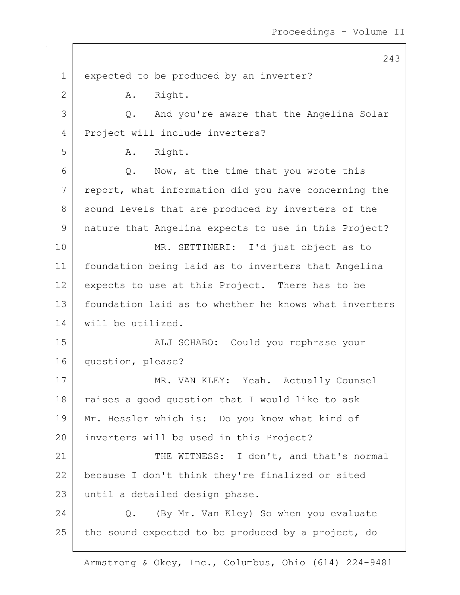1 expected to be produced by an inverter? 2 A. Right. 3 Q. And you're aware that the Angelina Solar 4 Project will include inverters? 5 A. Right.  $6$  Q. Now, at the time that you wrote this  $7$  report, what information did you have concerning the 8 sound levels that are produced by inverters of the 9 nature that Angelina expects to use in this Project? 10 MR. SETTINERI: I'd just object as to 11 foundation being laid as to inverters that Angelina 12 expects to use at this Project. There has to be 13 foundation laid as to whether he knows what inverters 14 will be utilized. 15 ALJ SCHABO: Could you rephrase your 16 question, please? 17 MR. VAN KLEY: Yeah. Actually Counsel 18 | raises a good question that I would like to ask 19 | Mr. Hessler which is: Do you know what kind of 20 inverters will be used in this Project? 21 | THE WITNESS: I don't, and that's normal 22 because I don't think they're finalized or sited 23 | until a detailed design phase. 24 | C. (By Mr. Van Kley) So when you evaluate 25 the sound expected to be produced by a project, do

Armstrong & Okey, Inc., Columbus, Ohio (614) 224-9481

243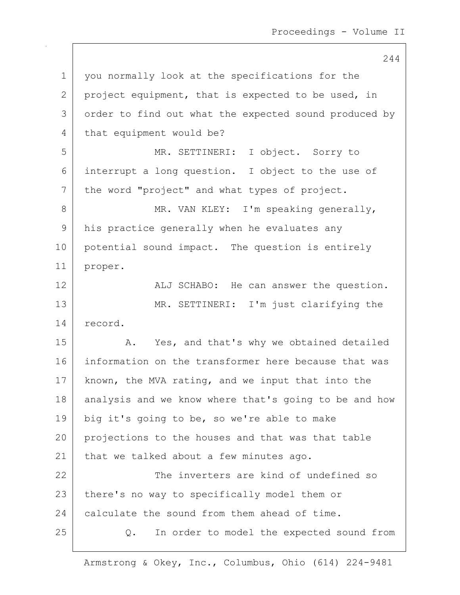244 1 | you normally look at the specifications for the 2 | project equipment, that is expected to be used, in 3 order to find out what the expected sound produced by 4 that equipment would be? 5 MR. SETTINERI: I object. Sorry to 6 interrupt a long question. I object to the use of 7 | the word "project" and what types of project. 8 | MR. VAN KLEY: I'm speaking generally, 9 his practice generally when he evaluates any 10 potential sound impact. The question is entirely 11 proper. 12 | ALJ SCHABO: He can answer the question. 13 MR. SETTINERI: I'm just clarifying the 14 record. 15 | A. Yes, and that's why we obtained detailed 16 information on the transformer here because that was 17 | known, the MVA rating, and we input that into the 18 analysis and we know where that's going to be and how 19 big it's going to be, so we're able to make 20 projections to the houses and that was that table 21 | that we talked about a few minutes ago. 22 The inverters are kind of undefined so 23 | there's no way to specifically model them or 24 calculate the sound from them ahead of time. 25 Q. In order to model the expected sound from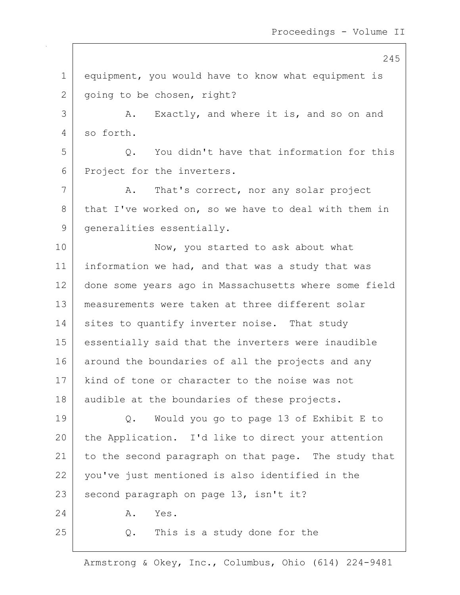245

1 equipment, you would have to know what equipment is 2 going to be chosen, right? 3 A. Exactly, and where it is, and so on and 4 so forth. 5 | C. You didn't have that information for this 6 Project for the inverters. 7 A. That's correct, nor any solar project 8 that I've worked on, so we have to deal with them in 9 | generalities essentially. 10 Now, you started to ask about what 11 | information we had, and that was a study that was 12 done some years ago in Massachusetts where some field 13 measurements were taken at three different solar 14 sites to quantify inverter noise. That study 15 essentially said that the inverters were inaudible 16 around the boundaries of all the projects and any 17 | kind of tone or character to the noise was not 18 | audible at the boundaries of these projects. 19 Q. Would you go to page 13 of Exhibit E to 20 the Application. I'd like to direct your attention 21 to the second paragraph on that page. The study that 22 you've just mentioned is also identified in the  $23$  second paragraph on page 13, isn't it? 24 A. Yes.  $25$  Q. This is a study done for the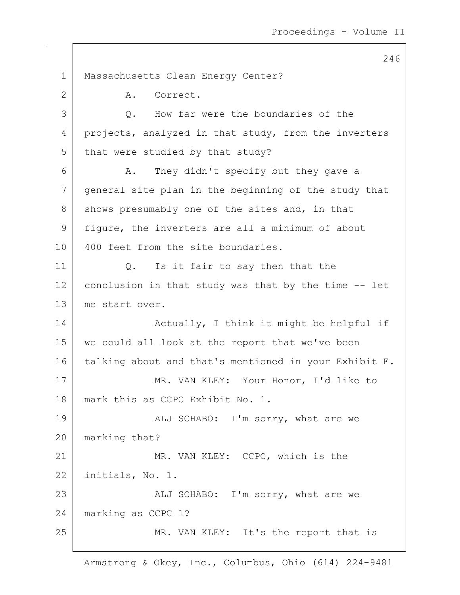246 1 | Massachusetts Clean Energy Center? 2 A. Correct. 3 O. How far were the boundaries of the 4 projects, analyzed in that study, from the inverters  $5$  that were studied by that study? 6 A. They didn't specify but they gave a 7 general site plan in the beginning of the study that  $8$  shows presumably one of the sites and, in that 9 figure, the inverters are all a minimum of about 10 400 feet from the site boundaries. 11 | Q. Is it fair to say then that the 12 conclusion in that study was that by the time  $-$ - let 13 me start over. 14 | Retually, I think it might be helpful if 15 we could all look at the report that we've been 16 talking about and that's mentioned in your Exhibit E. 17 MR. VAN KLEY: Your Honor, I'd like to 18 mark this as CCPC Exhibit No. 1. 19 | ALJ SCHABO: I'm sorry, what are we 20 marking that? 21 MR. VAN KLEY: CCPC, which is the 22 initials, No. 1. 23 | ALJ SCHABO: I'm sorry, what are we 24 | marking as CCPC 1? 25 MR. VAN KLEY: It's the report that is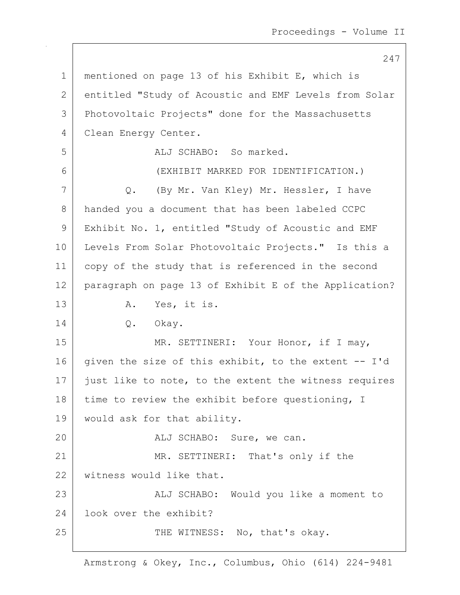1 mentioned on page 13 of his Exhibit E, which is 2 entitled "Study of Acoustic and EMF Levels from Solar 3 Photovoltaic Projects" done for the Massachusetts 4 | Clean Energy Center. 5 ALJ SCHABO: So marked. 6 (EXHIBIT MARKED FOR IDENTIFICATION.) 7 Q. (By Mr. Van Kley) Mr. Hessler, I have 8 handed you a document that has been labeled CCPC 9 Exhibit No. 1, entitled "Study of Acoustic and EMF 10 | Levels From Solar Photovoltaic Projects." Is this a 11 copy of the study that is referenced in the second 12 paragraph on page 13 of Exhibit E of the Application? 13 A. Yes, it is. 14 | Q. Okay. 15 | MR. SETTINERI: Your Honor, if I may, 16 given the size of this exhibit, to the extent  $-$ - I'd 17 just like to note, to the extent the witness requires  $18$  time to review the exhibit before questioning, I 19 would ask for that ability. 20 | REALJ SCHABO: Sure, we can. 21 MR. SETTINERI: That's only if the 22 | witness would like that. 23 | Kalj SCHABO: Would you like a moment to 24 look over the exhibit? 25 | THE WITNESS: No, that's okay.

Armstrong & Okey, Inc., Columbus, Ohio (614) 224-9481

247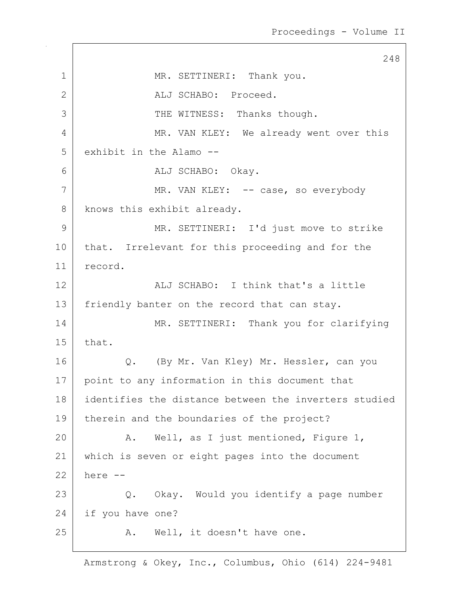248 1 MR. SETTINERI: Thank you. 2 ALJ SCHABO: Proceed. 3 THE WITNESS: Thanks though. 4 MR. VAN KLEY: We already went over this 5 exhibit in the Alamo --6 ALJ SCHABO: Okay. 7 MR. VAN KLEY: -- case, so everybody 8 knows this exhibit already. 9 MR. SETTINERI: I'd just move to strike 10 | that. Irrelevant for this proceeding and for the 11 record. 12 ALJ SCHABO: I think that's a little 13 | friendly banter on the record that can stay. 14 MR. SETTINERI: Thank you for clarifying  $15$  that. 16 Q. (By Mr. Van Kley) Mr. Hessler, can you 17 point to any information in this document that 18 identifies the distance between the inverters studied 19 | therein and the boundaries of the project? 20 A. Well, as I just mentioned, Figure 1, 21 which is seven or eight pages into the document 22 here -- 23 | Q. Okay. Would you identify a page number 24 if you have one? 25 | R. Well, it doesn't have one.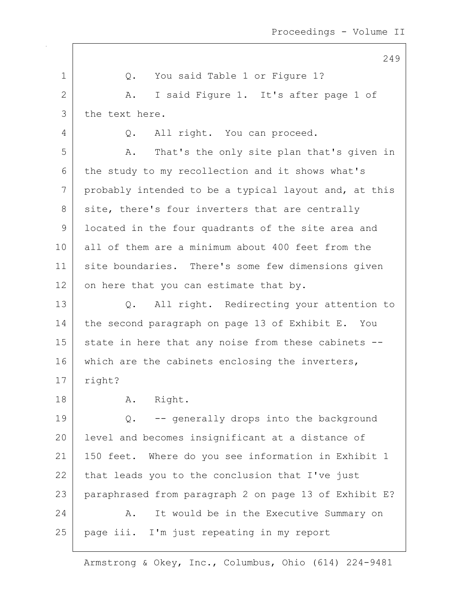|             | 249                                                   |
|-------------|-------------------------------------------------------|
| $\mathbf 1$ | You said Table 1 or Figure 1?<br>Q.                   |
| 2           | I said Figure 1. It's after page 1 of<br>A.           |
| 3           | the text here.                                        |
| 4           | All right. You can proceed.<br>Q.                     |
| 5           | That's the only site plan that's given in<br>Α.       |
| 6           | the study to my recollection and it shows what's      |
| 7           | probably intended to be a typical layout and, at this |
| 8           | site, there's four inverters that are centrally       |
| 9           | located in the four quadrants of the site area and    |
| 10          | all of them are a minimum about 400 feet from the     |
| 11          | site boundaries. There's some few dimensions given    |
| 12          | on here that you can estimate that by.                |
| 13          | Q. All right. Redirecting your attention to           |
| 14          | the second paragraph on page 13 of Exhibit E. You     |
| 15          | state in here that any noise from these cabinets --   |
| 16          | which are the cabinets enclosing the inverters,       |
| 17          | right?                                                |
| 18          | A. Right.                                             |
| 19          | -- generally drops into the background<br>$Q$ .       |
| 20          | level and becomes insignificant at a distance of      |
| 21          | 150 feet. Where do you see information in Exhibit 1   |
| 22          | that leads you to the conclusion that I've just       |
| 23          | paraphrased from paragraph 2 on page 13 of Exhibit E? |
| 24          | It would be in the Executive Summary on<br>Α.         |
| 25          | page iii. I'm just repeating in my report             |
|             |                                                       |

 $\mathsf{I}$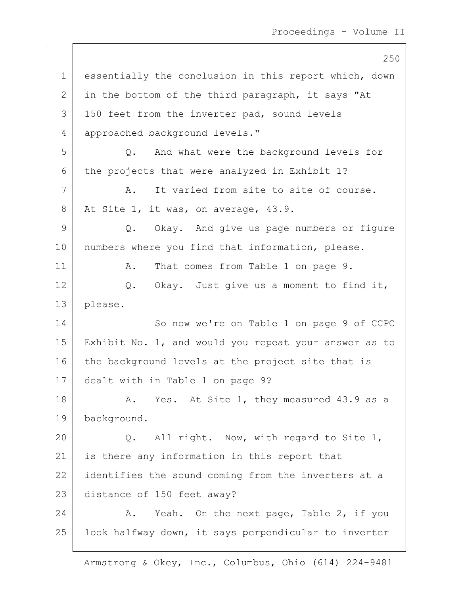250 1 essentially the conclusion in this report which, down  $2$  in the bottom of the third paragraph, it says "At 3 | 150 feet from the inverter pad, sound levels 4 approached background levels." 5 Q. And what were the background levels for 6 the projects that were analyzed in Exhibit 1? 7 A. It varied from site to site of course. 8 At Site 1, it was, on average, 43.9. 9 Q. Okay. And give us page numbers or figure 10 | numbers where you find that information, please. 11 | A. That comes from Table 1 on page 9. 12 Q. Okay. Just give us a moment to find it, 13 please. 14 So now we're on Table 1 on page 9 of CCPC 15 Exhibit No. 1, and would you repeat your answer as to 16 the background levels at the project site that is 17 dealt with in Table 1 on page 9? 18 A. Yes. At Site 1, they measured 43.9 as a 19 background. 20 Q. All right. Now, with regard to Site 1, 21 is there any information in this report that 22 identifies the sound coming from the inverters at a 23 distance of 150 feet away? 24 A. Yeah. On the next page, Table 2, if you 25 | look halfway down, it says perpendicular to inverter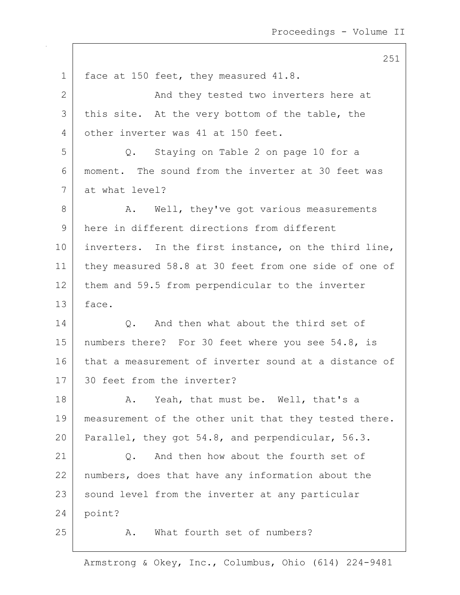251 1 face at 150 feet, they measured 41.8. 2 | And they tested two inverters here at  $3$  this site. At the very bottom of the table, the 4 other inverter was 41 at 150 feet. 5 Q. Staying on Table 2 on page 10 for a 6 moment. The sound from the inverter at 30 feet was 7 at what level? 8 A. Well, they've got various measurements 9 here in different directions from different 10 inverters. In the first instance, on the third line, 11 they measured 58.8 at 30 feet from one side of one of 12 them and 59.5 from perpendicular to the inverter 13 face. 14 O. And then what about the third set of 15 | numbers there? For 30 feet where you see 54.8, is 16 that a measurement of inverter sound at a distance of 17 30 feet from the inverter? 18 A. Yeah, that must be. Well, that's a 19 | measurement of the other unit that they tested there. 20 Parallel, they got 54.8, and perpendicular, 56.3. 21 | C. And then how about the fourth set of 22 | numbers, does that have any information about the 23 | sound level from the inverter at any particular  $24$  point? 25 A. What fourth set of numbers?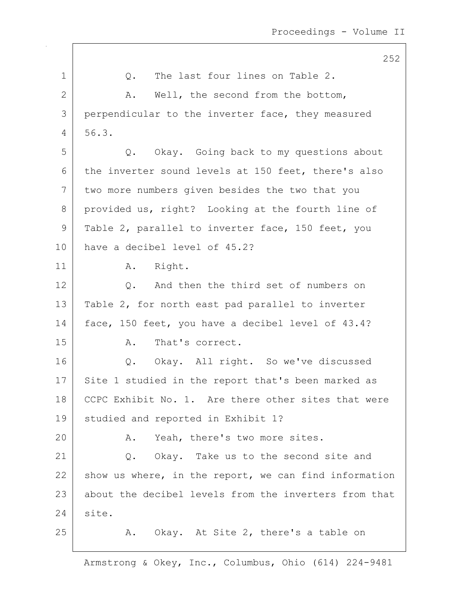|    | 252                                                   |
|----|-------------------------------------------------------|
| 1  | The last four lines on Table 2.<br>Q.                 |
| 2  | Α.<br>Well, the second from the bottom,               |
| 3  | perpendicular to the inverter face, they measured     |
| 4  | 56.3.                                                 |
| 5  | Okay. Going back to my questions about<br>Q.          |
| 6  | the inverter sound levels at 150 feet, there's also   |
| 7  | two more numbers given besides the two that you       |
| 8  | provided us, right? Looking at the fourth line of     |
| 9  | Table 2, parallel to inverter face, 150 feet, you     |
| 10 | have a decibel level of 45.2?                         |
| 11 | Right.<br>A.                                          |
| 12 | And then the third set of numbers on<br>Q.            |
| 13 | Table 2, for north east pad parallel to inverter      |
| 14 | face, 150 feet, you have a decibel level of 43.4?     |
| 15 | That's correct.<br>Α.                                 |
| 16 | Q. Okay. All right. So we've discussed                |
| 17 | Site 1 studied in the report that's been marked as    |
| 18 | CCPC Exhibit No. 1. Are there other sites that were   |
| 19 | studied and reported in Exhibit 1?                    |
| 20 | A. Yeah, there's two more sites.                      |
| 21 | Q. Okay. Take us to the second site and               |
| 22 | show us where, in the report, we can find information |
| 23 | about the decibel levels from the inverters from that |
| 24 | site.                                                 |
| 25 | A. Okay. At Site 2, there's a table on                |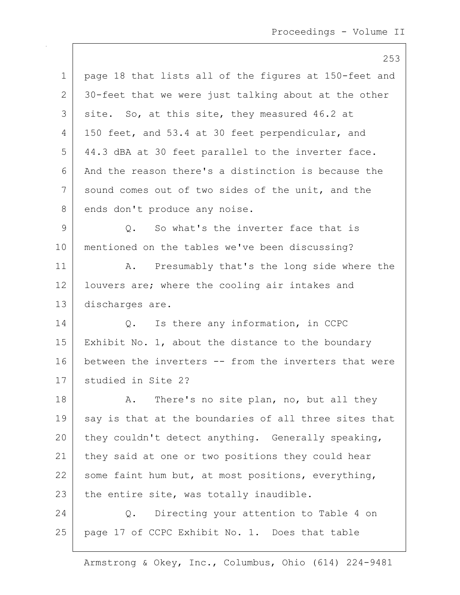253

|             | 25                                                    |
|-------------|-------------------------------------------------------|
| $\mathbf 1$ | page 18 that lists all of the figures at 150-feet and |
| 2           | 30-feet that we were just talking about at the other  |
| 3           | site. So, at this site, they measured 46.2 at         |
| 4           | 150 feet, and 53.4 at 30 feet perpendicular, and      |
| 5           | 44.3 dBA at 30 feet parallel to the inverter face.    |
| 6           | And the reason there's a distinction is because the   |
| 7           | sound comes out of two sides of the unit, and the     |
| 8           | ends don't produce any noise.                         |
| 9           | So what's the inverter face that is<br>Q.             |
| 10          | mentioned on the tables we've been discussing?        |
| 11          | Presumably that's the long side where the<br>Α.       |
| 12          | louvers are; where the cooling air intakes and        |
| 13          | discharges are.                                       |
| 14          | Is there any information, in CCPC<br>$Q_{\bullet}$    |
| 15          | Exhibit No. 1, about the distance to the boundary     |
| 16          | between the inverters -- from the inverters that were |
| 17          | studied in Site 2?                                    |
| 18          | There's no site plan, no, but all they<br>Α.          |
| 19          | say is that at the boundaries of all three sites that |
| 20          | they couldn't detect anything. Generally speaking,    |

21 they said at one or two positions they could hear 22 some faint hum but, at most positions, everything, 23 the entire site, was totally inaudible.

24 Q. Directing your attention to Table 4 on 25 page 17 of CCPC Exhibit No. 1. Does that table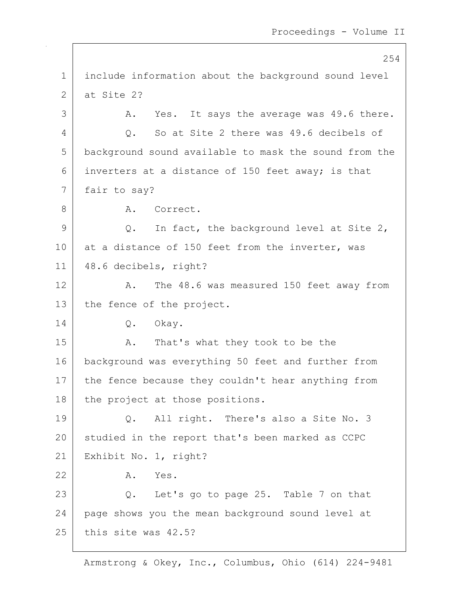254 1 include information about the background sound level 2 at Site 2? 3 A. Yes. It says the average was 49.6 there. 4 Q. So at Site 2 there was 49.6 decibels of 5 background sound available to mask the sound from the 6 inverters at a distance of 150 feet away; is that 7 fair to say? 8 A. Correct.  $9$  Q. In fact, the background level at Site 2, 10 at a distance of 150 feet from the inverter, was 11 48.6 decibels, right? 12 A. The 48.6 was measured 150 feet away from 13 the fence of the project. 14 Q. Okay. 15 | A. That's what they took to be the 16 background was everything 50 feet and further from 17 the fence because they couldn't hear anything from 18 | the project at those positions. 19 | Q. All right. There's also a Site No. 3 20 studied in the report that's been marked as CCPC 21 Exhibit No. 1, right? 22 A. Yes. 23 Q. Let's go to page 25. Table 7 on that 24 page shows you the mean background sound level at  $25$  this site was  $42.5$ ?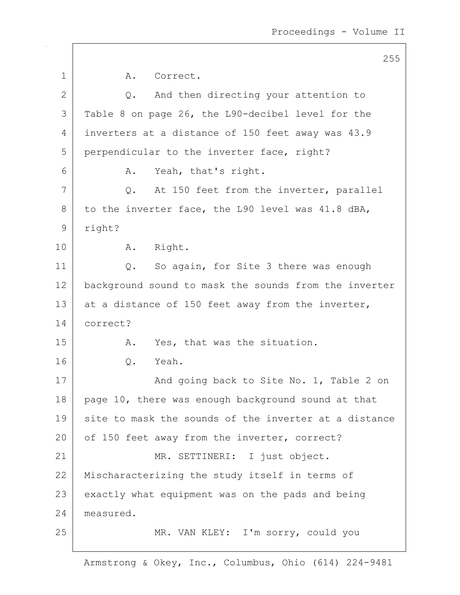|                | 255                                                   |
|----------------|-------------------------------------------------------|
| 1              | Α.<br>Correct.                                        |
| $\overline{2}$ | And then directing your attention to<br>Q.            |
| 3              | Table 8 on page 26, the L90-decibel level for the     |
| 4              | inverters at a distance of 150 feet away was 43.9     |
| 5              | perpendicular to the inverter face, right?            |
| 6              | Yeah, that's right.<br>Α.                             |
| 7              | At 150 feet from the inverter, parallel<br>Q.         |
| 8              | to the inverter face, the L90 level was 41.8 dBA,     |
| $\mathsf 9$    | right?                                                |
| 10             | Right.<br>A.                                          |
| 11             | So again, for Site 3 there was enough<br>$Q$ .        |
| 12             | background sound to mask the sounds from the inverter |
| 13             | at a distance of 150 feet away from the inverter,     |
| 14             | correct?                                              |
| 15             | Yes, that was the situation.<br>Α.                    |
| 16             | Yeah.<br>Q.                                           |
| 17             | And going back to Site No. 1, Table 2 on              |
| 18             | page 10, there was enough background sound at that    |
| 19             | site to mask the sounds of the inverter at a distance |
| 20             | of 150 feet away from the inverter, correct?          |
| 21             | MR. SETTINERI: I just object.                         |
| 22             | Mischaracterizing the study itself in terms of        |
| 23             | exactly what equipment was on the pads and being      |
| 24             | measured.                                             |
| 25             | MR. VAN KLEY: I'm sorry, could you                    |
|                |                                                       |

 $\mathsf{I}$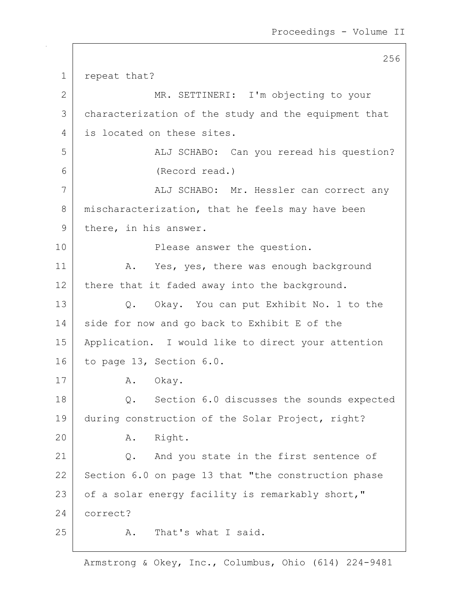256

1 repeat that? 2 MR. SETTINERI: I'm objecting to your 3 characterization of the study and the equipment that 4 is located on these sites. 5 | ALJ SCHABO: Can you reread his question? 6 (Record read.) 7 | ALJ SCHABO: Mr. Hessler can correct any 8 mischaracterization, that he feels may have been 9 there, in his answer. 10 | Rease answer the question. 11 | A. Yes, yes, there was enough background 12 there that it faded away into the background. 13 Q. Okay. You can put Exhibit No. 1 to the 14 side for now and go back to Exhibit E of the 15 Application. I would like to direct your attention 16 to page 13, Section 6.0. 17 A. Okay. 18 Q. Section 6.0 discusses the sounds expected 19 during construction of the Solar Project, right? 20 A. Right. 21 | Q. And you state in the first sentence of 22 Section 6.0 on page 13 that "the construction phase 23 | of a solar energy facility is remarkably short," 24 correct? 25 A. That's what I said.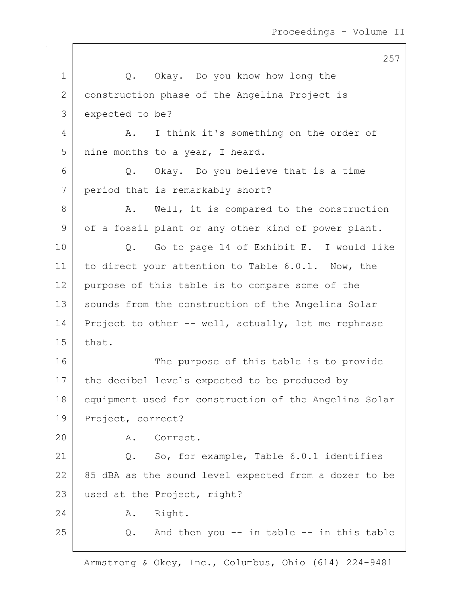257 1 Q. Okay. Do you know how long the 2 construction phase of the Angelina Project is 3 expected to be? 4 A. I think it's something on the order of 5 | nine months to a year, I heard. 6 Q. Okay. Do you believe that is a time 7 period that is remarkably short? 8 A. Well, it is compared to the construction 9 | of a fossil plant or any other kind of power plant. 10 Q. Go to page 14 of Exhibit E. I would like 11 to direct your attention to Table 6.0.1. Now, the 12 purpose of this table is to compare some of the 13 | sounds from the construction of the Angelina Solar 14 Project to other  $--$  well, actually, let me rephrase 15 that. 16 The purpose of this table is to provide 17 | the decibel levels expected to be produced by 18 equipment used for construction of the Angelina Solar 19 Project, correct? 20 A. Correct. 21 Q. So, for example, Table 6.0.1 identifies  $22$   $85$  dBA as the sound level expected from a dozer to be 23 used at the Project, right? 24 A. Right.  $25$  Q. And then you  $-$  in table  $-$  in this table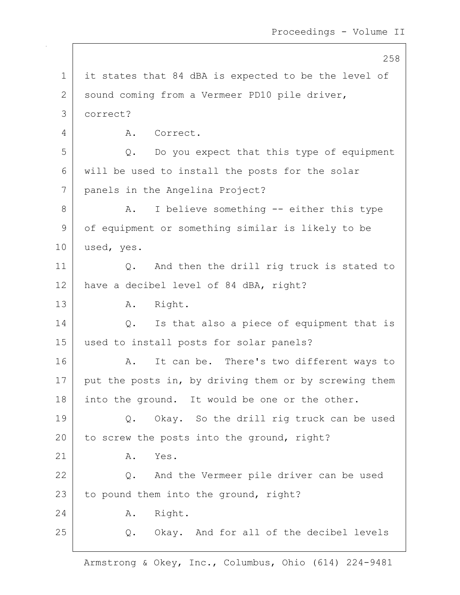258 1 | it states that 84 dBA is expected to be the level of 2 | sound coming from a Vermeer PD10 pile driver, 3 correct? 4 A. Correct.  $5$  Q. Do you expect that this type of equipment 6 will be used to install the posts for the solar 7 panels in the Angelina Project? 8 A. I believe something -- either this type 9 of equipment or something similar is likely to be 10 used, yes. 11 Q. And then the drill rig truck is stated to 12 have a decibel level of 84 dBA, right? 13 A. Right. 14 | Q. Is that also a piece of equipment that is 15 used to install posts for solar panels? 16 A. It can be. There's two different ways to  $17$  put the posts in, by driving them or by screwing them 18 into the ground. It would be one or the other. 19 Q. Okay. So the drill rig truck can be used 20 to screw the posts into the ground, right?  $21$   $\overline{A}$ ,  $\overline{Y}$ es. 22 Q. And the Vermeer pile driver can be used  $23$  to pound them into the ground, right? 24 A. Right. 25 Q. Okay. And for all of the decibel levels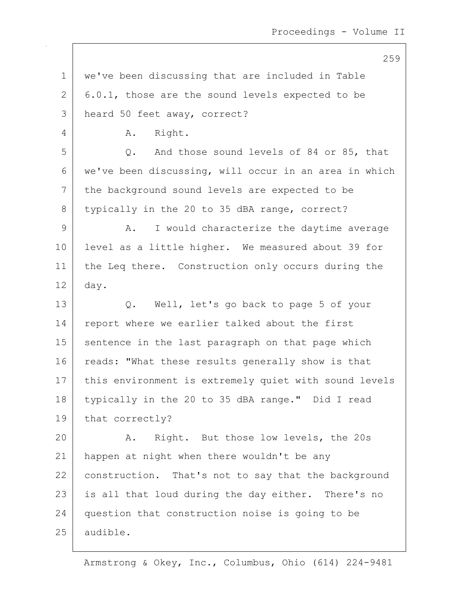1 | we've been discussing that are included in Table  $2$  | 6.0.1, those are the sound levels expected to be 3 heard 50 feet away, correct? 4 A. Right. 5 Q. And those sound levels of 84 or 85, that 6 we've been discussing, will occur in an area in which 7 the background sound levels are expected to be 8 typically in the 20 to 35 dBA range, correct? 9 A. I would characterize the daytime average 10 level as a little higher. We measured about 39 for 11 | the Leq there. Construction only occurs during the 12 day. 13 Q. Well, let's go back to page 5 of your 14 report where we earlier talked about the first 15 sentence in the last paragraph on that page which 16 reads: "What these results generally show is that 17 | this environment is extremely quiet with sound levels 18 typically in the 20 to 35 dBA range." Did I read 19 | that correctly? 20 A. Right. But those low levels, the 20s 21 happen at night when there wouldn't be any 22 construction. That's not to say that the background 23 | is all that loud during the day either. There's no 24 question that construction noise is going to be 25 audible.

Armstrong & Okey, Inc., Columbus, Ohio (614) 224-9481

## 259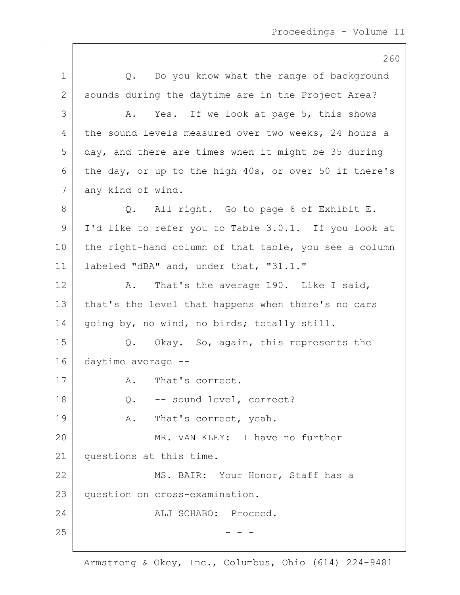|               | 260                                                   |
|---------------|-------------------------------------------------------|
| $\mathbf 1$   | Q. Do you know what the range of background           |
| $\mathbf{2}$  | sounds during the daytime are in the Project Area?    |
| 3             | Yes. If we look at page 5, this shows<br>Α.           |
| 4             | the sound levels measured over two weeks, 24 hours a  |
| 5             | day, and there are times when it might be 35 during   |
| 6             | the day, or up to the high 40s, or over 50 if there's |
| 7             | any kind of wind.                                     |
| 8             | Q. All right. Go to page 6 of Exhibit E.              |
| $\mathcal{G}$ | I'd like to refer you to Table 3.0.1. If you look at  |
| 10            | the right-hand column of that table, you see a column |
| 11            | labeled "dBA" and, under that, "31.1."                |
| 12            | That's the average L90. Like I said,<br>Α.            |
| 13            | that's the level that happens when there's no cars    |
| 14            | going by, no wind, no birds; totally still.           |
| 15            | Okay. So, again, this represents the<br>Q.            |
| 16            | daytime average --                                    |
| 17            | That's correct.<br>Α.                                 |
| 18            | -- sound level, correct?<br>$Q$ .                     |
| 19            | That's correct, yeah.<br>A.                           |
| 20            | MR. VAN KLEY: I have no further                       |
| 21            | questions at this time.                               |
| 22            | MS. BAIR: Your Honor, Staff has a                     |
| 23            | question on cross-examination.                        |
| 24            | ALJ SCHABO: Proceed.                                  |
| 25            |                                                       |
|               |                                                       |

 $\mathsf{I}$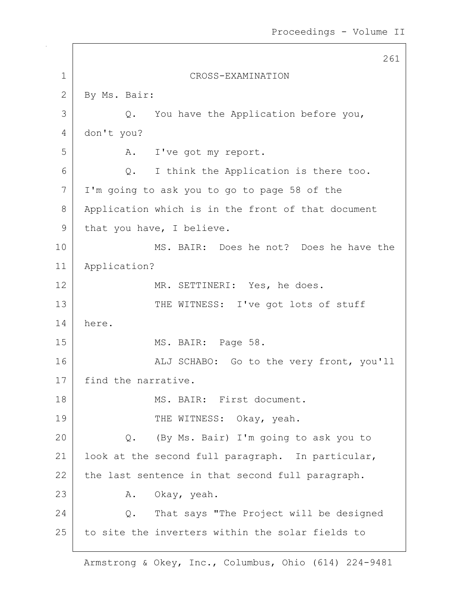|              | 261                                                |
|--------------|----------------------------------------------------|
| $\mathbf{1}$ | CROSS-EXAMINATION                                  |
| 2            | By Ms. Bair:                                       |
| 3            | You have the Application before you,<br>Q.         |
| 4            | don't you?                                         |
| 5            | I've got my report.<br>A.                          |
| 6            | I think the Application is there too.<br>$Q$ .     |
| 7            | I'm going to ask you to go to page 58 of the       |
| 8            | Application which is in the front of that document |
| 9            | that you have, I believe.                          |
| 10           | MS. BAIR: Does he not? Does he have the            |
| 11           | Application?                                       |
| 12           | MR. SETTINERI: Yes, he does.                       |
| 13           | THE WITNESS: I've got lots of stuff                |
| 14           | here.                                              |
| 15           | MS. BAIR: Page 58.                                 |
| 16           | ALJ SCHABO: Go to the very front, you'll           |
| 17           | find the narrative.                                |
| 18           | MS. BAIR: First document.                          |
| 19           | THE WITNESS: Okay, yeah.                           |
| 20           | (By Ms. Bair) I'm going to ask you to<br>Q.        |
| 21           | look at the second full paragraph. In particular,  |
| 22           | the last sentence in that second full paragraph.   |
| 23           | Okay, yeah.<br>Α.                                  |
| 24           | That says "The Project will be designed<br>Q.      |
| 25           | to site the inverters within the solar fields to   |
|              |                                                    |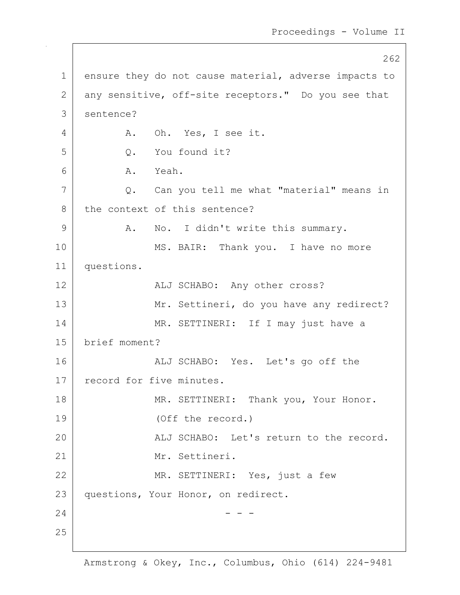262 1 ensure they do not cause material, adverse impacts to 2 any sensitive, off-site receptors." Do you see that 3 sentence? 4 A. Oh. Yes, I see it. 5 | O. You found it? 6 A. Yeah. 7 Q. Can you tell me what "material" means in 8 the context of this sentence? 9 | A. No. I didn't write this summary. 10 MS. BAIR: Thank you. I have no more 11 questions. 12 ALJ SCHABO: Any other cross? 13 | Mr. Settineri, do you have any redirect? 14 | MR. SETTINERI: If I may just have a 15 brief moment? 16 ALJ SCHABO: Yes. Let's go off the 17 record for five minutes. 18 | MR. SETTINERI: Thank you, Your Honor. 19 (Off the record.) 20 ALJ SCHABO: Let's return to the record. 21 Mr. Settineri. 22 MR. SETTINERI: Yes, just a few 23 questions, Your Honor, on redirect.  $24$  - - -25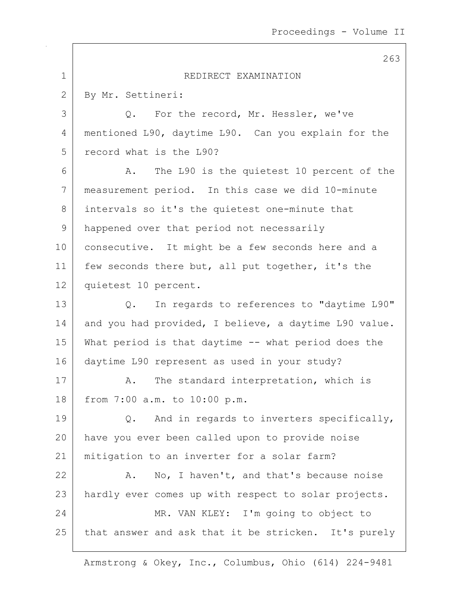|             | 263                                                   |
|-------------|-------------------------------------------------------|
| $\mathbf 1$ | REDIRECT EXAMINATION                                  |
| 2           | By Mr. Settineri:                                     |
| 3           | For the record, Mr. Hessler, we've<br>Q.              |
| 4           | mentioned L90, daytime L90. Can you explain for the   |
| 5           | record what is the L90?                               |
| 6           | The L90 is the quietest 10 percent of the<br>A.       |
| 7           | measurement period. In this case we did 10-minute     |
| 8           | intervals so it's the quietest one-minute that        |
| 9           | happened over that period not necessarily             |
| 10          | consecutive. It might be a few seconds here and a     |
| 11          | few seconds there but, all put together, it's the     |
| 12          | quietest 10 percent.                                  |
| 13          | In regards to references to "daytime L90"<br>Q.       |
| 14          | and you had provided, I believe, a daytime L90 value. |
| 15          | What period is that daytime -- what period does the   |
| 16          | daytime L90 represent as used in your study?          |
| 17          | The standard interpretation, which is<br>Α.           |
| 18          | from 7:00 a.m. to 10:00 p.m.                          |
| 19          | And in regards to inverters specifically,<br>$Q$ .    |
| 20          | have you ever been called upon to provide noise       |
| 21          | mitigation to an inverter for a solar farm?           |
| 22          | No, I haven't, and that's because noise<br>Α.         |
| 23          | hardly ever comes up with respect to solar projects.  |
| 24          | MR. VAN KLEY: I'm going to object to                  |
| 25          | that answer and ask that it be stricken. It's purely  |

 $\sqrt{ }$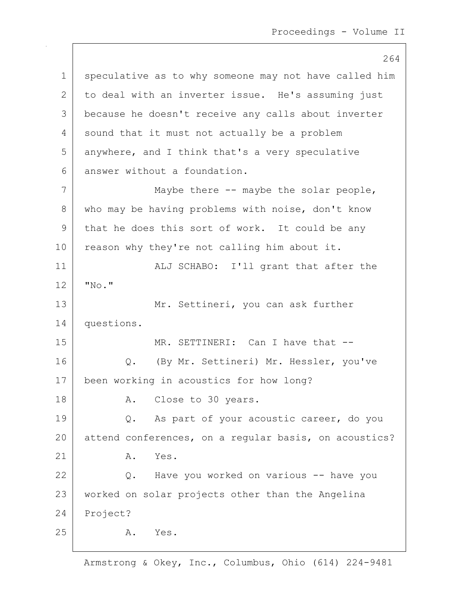264 1 speculative as to why someone may not have called him 2 to deal with an inverter issue. He's assuming just 3 because he doesn't receive any calls about inverter 4 sound that it must not actually be a problem 5 anywhere, and I think that's a very speculative 6 answer without a foundation. 7 Maybe there -- maybe the solar people, 8 who may be having problems with noise, don't know 9 that he does this sort of work. It could be any 10 reason why they're not calling him about it. 11 | ALJ SCHABO: I'll grant that after the  $12$   $\sqrt{N_{\rm O}}$ . 13 Mr. Settineri, you can ask further 14 questions. 15 MR. SETTINERI: Can I have that --16 | Q. (By Mr. Settineri) Mr. Hessler, you've 17 been working in acoustics for how long? 18 A. Close to 30 years. 19 Q. As part of your acoustic career, do you 20 attend conferences, on a regular basis, on acoustics?  $21$   $\overline{A}$ ,  $\overline{Y}$ es. 22 Q. Have you worked on various -- have you 23 worked on solar projects other than the Angelina 24 Project? 25 A. Yes.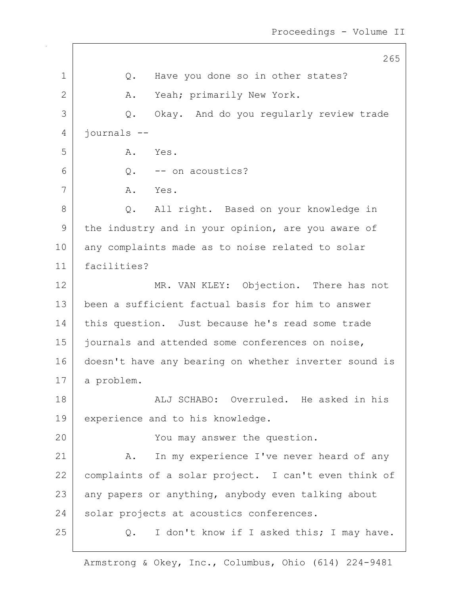265 1 |  $Q.$  Have you done so in other states? 2 A. Yeah; primarily New York. 3 Q. Okay. And do you regularly review trade 4 journals -- 5 A. Yes.  $6 \mid 0. - -$  on acoustics? 7 A. Yes. 8 Q. All right. Based on your knowledge in 9 the industry and in your opinion, are you aware of 10 any complaints made as to noise related to solar 11 facilities? 12 MR. VAN KLEY: Objection. There has not 13 been a sufficient factual basis for him to answer 14 | this question. Just because he's read some trade 15 | journals and attended some conferences on noise, 16 doesn't have any bearing on whether inverter sound is 17 a problem. 18 ALJ SCHABO: Overruled. He asked in his 19 | experience and to his knowledge. 20 You may answer the question. 21 | A. In my experience I've never heard of any 22 complaints of a solar project. I can't even think of 23 any papers or anything, anybody even talking about 24 solar projects at acoustics conferences. 25 Q. I don't know if I asked this; I may have.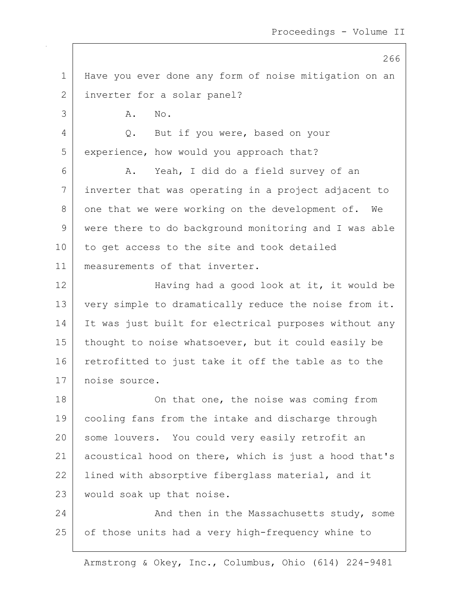266 1 Have you ever done any form of noise mitigation on an 2 inverter for a solar panel? 3 A. No. 4 Q. But if you were, based on your 5 experience, how would you approach that? 6 A. Yeah, I did do a field survey of an 7 inverter that was operating in a project adjacent to 8 one that we were working on the development of. We 9 were there to do background monitoring and I was able 10 to get access to the site and took detailed 11 measurements of that inverter. 12 Having had a good look at it, it would be 13 very simple to dramatically reduce the noise from it. 14 It was just built for electrical purposes without any 15 | thought to noise whatsoever, but it could easily be 16 retrofitted to just take it off the table as to the 17 noise source. 18 On that one, the noise was coming from 19 cooling fans from the intake and discharge through 20 some louvers. You could very easily retrofit an 21 acoustical hood on there, which is just a hood that's 22 Iined with absorptive fiberglass material, and it 23 would soak up that noise. 24 And then in the Massachusetts study, some 25 of those units had a very high-frequency whine to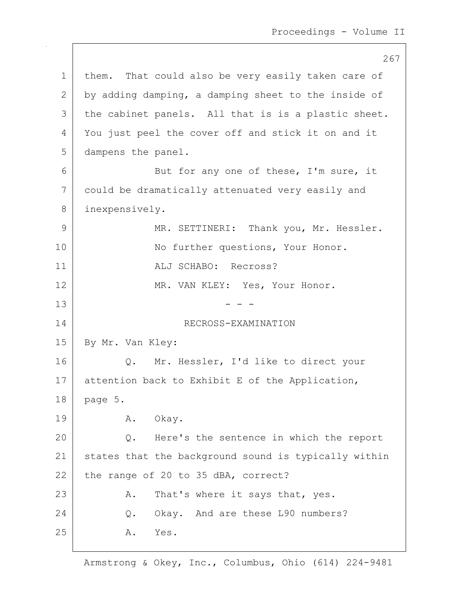267 1 | them. That could also be very easily taken care of  $2$  by adding damping, a damping sheet to the inside of 3 | the cabinet panels. All that is is a plastic sheet. 4 You just peel the cover off and stick it on and it 5 dampens the panel. 6 But for any one of these, I'm sure, it 7 could be dramatically attenuated very easily and 8 inexpensively. 9 MR. SETTINERI: Thank you, Mr. Hessler. 10 No further questions, Your Honor. 11 | ALJ SCHABO: Recross? 12 MR. VAN KLEY: Yes, Your Honor.  $13$  - - -14 RECROSS-EXAMINATION 15 | By Mr. Van Kley: 16 | Q. Mr. Hessler, I'd like to direct your 17 attention back to Exhibit E of the Application, 18 page 5. 19 | A. Okay. 20 Q. Here's the sentence in which the report 21 states that the background sound is typically within 22 the range of 20 to 35 dBA, correct? 23 | A. That's where it says that, yes. 24 O. Okay. And are these L90 numbers? 25 A. Yes.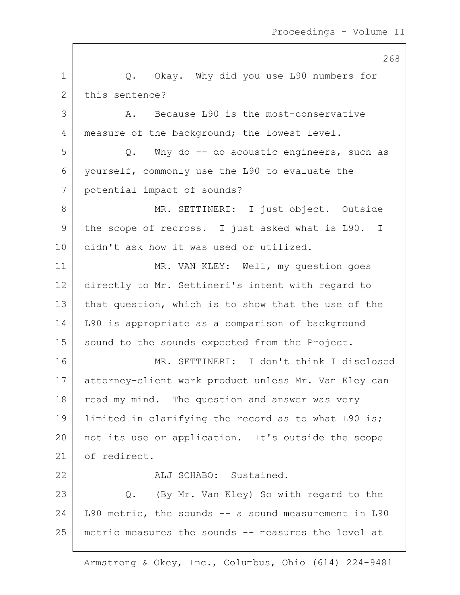268 1 |  $Q.$  Okay. Why did you use 190 numbers for 2 this sentence? 3 A. Because L90 is the most-conservative 4 measure of the background; the lowest level.  $5$  Q. Why do  $-$  do acoustic engineers, such as 6 yourself, commonly use the L90 to evaluate the 7 potential impact of sounds? 8 | MR. SETTINERI: I just object. Outside 9 the scope of recross. I just asked what is L90. I 10 didn't ask how it was used or utilized. 11 | MR. VAN KLEY: Well, my question goes 12 directly to Mr. Settineri's intent with regard to 13 that question, which is to show that the use of the 14 L90 is appropriate as a comparison of background 15 | sound to the sounds expected from the Project. 16 MR. SETTINERI: I don't think I disclosed 17 attorney-client work product unless Mr. Van Kley can 18 read my mind. The question and answer was very 19 | limited in clarifying the record as to what L90 is; 20 not its use or application. It's outside the scope 21 of redirect. 22 ALJ SCHABO: Sustained. 23 | Q. (By Mr. Van Kley) So with regard to the  $24$  L90 metric, the sounds  $-$  a sound measurement in L90 25 metric measures the sounds -- measures the level at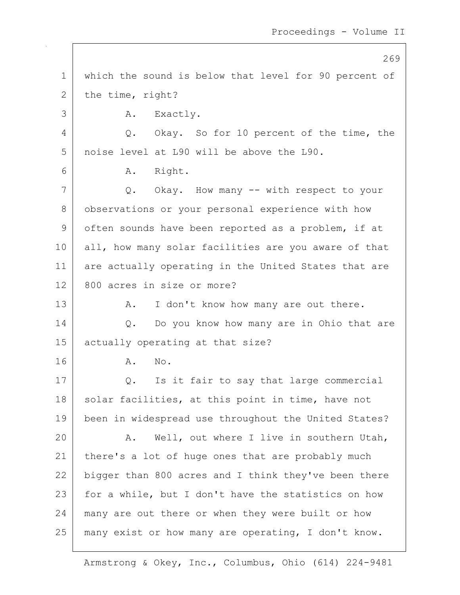|    | 269                                                   |
|----|-------------------------------------------------------|
| 1  | which the sound is below that level for 90 percent of |
| 2  | the time, right?                                      |
| 3  | Exactly.<br>Α.                                        |
| 4  | Okay. So for 10 percent of the time, the<br>Q.        |
| 5  | noise level at L90 will be above the L90.             |
| 6  | Right.<br>A.                                          |
| 7  | Q. Okay. How many -- with respect to your             |
| 8  | observations or your personal experience with how     |
| 9  | often sounds have been reported as a problem, if at   |
| 10 | all, how many solar facilities are you aware of that  |
| 11 | are actually operating in the United States that are  |
| 12 | 800 acres in size or more?                            |
| 13 | I don't know how many are out there.<br>Α.            |
| 14 | Do you know how many are in Ohio that are<br>Q.       |
| 15 | actually operating at that size?                      |
| 16 | No.<br>Α.                                             |
| 17 | Is it fair to say that large commercial<br>Q.         |
| 18 | solar facilities, at this point in time, have not     |
| 19 | been in widespread use throughout the United States?  |
| 20 | Well, out where I live in southern Utah,<br>Α.        |
| 21 | there's a lot of huge ones that are probably much     |
| 22 | bigger than 800 acres and I think they've been there  |
| 23 | for a while, but I don't have the statistics on how   |
| 24 | many are out there or when they were built or how     |
| 25 | many exist or how many are operating, I don't know.   |

 $\mathsf{I}$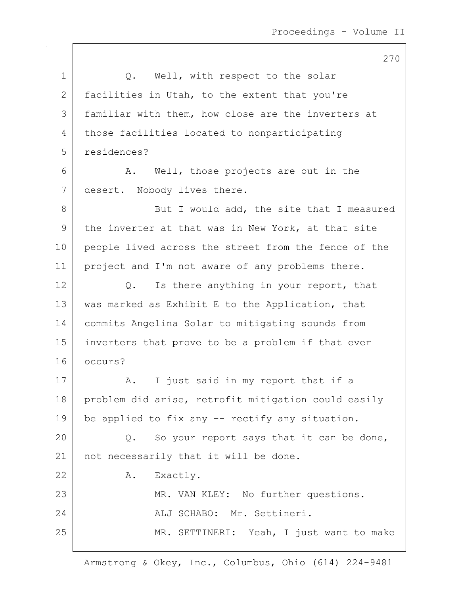1 | Q. Well, with respect to the solar 2 facilities in Utah, to the extent that you're 3 familiar with them, how close are the inverters at 4 those facilities located to nonparticipating 5 residences? 6 A. Well, those projects are out in the 7 desert. Nobody lives there. 8 But I would add, the site that I measured 9 | the inverter at that was in New York, at that site 10 people lived across the street from the fence of the 11 | project and I'm not aware of any problems there.  $12$  Q. Is there anything in your report, that 13 | was marked as Exhibit E to the Application, that 14 commits Angelina Solar to mitigating sounds from 15 inverters that prove to be a problem if that ever 16 occurs? 17 | A. I just said in my report that if a 18 | problem did arise, retrofit mitigation could easily 19 be applied to fix any  $-$  rectify any situation. 20  $\vert$  Q. So your report says that it can be done, 21 | not necessarily that it will be done. 22 A. Exactly. 23 MR. VAN KLEY: No further questions. 24 ALJ SCHABO: Mr. Settineri. 25 | MR. SETTINERI: Yeah, I just want to make

Armstrong & Okey, Inc., Columbus, Ohio (614) 224-9481

270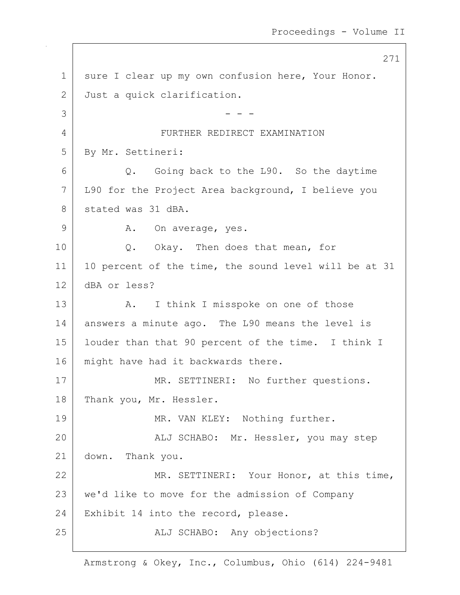271 1 | sure I clear up my own confusion here, Your Honor. 2 Just a quick clarification.  $3$   $-$  - -4 FURTHER REDIRECT EXAMINATION 5 By Mr. Settineri: 6 Q. Going back to the L90. So the daytime 7 L90 for the Project Area background, I believe you 8 stated was 31 dBA. 9 | A. On average, yes. 10 Q. Okay. Then does that mean, for 11 | 10 percent of the time, the sound level will be at 31 12 dBA or less? 13 A. I think I misspoke on one of those 14 answers a minute ago. The L90 means the level is 15 louder than that 90 percent of the time. I think I 16 | might have had it backwards there. 17 | MR. SETTINERI: No further questions. 18 Thank you, Mr. Hessler. 19 MR. VAN KLEY: Nothing further. 20 | The Malj SCHABO: Mr. Hessler, you may step 21 down. Thank you. 22 MR. SETTINERI: Your Honor, at this time, 23 | we'd like to move for the admission of Company 24 Exhibit 14 into the record, please. 25 | REJ SCHABO: Any objections?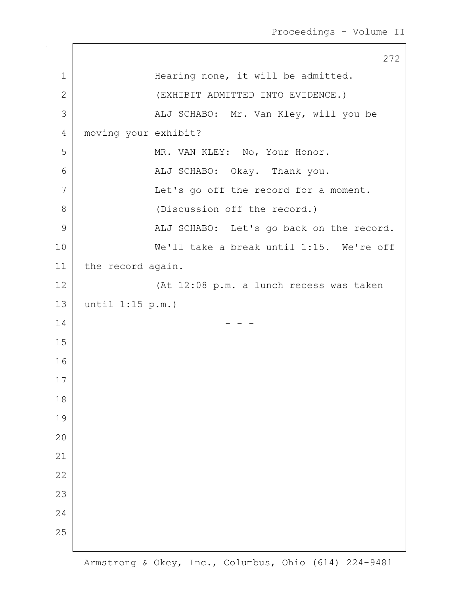|               | 272                                      |
|---------------|------------------------------------------|
| $\mathbf{1}$  | Hearing none, it will be admitted.       |
| $\mathbf{2}$  | (EXHIBIT ADMITTED INTO EVIDENCE.)        |
| 3             | ALJ SCHABO: Mr. Van Kley, will you be    |
| 4             | moving your exhibit?                     |
| 5             | MR. VAN KLEY: No, Your Honor.            |
| 6             | ALJ SCHABO: Okay. Thank you.             |
| 7             | Let's go off the record for a moment.    |
| 8             | (Discussion off the record.)             |
| $\mathcal{G}$ | ALJ SCHABO: Let's go back on the record. |
| 10            | We'll take a break until 1:15. We're off |
| 11            | the record again.                        |
| 12            | (At 12:08 p.m. a lunch recess was taken  |
| 13            | until $1:15$ p.m.)                       |
| 14            |                                          |
| 15            |                                          |
| 16            |                                          |
| 17            |                                          |
| 18            |                                          |
| 19            |                                          |
| 20            |                                          |
| 21            |                                          |
| 22            |                                          |
| 23            |                                          |
| 24            |                                          |
| 25            |                                          |
|               |                                          |

 $\sqrt{ }$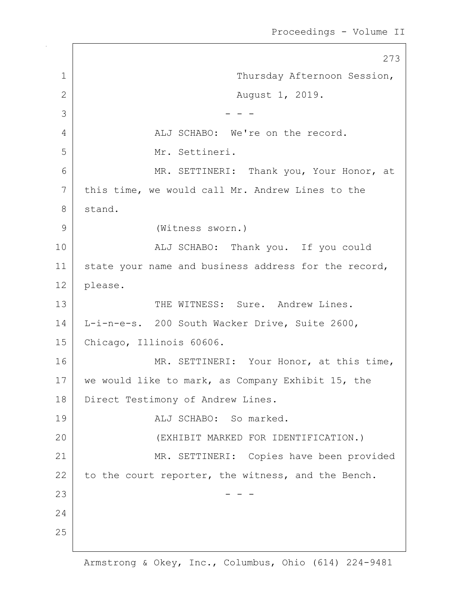273 1 | Thursday Afternoon Session, 2 | Rugust 1, 2019.  $3$   $-$  - -4 ALJ SCHABO: We're on the record. 5 Mr. Settineri. 6 MR. SETTINERI: Thank you, Your Honor, at 7 | this time, we would call Mr. Andrew Lines to the 8 stand. 9 (Witness sworn.) 10 | Thank you. If you could 11 | state your name and business address for the record, 12 please. 13 THE WITNESS: Sure. Andrew Lines. 14 L-i-n-e-s. 200 South Wacker Drive, Suite 2600, 15 Chicago, Illinois 60606. 16 MR. SETTINERI: Your Honor, at this time, 17 | we would like to mark, as Company Exhibit 15, the 18 | Direct Testimony of Andrew Lines. 19 | The CHABO: So marked. 20 (EXHIBIT MARKED FOR IDENTIFICATION.) 21 | MR. SETTINERI: Copies have been provided 22 to the court reporter, the witness, and the Bench.  $23$  - - -24 25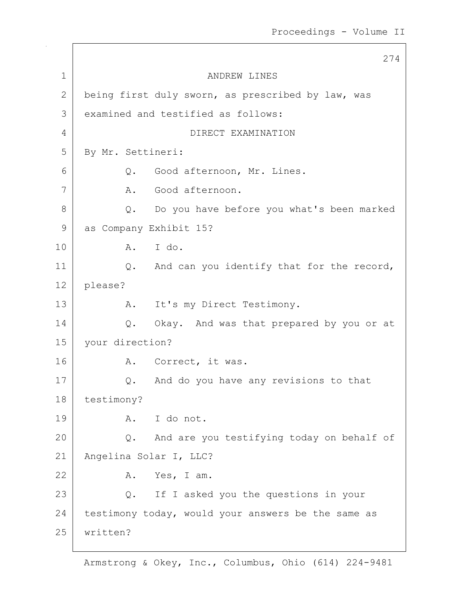274 1 ANDREW LINES 2 being first duly sworn, as prescribed by law, was 3 examined and testified as follows: 4 DIRECT EXAMINATION 5 By Mr. Settineri: 6 | C. Good afternoon, Mr. Lines. 7 A. Good afternoon. 8 Q. Do you have before you what's been marked 9 as Company Exhibit 15? 10 A. I do. 11 | Q. And can you identify that for the record, 12 please? 13 A. It's my Direct Testimony. 14 | Q. Okay. And was that prepared by you or at 15 your direction? 16 A. Correct, it was. 17 Q. And do you have any revisions to that 18 testimony? 19 A. I do not. 20 Q. And are you testifying today on behalf of 21 Angelina Solar I, LLC? 22 A. Yes, I am. 23 Q. If I asked you the questions in your  $24$  testimony today, would your answers be the same as 25 written?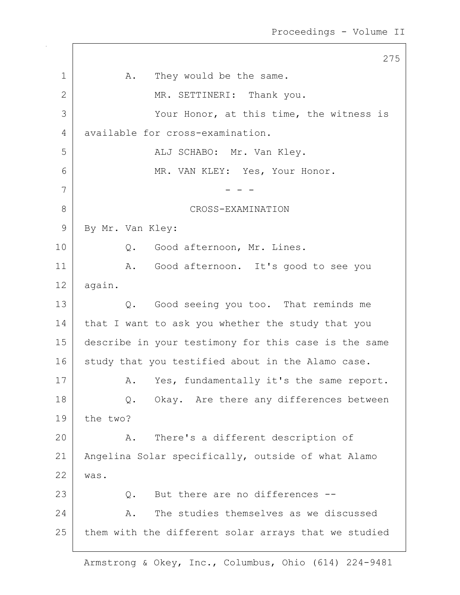275 1 | A. They would be the same. 2 MR. SETTINERI: Thank you. 3 Your Honor, at this time, the witness is 4 available for cross-examination. 5 ALJ SCHABO: Mr. Van Kley. 6 MR. VAN KLEY: Yes, Your Honor. 7 - - - 8 CROSS-EXAMINATION 9 By Mr. Van Kley: 10 | Q. Good afternoon, Mr. Lines. 11 | A. Good afternoon. It's good to see you 12 again. 13 Q. Good seeing you too. That reminds me 14 that I want to ask you whether the study that you 15 describe in your testimony for this case is the same 16 study that you testified about in the Alamo case. 17 | A. Yes, fundamentally it's the same report. 18 Q. Okay. Are there any differences between 19 the two? 20 A. There's a different description of 21 | Angelina Solar specifically, outside of what Alamo 22 was. 23 Q. But there are no differences --24 A. The studies themselves as we discussed  $25$  them with the different solar arrays that we studied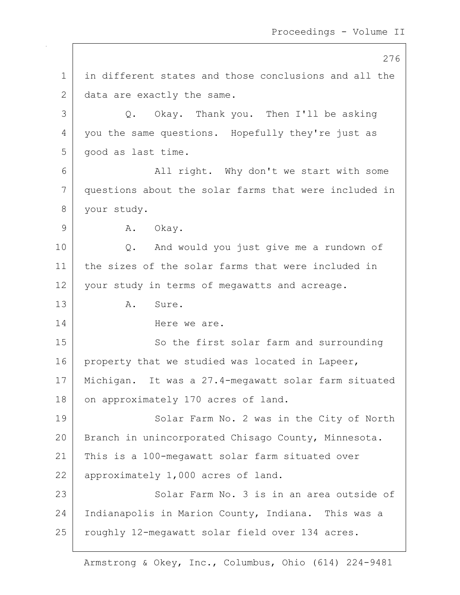276 1 in different states and those conclusions and all the 2 data are exactly the same. 3 Q. Okay. Thank you. Then I'll be asking 4 | you the same questions. Hopefully they're just as 5 | good as last time. 6 | All right. Why don't we start with some 7 questions about the solar farms that were included in 8 your study. 9 A. Okay. 10 Q. And would you just give me a rundown of 11 the sizes of the solar farms that were included in 12 your study in terms of megawatts and acreage. 13 A. Sure. 14 Here we are. 15 So the first solar farm and surrounding 16 property that we studied was located in Lapeer, 17 Michigan. It was a 27.4-megawatt solar farm situated 18 on approximately 170 acres of land. 19 Solar Farm No. 2 was in the City of North 20 | Branch in unincorporated Chisago County, Minnesota. 21 This is a 100-megawatt solar farm situated over 22 approximately 1,000 acres of land. 23 Solar Farm No. 3 is in an area outside of 24 Indianapolis in Marion County, Indiana. This was a 25 | roughly 12-megawatt solar field over 134 acres.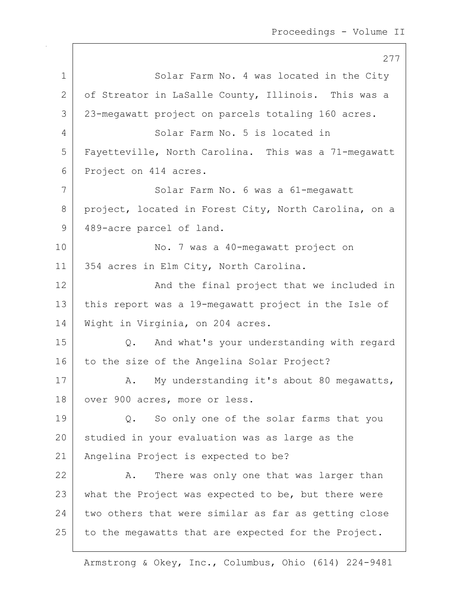277 1 Solar Farm No. 4 was located in the City 2 of Streator in LaSalle County, Illinois. This was a 3 23-megawatt project on parcels totaling 160 acres. 4 Solar Farm No. 5 is located in 5 Fayetteville, North Carolina. This was a 71-megawatt 6 Project on 414 acres. 7 | Solar Farm No. 6 was a 61-megawatt 8 project, located in Forest City, North Carolina, on a 9 489-acre parcel of land. 10 No. 7 was a 40-megawatt project on 11 | 354 acres in Elm City, North Carolina. 12 | The final project that we included in 13 this report was a 19-megawatt project in the Isle of 14 | Wight in Virginia, on 204 acres. 15 Q. And what's your understanding with regard 16 to the size of the Angelina Solar Project? 17 A. My understanding it's about 80 megawatts, 18 | over 900 acres, more or less. 19 Q. So only one of the solar farms that you 20 studied in your evaluation was as large as the 21 Angelina Project is expected to be? 22 A. There was only one that was larger than 23 what the Project was expected to be, but there were  $24$  two others that were similar as far as getting close 25 to the megawatts that are expected for the Project.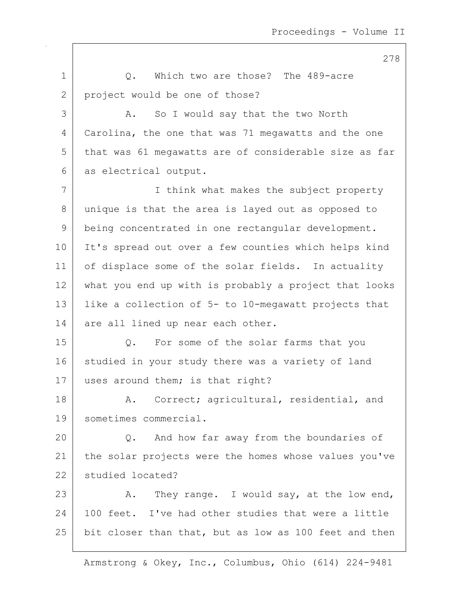1 1 O. Which two are those? The 489-acre 2 project would be one of those? 3 A. So I would say that the two North 4 Carolina, the one that was 71 megawatts and the one 5 that was 61 megawatts are of considerable size as far 6 as electrical output. 7 I think what makes the subject property 8 unique is that the area is layed out as opposed to 9 being concentrated in one rectangular development. 10 It's spread out over a few counties which helps kind 11 | of displace some of the solar fields. In actuality 12 what you end up with is probably a project that looks 13 like a collection of 5- to 10-megawatt projects that  $14$  are all lined up near each other. 15 Q. For some of the solar farms that you 16 studied in your study there was a variety of land 17 uses around them; is that right? 18 | A. Correct; agricultural, residential, and 19 sometimes commercial. 20 Q. And how far away from the boundaries of 21 | the solar projects were the homes whose values you've 22 studied located? 23  $\vert$  A. They range. I would say, at the low end, 24 100 feet. I've had other studies that were a little 25 bit closer than that, but as low as 100 feet and then

Armstrong & Okey, Inc., Columbus, Ohio (614) 224-9481

278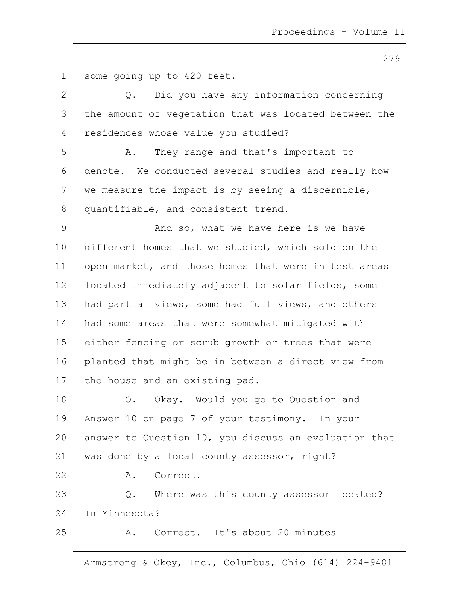1 some going up to 420 feet. 2 Q. Did you have any information concerning 3 the amount of vegetation that was located between the 4 residences whose value you studied? 5 A. They range and that's important to 6 denote. We conducted several studies and really how  $7$  we measure the impact is by seeing a discernible, 8 quantifiable, and consistent trend. 9 And so, what we have here is we have 10 different homes that we studied, which sold on the 11 | open market, and those homes that were in test areas 12 | located immediately adjacent to solar fields, some 13 | had partial views, some had full views, and others 14 had some areas that were somewhat mitigated with 15 either fencing or scrub growth or trees that were 16 planted that might be in between a direct view from 17 | the house and an existing pad. 18 Q. Okay. Would you go to Question and 19 Answer 10 on page 7 of your testimony. In your 20 answer to Question 10, you discuss an evaluation that 21 | was done by a local county assessor, right? 22 A. Correct. 23 | Q. Where was this county assessor located? 24 In Minnesota? 25 A. Correct. It's about 20 minutes

Armstrong & Okey, Inc., Columbus, Ohio (614) 224-9481

279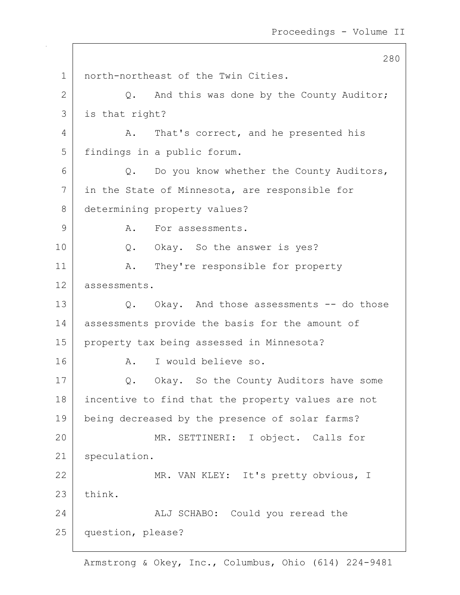280 1 | north-northeast of the Twin Cities.  $2$  Q. And this was done by the County Auditor; 3 is that right? 4 A. That's correct, and he presented his 5 | findings in a public forum. 6 Q. Do you know whether the County Auditors, 7 in the State of Minnesota, are responsible for 8 determining property values? 9 A. For assessments. 10 | Q. Okay. So the answer is yes? 11 | A. They're responsible for property 12 assessments. 13 Q. Okay. And those assessments -- do those 14 assessments provide the basis for the amount of 15 property tax being assessed in Minnesota? 16 A. I would believe so. 17 | Q. Okay. So the County Auditors have some 18 incentive to find that the property values are not 19 | being decreased by the presence of solar farms? 20 MR. SETTINERI: I object. Calls for 21 speculation. 22 MR. VAN KLEY: It's pretty obvious, I 23 think. 24 ALJ SCHABO: Could you reread the 25 question, please?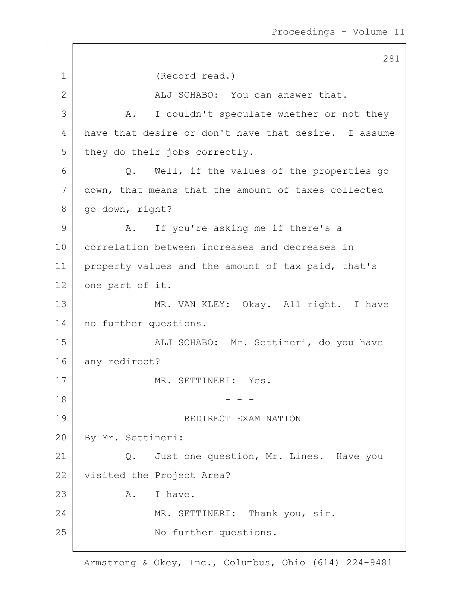281 1 (Record read.) 2 ALJ SCHABO: You can answer that. 3 A. I couldn't speculate whether or not they 4 have that desire or don't have that desire. I assume 5 they do their jobs correctly.  $6$  Q. Well, if the values of the properties go 7 down, that means that the amount of taxes collected 8 | go down, right? 9 A. If you're asking me if there's a 10 correlation between increases and decreases in 11 | property values and the amount of tax paid, that's 12 one part of it. 13 | MR. VAN KLEY: Okay. All right. I have 14 | no further questions. 15 | Kalj SCHABO: Mr. Settineri, do you have 16 any redirect? 17 MR. SETTINERI: Yes.  $18$  - - -19 REDIRECT EXAMINATION 20 | By Mr. Settineri: 21 | Q. Just one question, Mr. Lines. Have you 22 visited the Project Area? 23 A. I have. 24 MR. SETTINERI: Thank you, sir. 25 No further questions.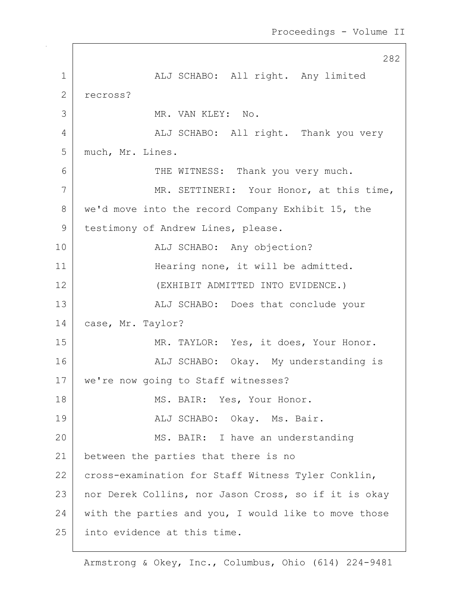282 1 ALJ SCHABO: All right. Any limited 2 recross? 3 MR. VAN KLEY: No. 4 ALJ SCHABO: All right. Thank you very 5 | much, Mr. Lines. 6 THE WITNESS: Thank you very much. 7 | MR. SETTINERI: Your Honor, at this time, 8 we'd move into the record Company Exhibit 15, the 9 | testimony of Andrew Lines, please. 10 | RLJ SCHABO: Any objection? 11 Hearing none, it will be admitted. 12 (EXHIBIT ADMITTED INTO EVIDENCE.) 13 | ALJ SCHABO: Does that conclude your 14 | case, Mr. Taylor? 15 | MR. TAYLOR: Yes, it does, Your Honor. 16 | ALJ SCHABO: Okay. My understanding is 17 | we're now going to Staff witnesses? 18 | MS. BAIR: Yes, Your Honor. 19 | REALJ SCHABO: Okay. Ms. Bair. 20 MS. BAIR: I have an understanding 21 between the parties that there is no 22 cross-examination for Staff Witness Tyler Conklin, 23 | nor Derek Collins, nor Jason Cross, so if it is okay 24 with the parties and you, I would like to move those 25 into evidence at this time.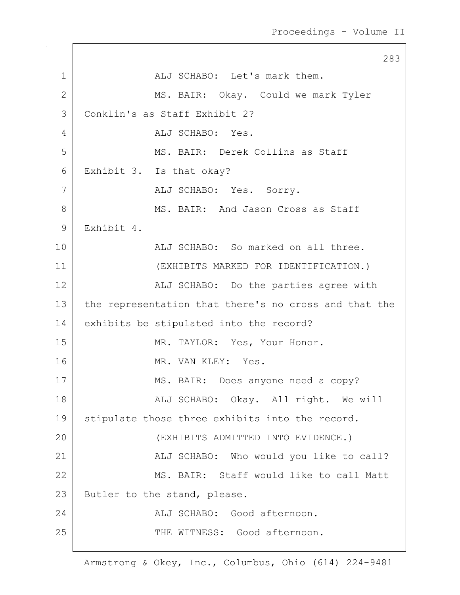283 1 ALJ SCHABO: Let's mark them. 2 MS. BAIR: Okay. Could we mark Tyler 3 Conklin's as Staff Exhibit 2? 4 ALJ SCHABO: Yes. 5 MS. BAIR: Derek Collins as Staff 6 Exhibit 3. Is that okay? 7 | ALJ SCHABO: Yes. Sorry. 8 MS. BAIR: And Jason Cross as Staff 9 Exhibit 4. 10 ALJ SCHABO: So marked on all three. 11 (EXHIBITS MARKED FOR IDENTIFICATION.) 12 | ALJ SCHABO: Do the parties agree with 13 the representation that there's no cross and that the 14 exhibits be stipulated into the record? 15 MR. TAYLOR: Yes, Your Honor. 16 MR. VAN KLEY: Yes. 17 MS. BAIR: Does anyone need a copy? 18 | REALI SCHABO: Okay. All right. We will 19 | stipulate those three exhibits into the record. 20 (EXHIBITS ADMITTED INTO EVIDENCE.) 21 | ALJ SCHABO: Who would you like to call? 22 MS. BAIR: Staff would like to call Matt 23 | Butler to the stand, please. 24 ALJ SCHABO: Good afternoon. 25 THE WITNESS: Good afternoon.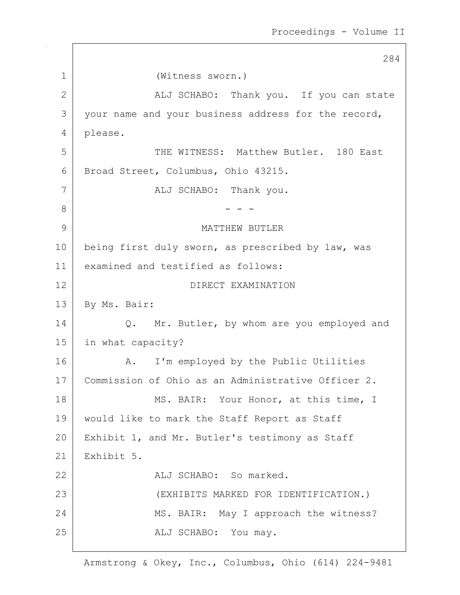284 1 (Witness sworn.) 2 | ALJ SCHABO: Thank you. If you can state 3 your name and your business address for the record, 4 please. 5 THE WITNESS: Matthew Butler. 180 East 6 Broad Street, Columbus, Ohio 43215. 7 | ALJ SCHABO: Thank you. 8 - - - 9 MATTHEW BUTLER 10 | being first duly sworn, as prescribed by law, was 11 examined and testified as follows: 12 DIRECT EXAMINATION 13 | By Ms. Bair: 14 | Q. Mr. Butler, by whom are you employed and 15 in what capacity? 16 | A. I'm employed by the Public Utilities 17 | Commission of Ohio as an Administrative Officer 2. 18 | MS. BAIR: Your Honor, at this time, I 19 would like to mark the Staff Report as Staff 20 | Exhibit 1, and Mr. Butler's testimony as Staff  $21$  Exhibit 5. 22 ALJ SCHABO: So marked. 23 (EXHIBITS MARKED FOR IDENTIFICATION.) 24 MS. BAIR: May I approach the witness? 25 | REALJ SCHABO: You may.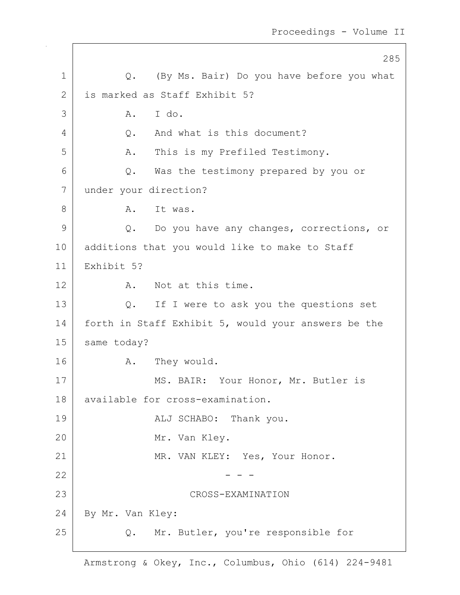|              | 285                                                 |
|--------------|-----------------------------------------------------|
| $\mathbf 1$  | Q. (By Ms. Bair) Do you have before you what        |
| $\mathbf{2}$ | is marked as Staff Exhibit 5?                       |
| 3            | I do.<br>Α.                                         |
| 4            | And what is this document?<br>Q.                    |
| 5            | This is my Prefiled Testimony.<br>Α.                |
| 6            | Was the testimony prepared by you or<br>Q.          |
| 7            | under your direction?                               |
| 8            | It was.<br>Α.                                       |
| 9            | Do you have any changes, corrections, or<br>$Q$ .   |
| 10           | additions that you would like to make to Staff      |
| 11           | Exhibit 5?                                          |
| 12           | Not at this time.<br>Α.                             |
| 13           | If I were to ask you the questions set<br>Q.        |
| 14           | forth in Staff Exhibit 5, would your answers be the |
| 15           | same today?                                         |
| 16           | They would.<br>Α.                                   |
| 17           | MS. BAIR: Your Honor, Mr. Butler is                 |
| 18           | available for cross-examination.                    |
| 19           | ALJ SCHABO: Thank you.                              |
| 20           | Mr. Van Kley.                                       |
| 21           | MR. VAN KLEY: Yes, Your Honor.                      |
| 22           |                                                     |
| 23           | CROSS-EXAMINATION                                   |
| 24           | By Mr. Van Kley:                                    |
| 25           | Mr. Butler, you're responsible for<br>Q.            |

 $\mathsf{I}$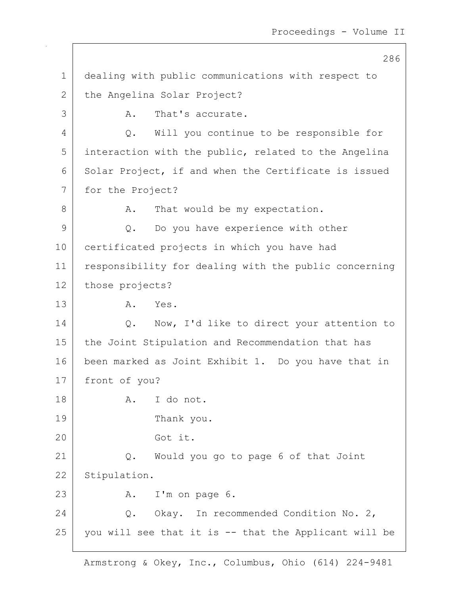286 1 dealing with public communications with respect to 2 the Angelina Solar Project? 3 A. That's accurate. 4 Q. Will you continue to be responsible for 5 interaction with the public, related to the Angelina 6 Solar Project, if and when the Certificate is issued 7 for the Project? 8 A. That would be my expectation. 9 Q. Do you have experience with other 10 certificated projects in which you have had 11 responsibility for dealing with the public concerning 12 those projects? 13 A. Yes. 14 | Q. Now, I'd like to direct your attention to 15 | the Joint Stipulation and Recommendation that has 16 been marked as Joint Exhibit 1. Do you have that in 17 front of you? 18 R. I do not. 19 Thank you. 20 Got it. 21 Q. Would you go to page 6 of that Joint 22 Stipulation. 23 A. I'm on page 6. 24 | C. Okay. In recommended Condition No. 2, 25 you will see that it is -- that the Applicant will be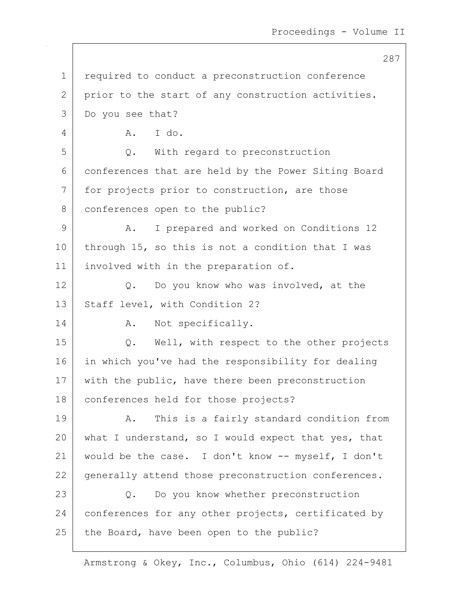287 1 | required to conduct a preconstruction conference 2 prior to the start of any construction activities. 3 Do you see that? 4 A. I do. 5 Q. With regard to preconstruction 6 conferences that are held by the Power Siting Board 7 for projects prior to construction, are those 8 conferences open to the public? 9 A. I prepared and worked on Conditions 12 10 | through 15, so this is not a condition that I was 11 involved with in the preparation of. 12 Q. Do you know who was involved, at the 13 Staff level, with Condition 2? 14 A. Not specifically. 15 | Q. Well, with respect to the other projects 16 in which you've had the responsibility for dealing 17 with the public, have there been preconstruction 18 conferences held for those projects? 19 | A. This is a fairly standard condition from 20 what I understand, so I would expect that yes, that 21 would be the case. I don't know -- myself, I don't 22 generally attend those preconstruction conferences. 23 Q. Do you know whether preconstruction 24 conferences for any other projects, certificated by  $25$  the Board, have been open to the public?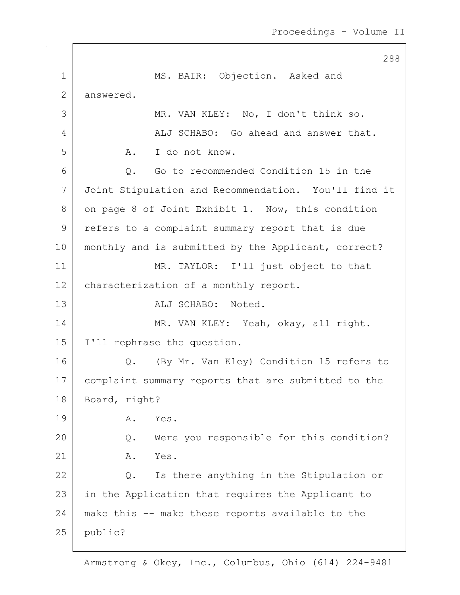288 1 MS. BAIR: Objection. Asked and 2 answered. 3 MR. VAN KLEY: No, I don't think so. 4 ALJ SCHABO: Go ahead and answer that. 5 A. I do not know. 6 0. Go to recommended Condition 15 in the 7 Joint Stipulation and Recommendation. You'll find it 8 on page 8 of Joint Exhibit 1. Now, this condition 9 refers to a complaint summary report that is due 10 | monthly and is submitted by the Applicant, correct? 11 MR. TAYLOR: I'll just object to that 12 | characterization of a monthly report. 13 aLJ SCHABO: Noted. 14 MR. VAN KLEY: Yeah, okay, all right. 15 I'll rephrase the question. 16 Q. (By Mr. Van Kley) Condition 15 refers to 17 | complaint summary reports that are submitted to the 18 Board, right? 19 A. Yes. 20 Q. Were you responsible for this condition? 21 A. Yes. 22 Q. Is there anything in the Stipulation or 23 | in the Application that requires the Applicant to 24 make this -- make these reports available to the 25 public?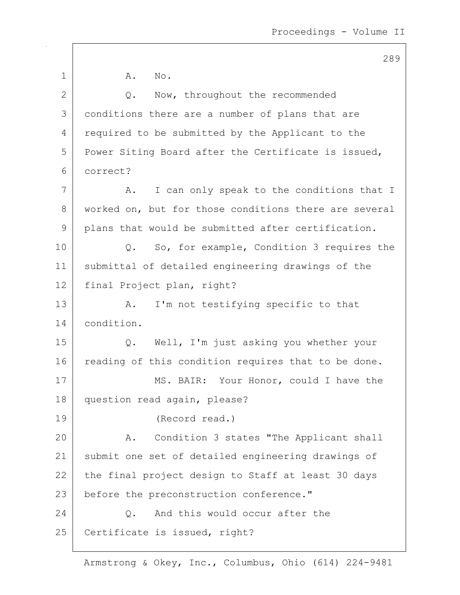1 A. No. 2 Q. Now, throughout the recommended 3 conditions there are a number of plans that are 4 required to be submitted by the Applicant to the 5 | Power Siting Board after the Certificate is issued, 6 correct? 7 A. I can only speak to the conditions that I 8 worked on, but for those conditions there are several 9 | plans that would be submitted after certification. 10 Q. So, for example, Condition 3 requires the 11 submittal of detailed engineering drawings of the 12 final Project plan, right? 13 A. I'm not testifying specific to that 14 condition. 15 Q. Well, I'm just asking you whether your 16 reading of this condition requires that to be done. 17 MS. BAIR: Your Honor, could I have the 18 question read again, please? 19 (Record read.) 20 A. Condition 3 states "The Applicant shall 21 submit one set of detailed engineering drawings of 22 the final project design to Staff at least 30 days 23 before the preconstruction conference." 24 Q. And this would occur after the 25 | Certificate is issued, right?

Armstrong & Okey, Inc., Columbus, Ohio (614) 224-9481

## 289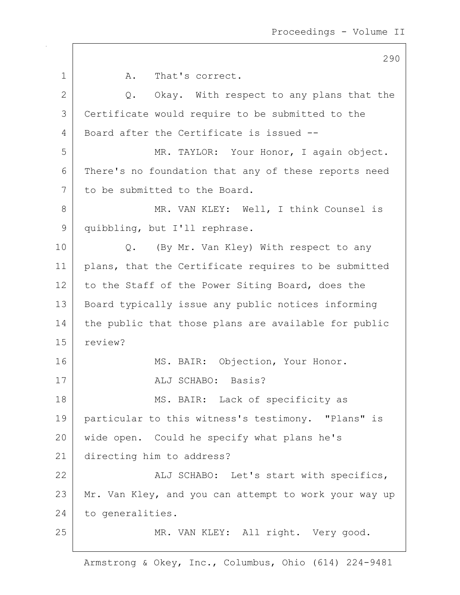290 1 A. That's correct.  $2$  Q. Okay. With respect to any plans that the 3 Certificate would require to be submitted to the 4 Board after the Certificate is issued --5 | MR. TAYLOR: Your Honor, I again object. 6 There's no foundation that any of these reports need 7 to be submitted to the Board. 8 | MR. VAN KLEY: Well, I think Counsel is 9 quibbling, but I'll rephrase. 10 | Q. (By Mr. Van Kley) With respect to any 11 | plans, that the Certificate requires to be submitted 12 to the Staff of the Power Siting Board, does the 13 Board typically issue any public notices informing 14 the public that those plans are available for public 15 review? 16 | MS. BAIR: Objection, Your Honor. 17 | ALJ SCHABO: Basis? 18 | MS. BAIR: Lack of specificity as 19 particular to this witness's testimony. "Plans" is 20 wide open. Could he specify what plans he's 21 directing him to address? 22 | ALJ SCHABO: Let's start with specifics, 23 Mr. Van Kley, and you can attempt to work your way up 24 to generalities. 25 | MR. VAN KLEY: All right. Very good.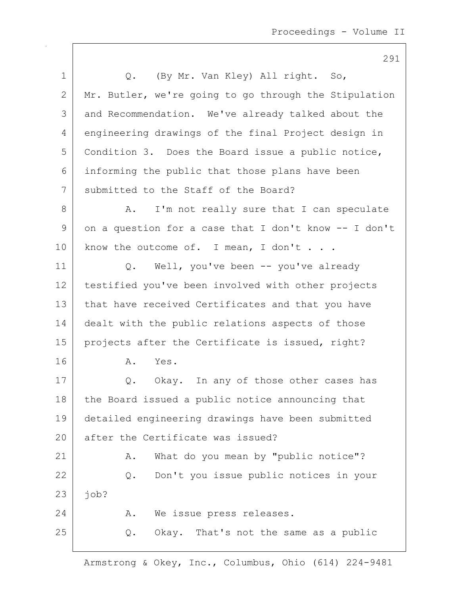|             | 291                                                   |
|-------------|-------------------------------------------------------|
| $\mathbf 1$ | (By Mr. Van Kley) All right. So,<br>$Q_{\bullet}$     |
| 2           | Mr. Butler, we're going to go through the Stipulation |
| 3           | and Recommendation. We've already talked about the    |
| 4           | engineering drawings of the final Project design in   |
| 5           | Condition 3. Does the Board issue a public notice,    |
| 6           | informing the public that those plans have been       |
| 7           | submitted to the Staff of the Board?                  |
| 8           | I'm not really sure that I can speculate<br>Α.        |
| 9           | on a question for a case that I don't know -- I don't |
| 10          | know the outcome of. I mean, I don't                  |
| 11          | Well, you've been -- you've already<br>Q.             |
| 12          | testified you've been involved with other projects    |
| 13          | that have received Certificates and that you have     |
| 14          | dealt with the public relations aspects of those      |
| 15          | projects after the Certificate is issued, right?      |
| 16          | Yes.<br>Α.                                            |
| 17          | Q. Okay. In any of those other cases has              |
| 18          | the Board issued a public notice announcing that      |
| 19          | detailed engineering drawings have been submitted     |
| 20          | after the Certificate was issued?                     |
| 21          | What do you mean by "public notice"?<br>Α.            |
| 22          | Don't you issue public notices in your<br>$Q$ .       |
| 23          | job?                                                  |
| 24          | We issue press releases.<br>Α.                        |
| 25          | Okay. That's not the same as a public<br>Q.           |
|             |                                                       |

 $\mathsf{I}$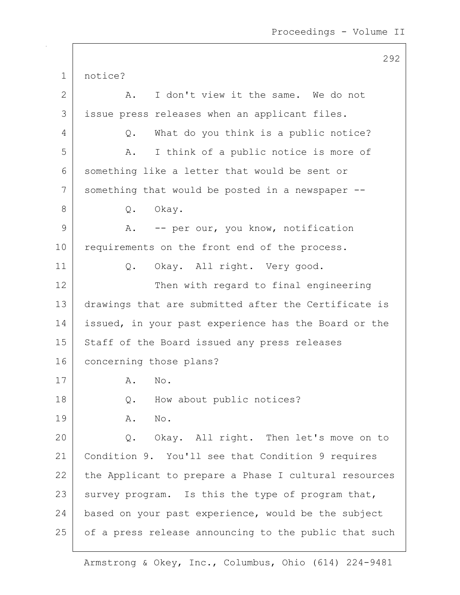292 1 notice? 2 A. I don't view it the same. We do not 3 issue press releases when an applicant files. 4 Q. What do you think is a public notice? 5 A. I think of a public notice is more of 6 something like a letter that would be sent or 7 something that would be posted in a newspaper --8 Q. Okay. 9 A. -- per our, you know, notification 10 requirements on the front end of the process. 11 | Q. Okay. All right. Very good. 12 Then with regard to final engineering 13 drawings that are submitted after the Certificate is 14 issued, in your past experience has the Board or the 15 | Staff of the Board issued any press releases 16 concerning those plans? 17 A. No. 18 Q. How about public notices? 19 A. No. 20 Q. Okay. All right. Then let's move on to 21 Condition 9. You'll see that Condition 9 requires 22 the Applicant to prepare a Phase I cultural resources 23 survey program. Is this the type of program that, 24 based on your past experience, would be the subject 25 of a press release announcing to the public that such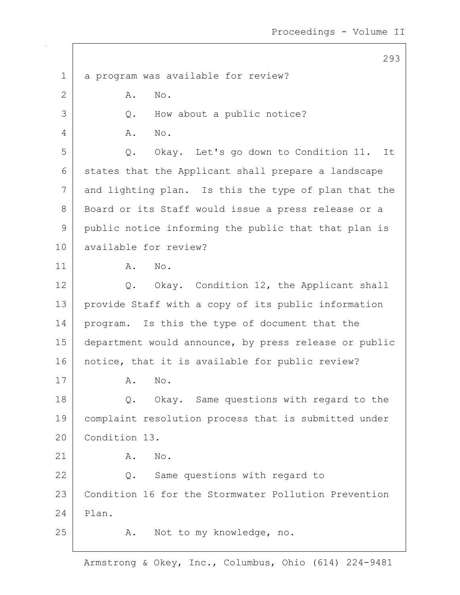293 1 a program was available for review? 2 A. No. 3 Q. How about a public notice? 4 A. No. 5 Q. Okay. Let's go down to Condition 11. It 6 states that the Applicant shall prepare a landscape 7 and lighting plan. Is this the type of plan that the 8 | Board or its Staff would issue a press release or a 9 public notice informing the public that that plan is 10 available for review? 11 | A. No. 12 Q. Okay. Condition 12, the Applicant shall 13 provide Staff with a copy of its public information 14 | program. Is this the type of document that the 15 department would announce, by press release or public 16 | notice, that it is available for public review? 17 A. No. 18 Q. Okay. Same questions with regard to the 19 complaint resolution process that is submitted under 20 Condition 13. 21 | A. No. 22 Q. Same questions with regard to 23 Condition 16 for the Stormwater Pollution Prevention  $24$  Plan. 25 A. Not to my knowledge, no.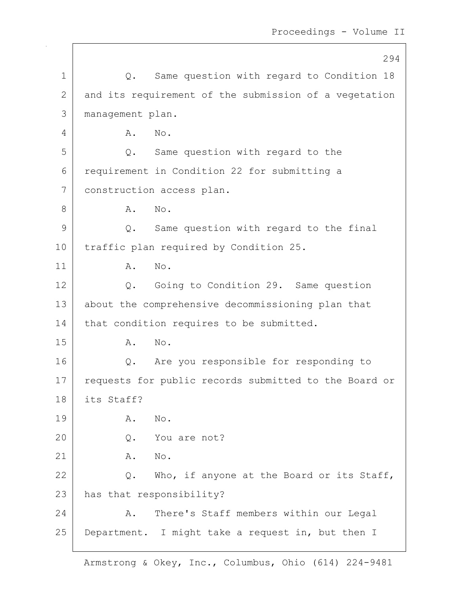|               | 294                                                   |
|---------------|-------------------------------------------------------|
| $\mathbf 1$   | Same question with regard to Condition 18<br>Q.       |
| $\mathbf{2}$  | and its requirement of the submission of a vegetation |
| 3             | management plan.                                      |
| 4             | No.<br>Α.                                             |
| 5             | Same question with regard to the<br>Q.                |
| 6             | requirement in Condition 22 for submitting a          |
| 7             | construction access plan.                             |
| 8             | No.<br>Α.                                             |
| $\mathcal{G}$ | Same question with regard to the final<br>Q.          |
| 10            | traffic plan required by Condition 25.                |
| 11            | No.<br>Α.                                             |
| 12            | Going to Condition 29. Same question<br>$Q$ .         |
| 13            | about the comprehensive decommissioning plan that     |
| 14            | that condition requires to be submitted.              |
| 15            | No.<br>Α.                                             |
| 16            | Are you responsible for responding to<br>Q.           |
| 17            | requests for public records submitted to the Board or |
| 18            | its Staff?                                            |
| 19            | Α.<br>No.                                             |
| 20            | You are not?<br>$Q$ .                                 |
| 21            | Α.<br>No.                                             |
| 22            | $Q$ .<br>Who, if anyone at the Board or its Staff,    |
| 23            | has that responsibility?                              |
| 24            | There's Staff members within our Legal<br>Α.          |
| 25            | Department. I might take a request in, but then I     |
|               |                                                       |

 $\overline{\phantom{a}}$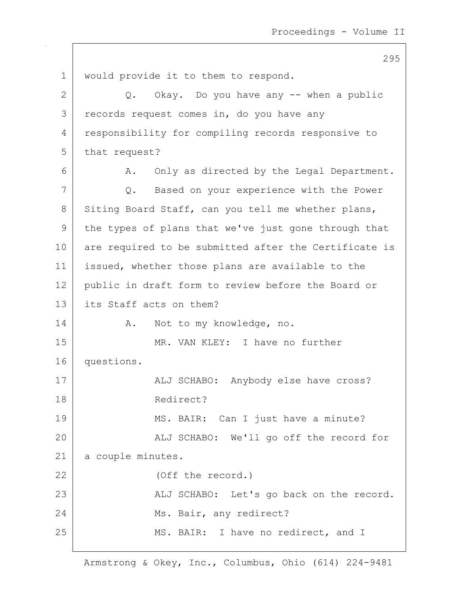1 | would provide it to them to respond.  $2$  Q. Okay. Do you have any  $-$  when a public 3 records request comes in, do you have any 4 responsibility for compiling records responsive to 5 that request? 6 | A. Only as directed by the Legal Department. 7 Q. Based on your experience with the Power 8 Siting Board Staff, can you tell me whether plans, 9 the types of plans that we've just gone through that 10 are required to be submitted after the Certificate is 11 | issued, whether those plans are available to the 12 public in draft form to review before the Board or 13 its Staff acts on them? 14 A. Not to my knowledge, no. 15 MR. VAN KLEY: I have no further 16 questions. 17 | ALJ SCHABO: Anybody else have cross? 18 Redirect? 19 | MS. BAIR: Can I just have a minute? 20 | The SCHABO: We'll go off the record for 21 | a couple minutes. 22 (Off the record.) 23 | ALJ SCHABO: Let's go back on the record. 24 Ms. Bair, any redirect? 25 MS. BAIR: I have no redirect, and I

295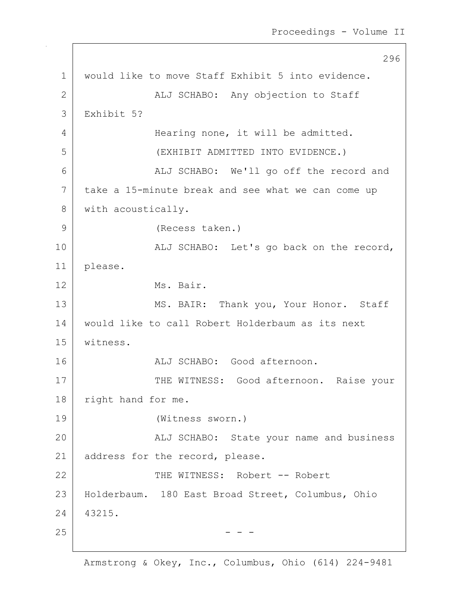296 1 | would like to move Staff Exhibit 5 into evidence. 2 | ALJ SCHABO: Any objection to Staff 3 Exhibit 5? 4 Hearing none, it will be admitted. 5 (EXHIBIT ADMITTED INTO EVIDENCE.) 6 ALJ SCHABO: We'll go off the record and 7 take a 15-minute break and see what we can come up 8 | with acoustically. 9 (Recess taken.) 10 | ALJ SCHABO: Let's go back on the record, 11 please. 12 Ms. Bair. 13 MS. BAIR: Thank you, Your Honor. Staff 14 would like to call Robert Holderbaum as its next 15 witness. 16 | REGISTER ALJ SCHABO: Good afternoon. 17 | THE WITNESS: Good afternoon. Raise your 18 | right hand for me. 19 (Witness sworn.) 20 | The SCHABO: State your name and business 21 | address for the record, please. 22 | THE WITNESS: Robert -- Robert 23 Holderbaum. 180 East Broad Street, Columbus, Ohio 24 43215.  $25$  - - -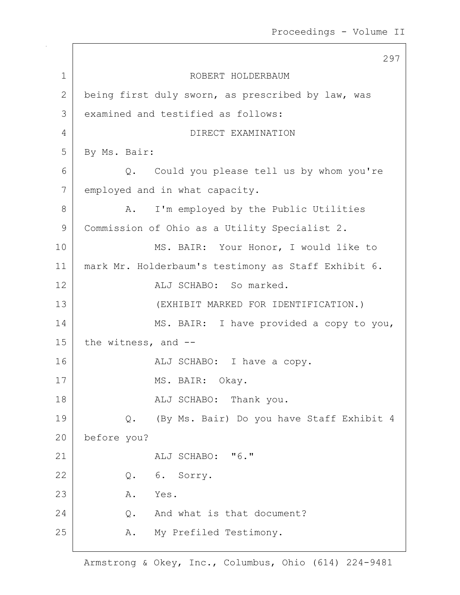297 1 ROBERT HOLDERBAUM 2 being first duly sworn, as prescribed by law, was 3 examined and testified as follows: 4 DIRECT EXAMINATION 5 By Ms. Bair: 6 Q. Could you please tell us by whom you're 7 employed and in what capacity. 8 A. I'm employed by the Public Utilities 9 Commission of Ohio as a Utility Specialist 2. 10 | MS. BAIR: Your Honor, I would like to 11 mark Mr. Holderbaum's testimony as Staff Exhibit 6. 12 ALJ SCHABO: So marked. 13 (EXHIBIT MARKED FOR IDENTIFICATION.) 14 MS. BAIR: I have provided a copy to you, 15 the witness, and  $-$ 16 | REALI SCHABO: I have a copy. 17 MS. BAIR: Okay. 18 | REALI SCHABO: Thank you. 19 | Q. (By Ms. Bair) Do you have Staff Exhibit 4 20 before you?  $21$   $\overline{A}$   $\overline{A}$   $\overline{C}$   $\overline{A}$   $\overline{B}$   $\overline{C}$   $\overline{C}$   $\overline{C}$   $\overline{C}$   $\overline{C}$   $\overline{C}$   $\overline{C}$   $\overline{C}$   $\overline{C}$   $\overline{C}$   $\overline{C}$   $\overline{C}$   $\overline{C}$   $\overline{C}$   $\overline{C}$   $\overline{C}$   $\overline{C}$   $\overline{C}$   $\overline{C}$  22 Q. 6. Sorry. 23 A. Yes. 24 Q. And what is that document? 25 | R. My Prefiled Testimony.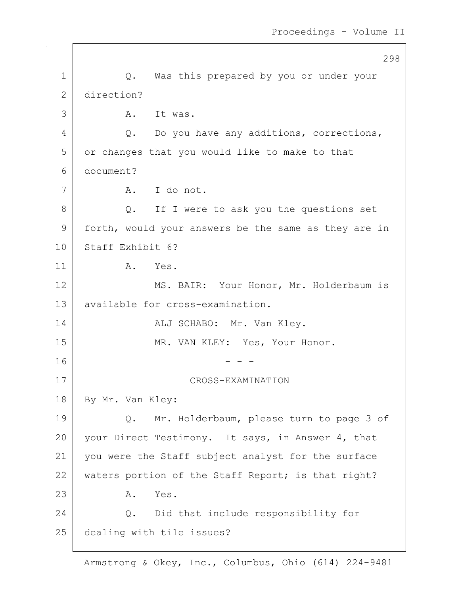|              | 298                                                  |
|--------------|------------------------------------------------------|
| $\mathbf{1}$ | Q. Was this prepared by you or under your            |
| $\mathbf{2}$ | direction?                                           |
| 3            | It was.<br>A.                                        |
| 4            | Q. Do you have any additions, corrections,           |
| 5            | or changes that you would like to make to that       |
| 6            | document?                                            |
| 7            | A. I do not.                                         |
| 8            | Q. If I were to ask you the questions set            |
| 9            | forth, would your answers be the same as they are in |
| 10           | Staff Exhibit 6?                                     |
| 11           | Α.<br>Yes.                                           |
| 12           | MS. BAIR: Your Honor, Mr. Holderbaum is              |
| 13           | available for cross-examination.                     |
| 14           | ALJ SCHABO: Mr. Van Kley.                            |
| 15           | MR. VAN KLEY: Yes, Your Honor.                       |
| 16           |                                                      |
| 17           | CROSS-EXAMINATION                                    |
| 18           | By Mr. Van Kley:                                     |
| 19           | Mr. Holderbaum, please turn to page 3 of<br>Q.       |
| 20           | your Direct Testimony. It says, in Answer 4, that    |
| 21           | you were the Staff subject analyst for the surface   |
| 22           | waters portion of the Staff Report; is that right?   |
| 23           | Yes.<br>Α.                                           |
| 24           | Q. Did that include responsibility for               |
| 25           | dealing with tile issues?                            |
|              |                                                      |

 $\overline{\phantom{a}}$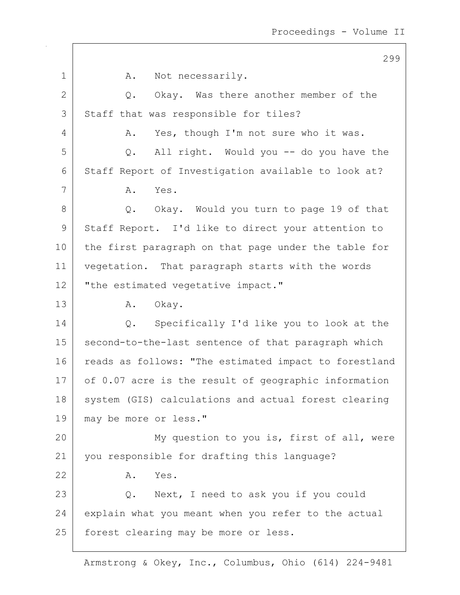299 1 A. Not necessarily. 2 Q. Okay. Was there another member of the 3 Staff that was responsible for tiles? 4 A. Yes, though I'm not sure who it was. 5 Q. All right. Would you -- do you have the 6 Staff Report of Investigation available to look at? 7 A. Yes. 8 Q. Okay. Would you turn to page 19 of that 9 Staff Report. I'd like to direct your attention to 10 the first paragraph on that page under the table for 11 vegetation. That paragraph starts with the words 12 | "the estimated vegetative impact." 13 | A. Okay. 14 Q. Specifically I'd like you to look at the 15 | second-to-the-last sentence of that paragraph which 16 reads as follows: "The estimated impact to forestland 17 of 0.07 acre is the result of geographic information 18 system (GIS) calculations and actual forest clearing 19 | may be more or less." 20 My question to you is, first of all, were 21 you responsible for drafting this language? 22 A. Yes. 23 Q. Next, I need to ask you if you could 24 explain what you meant when you refer to the actual 25 | forest clearing may be more or less.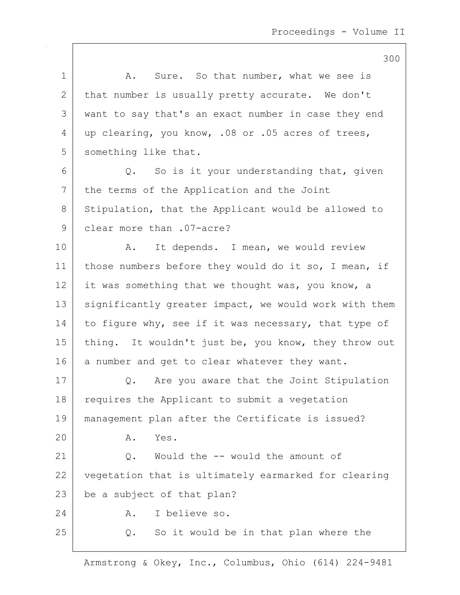|             | 300                                                   |
|-------------|-------------------------------------------------------|
| $\mathbf 1$ | Sure. So that number, what we see is<br>A.            |
| 2           | that number is usually pretty accurate. We don't      |
| 3           | want to say that's an exact number in case they end   |
| 4           | up clearing, you know, .08 or .05 acres of trees,     |
| 5           | something like that.                                  |
| 6           | So is it your understanding that, given<br>Q.         |
| 7           | the terms of the Application and the Joint            |
| 8           | Stipulation, that the Applicant would be allowed to   |
| 9           | clear more than .07-acre?                             |
| 10          | It depends. I mean, we would review<br>Α.             |
| 11          | those numbers before they would do it so, I mean, if  |
| 12          | it was something that we thought was, you know, a     |
| 13          | significantly greater impact, we would work with them |
| 14          | to figure why, see if it was necessary, that type of  |
| 15          | thing. It wouldn't just be, you know, they throw out  |
| 16          | a number and get to clear whatever they want.         |
| 17          | Are you aware that the Joint Stipulation<br>Q.        |
| 18          | requires the Applicant to submit a vegetation         |
| 19          | management plan after the Certificate is issued?      |
| 20          | Α.<br>Yes.                                            |
| 21          | Would the -- would the amount of<br>Q.                |
| 22          | vegetation that is ultimately earmarked for clearing  |
| 23          | be a subject of that plan?                            |
| 24          | I believe so.<br>Α.                                   |
| 25          | So it would be in that plan where the<br>$Q$ .        |

 $\mathsf{I}$ 

Armstrong & Okey, Inc., Columbus, Ohio (614) 224-9481

## $200$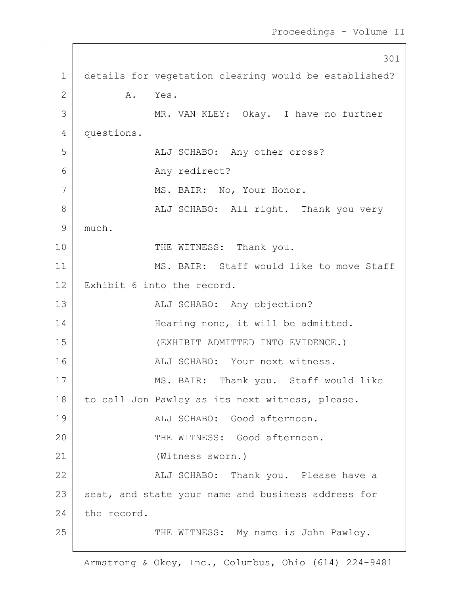301 1 details for vegetation clearing would be established? 2 A. Yes. 3 MR. VAN KLEY: Okay. I have no further 4 questions. 5 | ALJ SCHABO: Any other cross? 6 Any redirect? 7 | MS. BAIR: No, Your Honor. 8 | ALJ SCHABO: All right. Thank you very 9 much. 10 THE WITNESS: Thank you. 11 MS. BAIR: Staff would like to move Staff 12 Exhibit 6 into the record. 13 | ALJ SCHABO: Any objection? 14 Hearing none, it will be admitted. 15 (EXHIBIT ADMITTED INTO EVIDENCE.) 16 ALJ SCHABO: Your next witness. 17 | MS. BAIR: Thank you. Staff would like 18 | to call Jon Pawley as its next witness, please. 19 ALJ SCHABO: Good afternoon. 20 THE WITNESS: Good afternoon. 21 (Witness sworn.) 22 ALJ SCHABO: Thank you. Please have a 23 seat, and state your name and business address for 24 the record. 25 | THE WITNESS: My name is John Pawley.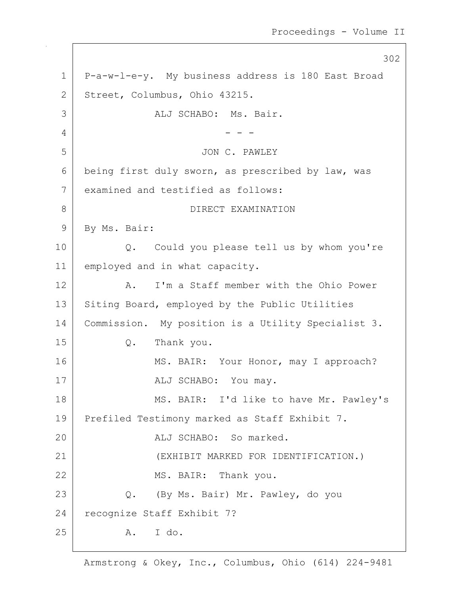302 1 P-a-w-l-e-y. My business address is 180 East Broad 2 Street, Columbus, Ohio 43215. 3 ALJ SCHABO: Ms. Bair.  $4$  - - -5 JON C. PAWLEY 6 being first duly sworn, as prescribed by law, was 7 examined and testified as follows: 8 DIRECT EXAMINATION 9 By Ms. Bair: 10 Q. Could you please tell us by whom you're 11 employed and in what capacity. 12 A. I'm a Staff member with the Ohio Power 13 Siting Board, employed by the Public Utilities 14 | Commission. My position is a Utility Specialist 3. 15 Q. Thank you. 16 MS. BAIR: Your Honor, may I approach? 17 | ALJ SCHABO: You may. 18 | MS. BAIR: I'd like to have Mr. Pawley's 19 Prefiled Testimony marked as Staff Exhibit 7. 20 ALJ SCHABO: So marked. 21 (EXHIBIT MARKED FOR IDENTIFICATION.) 22 MS. BAIR: Thank you. 23 Q. (By Ms. Bair) Mr. Pawley, do you 24 recognize Staff Exhibit 7? 25 A. I do.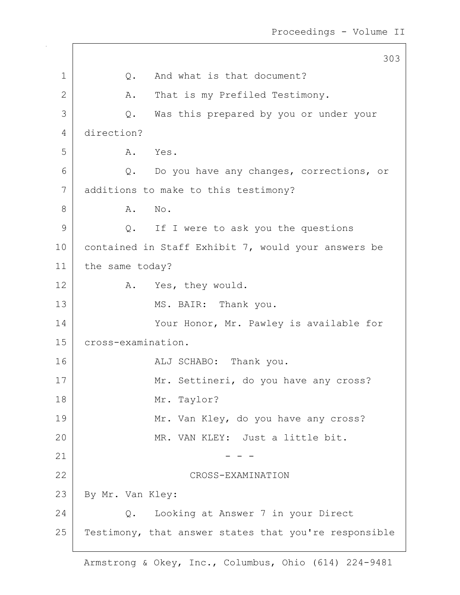303 1 |  $Q$ . And what is that document? 2 A. That is my Prefiled Testimony. 3 Q. Was this prepared by you or under your 4 direction? 5 A. Yes. 6 Q. Do you have any changes, corrections, or 7 additions to make to this testimony? 8 A. No. 9 Q. If I were to ask you the questions 10 contained in Staff Exhibit 7, would your answers be 11 | the same today? 12 A. Yes, they would. 13 MS. BAIR: Thank you. 14 Your Honor, Mr. Pawley is available for 15 cross-examination. 16 ALJ SCHABO: Thank you. 17 Mr. Settineri, do you have any cross? 18 Mr. Taylor? 19 Mr. Van Kley, do you have any cross? 20 MR. VAN KLEY: Just a little bit. 21  $- - -$ 22 CROSS-EXAMINATION 23 | By Mr. Van Kley: 24 Q. Looking at Answer 7 in your Direct 25 | Testimony, that answer states that you're responsible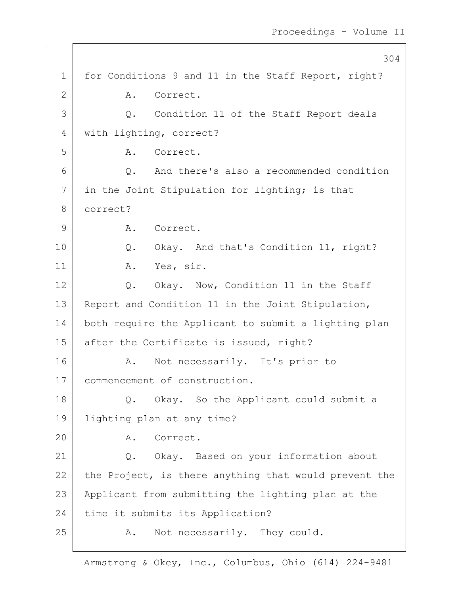|              | 304                                                   |
|--------------|-------------------------------------------------------|
| 1            | for Conditions 9 and 11 in the Staff Report, right?   |
| $\mathbf{2}$ | Correct.<br>Α.                                        |
| 3            | Q. Condition 11 of the Staff Report deals             |
| 4            | with lighting, correct?                               |
| 5            | A. Correct.                                           |
| 6            | And there's also a recommended condition<br>Q.        |
| 7            | in the Joint Stipulation for lighting; is that        |
| 8            | correct?                                              |
| 9            | A. Correct.                                           |
| 10           | Q. Okay. And that's Condition 11, right?              |
| 11           | A. Yes, sir.                                          |
| 12           | Q. Okay. Now, Condition 11 in the Staff               |
| 13           | Report and Condition 11 in the Joint Stipulation,     |
| 14           | both require the Applicant to submit a lighting plan  |
| 15           | after the Certificate is issued, right?               |
| 16           | Not necessarily. It's prior to<br>Α.                  |
| 17           | commencement of construction.                         |
| 18           | Okay. So the Applicant could submit a<br>Q.           |
| 19           | lighting plan at any time?                            |
| 20           | Correct.<br>Α.                                        |
| 21           | Q. Okay. Based on your information about              |
| 22           | the Project, is there anything that would prevent the |
| 23           | Applicant from submitting the lighting plan at the    |
| 24           | time it submits its Application?                      |
| 25           | Not necessarily. They could.<br>Α.                    |
|              |                                                       |

 $\overline{\phantom{a}}$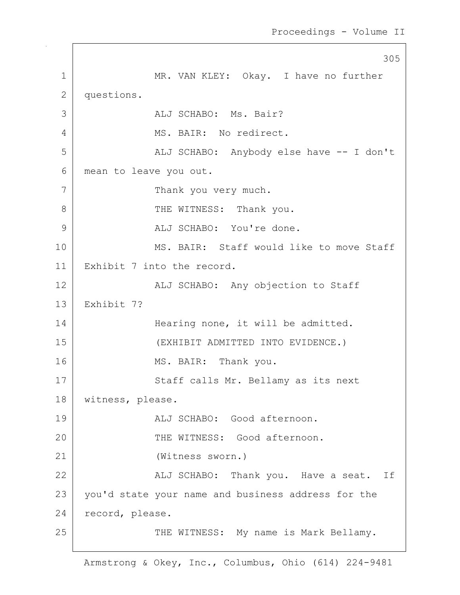305 1 MR. VAN KLEY: Okay. I have no further 2 questions. 3 ALJ SCHABO: Ms. Bair? 4 MS. BAIR: No redirect. 5 | ALJ SCHABO: Anybody else have -- I don't 6 mean to leave you out. 7 Thank you very much. 8 | THE WITNESS: Thank you. 9 ALJ SCHABO: You're done. 10 MS. BAIR: Staff would like to move Staff 11 Exhibit 7 into the record. 12 | ALJ SCHABO: Any objection to Staff 13 Exhibit 7? 14 Hearing none, it will be admitted. 15 (EXHIBIT ADMITTED INTO EVIDENCE.) 16 MS. BAIR: Thank you. 17 Staff calls Mr. Bellamy as its next 18 | witness, please. 19 ALJ SCHABO: Good afternoon. 20 THE WITNESS: Good afternoon. 21 (Witness sworn.) 22 | Kalj SCHABO: Thank you. Have a seat. If 23 | you'd state your name and business address for the 24 record, please. 25 | THE WITNESS: My name is Mark Bellamy.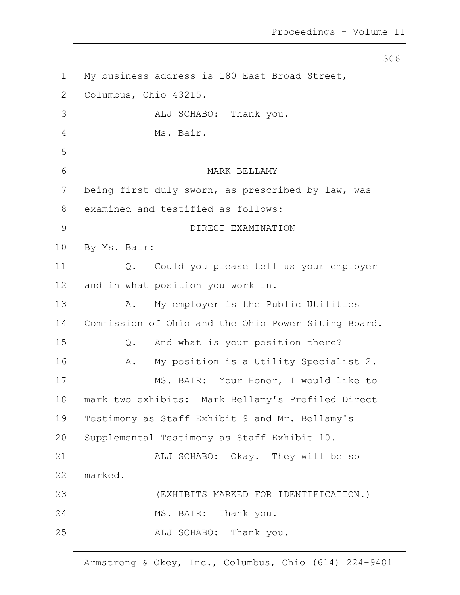306 1 | My business address is 180 East Broad Street, 2 Columbus, Ohio 43215. 3 ALJ SCHABO: Thank you. 4 Ms. Bair.  $5$   $-$  -  $-$ 6 MARK BELLAMY 7 being first duly sworn, as prescribed by law, was 8 examined and testified as follows: 9 DIRECT EXAMINATION 10 | By Ms. Bair: 11 Q. Could you please tell us your employer 12 and in what position you work in. 13 | A. My employer is the Public Utilities 14 | Commission of Ohio and the Ohio Power Siting Board. 15 Q. And what is your position there? 16 | A. My position is a Utility Specialist 2. 17 MS. BAIR: Your Honor, I would like to 18 mark two exhibits: Mark Bellamy's Prefiled Direct 19 Testimony as Staff Exhibit 9 and Mr. Bellamy's 20 Supplemental Testimony as Staff Exhibit 10. 21 | ALJ SCHABO: Okay. They will be so 22 marked. 23 (EXHIBITS MARKED FOR IDENTIFICATION.) 24 MS. BAIR: Thank you. 25 | REALJ SCHABO: Thank you.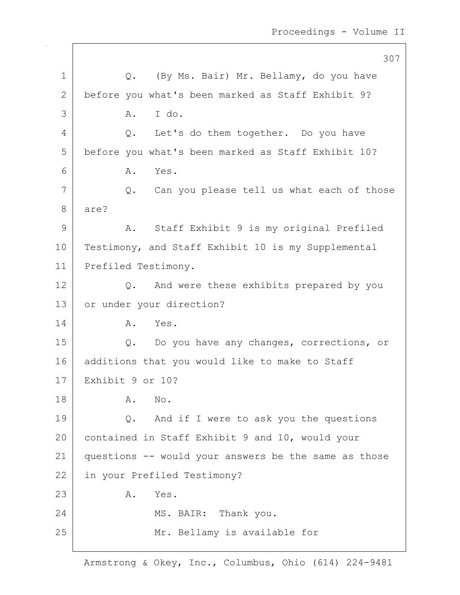|             | 307                                                  |
|-------------|------------------------------------------------------|
| $\mathbf 1$ | Q. (By Ms. Bair) Mr. Bellamy, do you have            |
| 2           | before you what's been marked as Staff Exhibit 9?    |
| 3           | I do.<br>Α.                                          |
| 4           | Let's do them together. Do you have<br>Q.            |
| 5           | before you what's been marked as Staff Exhibit 10?   |
| 6           | Yes.<br>Α.                                           |
| 7           | Q. Can you please tell us what each of those         |
| 8           | are?                                                 |
| 9           | Staff Exhibit 9 is my original Prefiled<br>A.        |
| 10          | Testimony, and Staff Exhibit 10 is my Supplemental   |
| 11          | Prefiled Testimony.                                  |
| 12          | And were these exhibits prepared by you<br>Q.        |
| 13          | or under your direction?                             |
| 14          | A. Yes.                                              |
| 15          | Q.<br>Do you have any changes, corrections, or       |
| 16          | additions that you would like to make to Staff       |
| 17          | Exhibit 9 or 10?                                     |
| 18          | No.<br>Α.                                            |
| 19          | And if I were to ask you the questions<br>Q.         |
| 20          | contained in Staff Exhibit 9 and 10, would your      |
| 21          | questions -- would your answers be the same as those |
| 22          | in your Prefiled Testimony?                          |
| 23          | Yes.<br>Α.                                           |
| 24          | MS. BAIR: Thank you.                                 |
| 25          | Mr. Bellamy is available for                         |
|             |                                                      |

 $\mathbf{I}$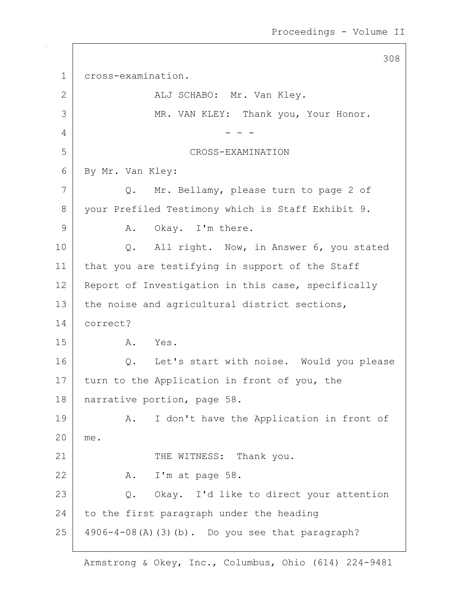|             | 308                                                |
|-------------|----------------------------------------------------|
| $\mathbf 1$ | cross-examination.                                 |
| 2           | ALJ SCHABO: Mr. Van Kley.                          |
| 3           | MR. VAN KLEY: Thank you, Your Honor.               |
| 4           |                                                    |
| 5           | CROSS-EXAMINATION                                  |
| 6           | By Mr. Van Kley:                                   |
| 7           | Q. Mr. Bellamy, please turn to page 2 of           |
| 8           | your Prefiled Testimony which is Staff Exhibit 9.  |
| 9           | Okay. I'm there.<br>Α.                             |
| 10          | All right. Now, in Answer 6, you stated<br>Q.      |
| 11          | that you are testifying in support of the Staff    |
| 12          | Report of Investigation in this case, specifically |
| 13          | the noise and agricultural district sections,      |
| 14          | correct?                                           |
| 15          | A. Yes.                                            |
| 16          | Q. Let's start with noise. Would you please        |
| 17          | turn to the Application in front of you, the       |
| 18          | narrative portion, page 58.                        |
| 19          | I don't have the Application in front of<br>Α.     |
| 20          | me.                                                |
| 21          | THE WITNESS: Thank you.                            |
| 22          | A. I'm at page 58.                                 |
| 23          | Q. Okay. I'd like to direct your attention         |
| 24          | to the first paragraph under the heading           |
| 25          | 4906-4-08(A)(3)(b). Do you see that paragraph?     |

 $\sqrt{ }$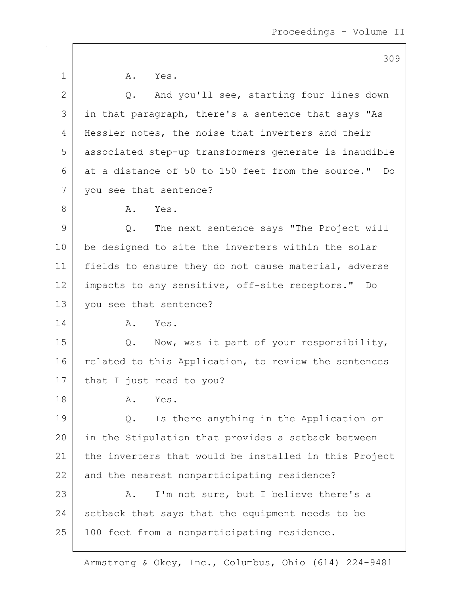Proceedings - Volume II

1 A. Yes. 2 Q. And you'll see, starting four lines down 3 in that paragraph, there's a sentence that says "As 4 | Hessler notes, the noise that inverters and their 5 associated step-up transformers generate is inaudible  $6$  at a distance of 50 to 150 feet from the source." Do 7 | you see that sentence? 8 A. Yes. 9 Q. The next sentence says "The Project will 10 be designed to site the inverters within the solar 11 | fields to ensure they do not cause material, adverse 12 impacts to any sensitive, off-site receptors." Do 13 you see that sentence? 14 A. Yes. 15 Q. Now, was it part of your responsibility, 16 related to this Application, to review the sentences 17 | that I just read to you? 18 A. Yes. 19 Q. Is there anything in the Application or 20 in the Stipulation that provides a setback between 21 the inverters that would be installed in this Project 22 and the nearest nonparticipating residence? 23 A. I'm not sure, but I believe there's a  $24$  setback that says that the equipment needs to be 25 | 100 feet from a nonparticipating residence.

Armstrong & Okey, Inc., Columbus, Ohio (614) 224-9481

## 309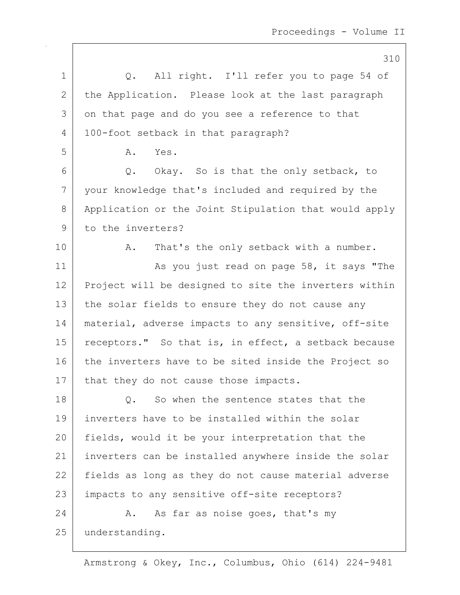Proceedings - Volume II

310 1 |  $Q$ . All right. I'll refer you to page 54 of 2 the Application. Please look at the last paragraph 3 on that page and do you see a reference to that 4 | 100-foot setback in that paragraph? 5 A. Yes.  $6$  Q. Okay. So is that the only setback, to 7 your knowledge that's included and required by the 8 Application or the Joint Stipulation that would apply 9 to the inverters? 10 | A. That's the only setback with a number. 11 | As you just read on page 58, it says "The 12 Project will be designed to site the inverters within 13 the solar fields to ensure they do not cause any 14 | material, adverse impacts to any sensitive, off-site 15 | receptors." So that is, in effect, a setback because 16 the inverters have to be sited inside the Project so 17 | that they do not cause those impacts. 18 | Q. So when the sentence states that the 19 inverters have to be installed within the solar 20 fields, would it be your interpretation that the 21 inverters can be installed anywhere inside the solar 22 fields as long as they do not cause material adverse 23 | impacts to any sensitive off-site receptors? 24 A. As far as noise goes, that's my 25 understanding.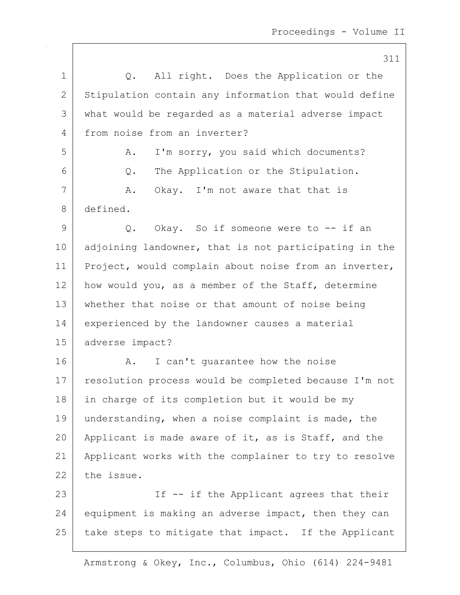311 1 |  $Q.$  All right. Does the Application or the 2 | Stipulation contain any information that would define 3 what would be regarded as a material adverse impact 4 from noise from an inverter? 5 A. I'm sorry, you said which documents? 6 Q. The Application or the Stipulation. 7 A. Okay. I'm not aware that that is 8 defined.  $9$  Q. Okay. So if someone were to  $-$  if an 10 adjoining landowner, that is not participating in the 11 | Project, would complain about noise from an inverter, 12 how would you, as a member of the Staff, determine 13 whether that noise or that amount of noise being 14 experienced by the landowner causes a material 15 adverse impact? 16 A. I can't quarantee how the noise 17 | resolution process would be completed because I'm not 18 | in charge of its completion but it would be my 19 understanding, when a noise complaint is made, the 20 Applicant is made aware of it, as is Staff, and the 21 Applicant works with the complainer to try to resolve 22 the issue. 23 | The Institute Applicant agrees that their 24 equipment is making an adverse impact, then they can 25 take steps to mitigate that impact. If the Applicant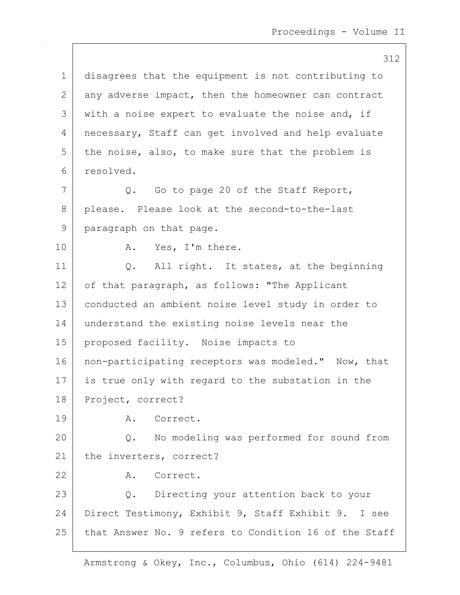312 1 disagrees that the equipment is not contributing to 2 any adverse impact, then the homeowner can contract  $3$  with a noise expert to evaluate the noise and, if 4 | necessary, Staff can get involved and help evaluate  $5$  the noise, also, to make sure that the problem is 6 resolved. 7 Q. Go to page 20 of the Staff Report, 8 please. Please look at the second-to-the-last 9 | paragraph on that page. 10 | A. Yes, I'm there. 11 | Q. All right. It states, at the beginning 12 of that paragraph, as follows: "The Applicant 13 conducted an ambient noise level study in order to 14 understand the existing noise levels near the 15 proposed facility. Noise impacts to 16 | non-participating receptors was modeled." Now, that 17 is true only with regard to the substation in the 18 Project, correct? 19 A. Correct. 20 Q. No modeling was performed for sound from 21 the inverters, correct? 22 A. Correct. 23 Q. Directing your attention back to your 24 Direct Testimony, Exhibit 9, Staff Exhibit 9. I see 25 that Answer No. 9 refers to Condition 16 of the Staff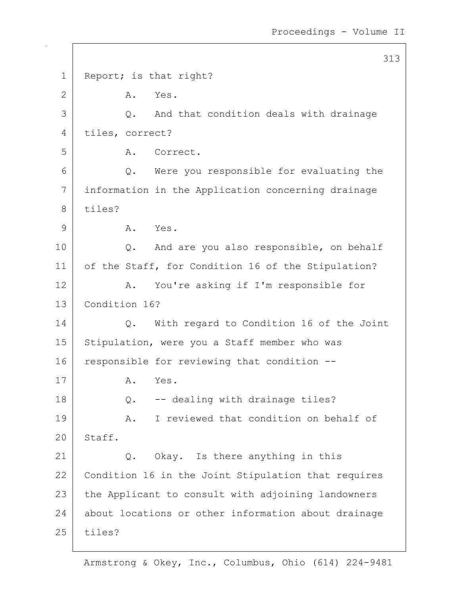313 1 Report; is that right? 2 A. Yes. 3 Q. And that condition deals with drainage 4 tiles, correct? 5 A. Correct. 6 Q. Were you responsible for evaluating the 7 information in the Application concerning drainage  $8$  tiles? 9 A. Yes. 10 Q. And are you also responsible, on behalf 11 of the Staff, for Condition 16 of the Stipulation? 12 A. You're asking if I'm responsible for 13 Condition 16? 14 Q. With regard to Condition 16 of the Joint 15 | Stipulation, were you a Staff member who was 16 responsible for reviewing that condition --17 A. Yes. 18 Q. -- dealing with drainage tiles? 19 A. I reviewed that condition on behalf of 20 Staff. 21 Q. Okay. Is there anything in this 22 Condition 16 in the Joint Stipulation that requires 23 the Applicant to consult with adjoining landowners 24 about locations or other information about drainage 25 tiles?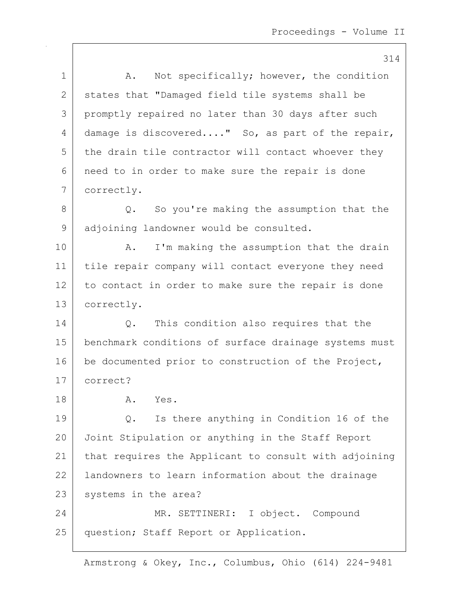314 1 | A. Not specifically; however, the condition 2 | states that "Damaged field tile systems shall be 3 promptly repaired no later than 30 days after such 4 damage is discovered...." So, as part of the repair,  $5$  the drain tile contractor will contact whoever they 6 need to in order to make sure the repair is done 7 correctly. 8 Q. So you're making the assumption that the 9 adjoining landowner would be consulted. 10 | A. I'm making the assumption that the drain 11 tile repair company will contact everyone they need 12 to contact in order to make sure the repair is done 13 correctly. 14 | Q. This condition also requires that the 15 benchmark conditions of surface drainage systems must 16 be documented prior to construction of the Project, 17 correct? 18 A. Yes. 19 Q. Is there anything in Condition 16 of the 20 Joint Stipulation or anything in the Staff Report 21 that requires the Applicant to consult with adjoining 22 landowners to learn information about the drainage 23 | systems in the area? 24 MR. SETTINERI: I object. Compound 25 | question; Staff Report or Application.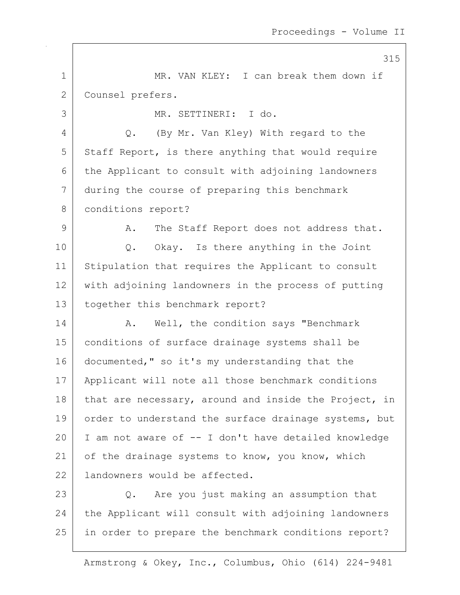315 1 MR. VAN KLEY: I can break them down if 2 Counsel prefers. 3 MR. SETTINERI: I do. 4 Q. (By Mr. Van Kley) With regard to the  $5$  Staff Report, is there anything that would require 6 the Applicant to consult with adjoining landowners 7 during the course of preparing this benchmark 8 | conditions report? 9 A. The Staff Report does not address that. 10 | Q. Okay. Is there anything in the Joint 11 Stipulation that requires the Applicant to consult 12 with adjoining landowners in the process of putting 13 | together this benchmark report? 14 A. Well, the condition says "Benchmark 15 conditions of surface drainage systems shall be 16 documented," so it's my understanding that the 17 Applicant will note all those benchmark conditions 18 that are necessary, around and inside the Project, in 19 order to understand the surface drainage systems, but 20 I am not aware of -- I don't have detailed knowledge 21 of the drainage systems to know, you know, which 22 | landowners would be affected. 23 Q. Are you just making an assumption that  $24$  the Applicant will consult with adjoining landowners 25 in order to prepare the benchmark conditions report?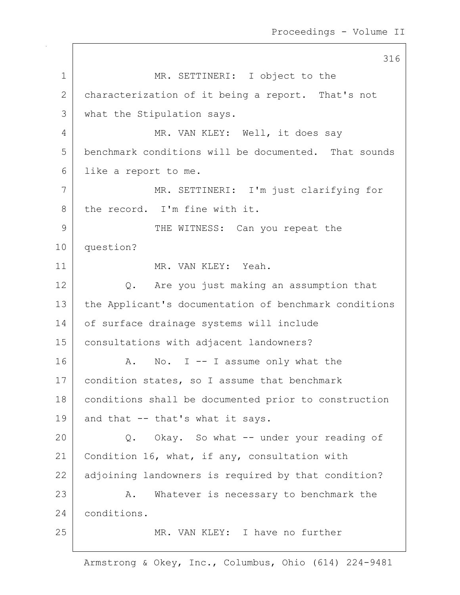316 1 MR. SETTINERI: I object to the 2 characterization of it being a report. That's not 3 what the Stipulation says. 4 MR. VAN KLEY: Well, it does say 5 benchmark conditions will be documented. That sounds 6 like a report to me. 7 MR. SETTINERI: I'm just clarifying for 8 the record. I'm fine with it. 9 THE WITNESS: Can you repeat the 10 question? 11 MR. VAN KLEY: Yeah. 12 Q. Are you just making an assumption that 13 | the Applicant's documentation of benchmark conditions 14 of surface drainage systems will include 15 consultations with adjacent landowners? 16 A. No. I -- I assume only what the 17 | condition states, so I assume that benchmark 18 | conditions shall be documented prior to construction 19 and that  $--$  that's what it says. 20 Q. Okay. So what -- under your reading of 21 | Condition 16, what, if any, consultation with 22 adjoining landowners is required by that condition? 23 A. Whatever is necessary to benchmark the 24 conditions. 25 MR. VAN KLEY: I have no further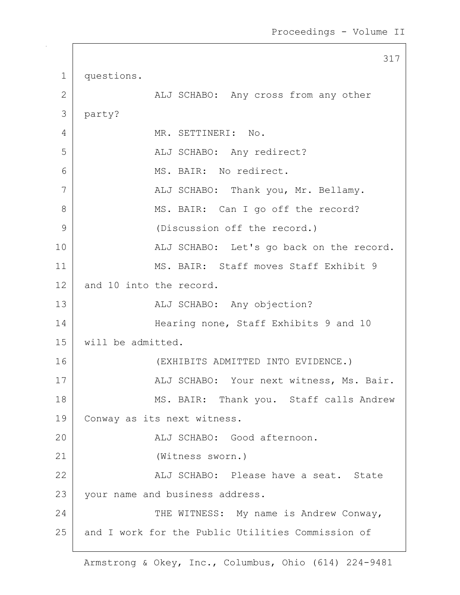317 1 questions. 2 | ALJ SCHABO: Any cross from any other 3 party? 4 MR. SETTINERI: No. 5 | ALJ SCHABO: Any redirect? 6 MS. BAIR: No redirect. 7 ALJ SCHABO: Thank you, Mr. Bellamy. 8 MS. BAIR: Can I go off the record? 9 (Discussion off the record.) 10 ALJ SCHABO: Let's go back on the record. 11 MS. BAIR: Staff moves Staff Exhibit 9 12 and 10 into the record. 13 | ALJ SCHABO: Any objection? 14 Hearing none, Staff Exhibits 9 and 10 15 will be admitted. 16 (EXHIBITS ADMITTED INTO EVIDENCE.) 17 | ALJ SCHABO: Your next witness, Ms. Bair. 18 | MS. BAIR: Thank you. Staff calls Andrew 19 Conway as its next witness. 20 ALJ SCHABO: Good afternoon. 21 (Witness sworn.) 22 ALJ SCHABO: Please have a seat. State 23 | your name and business address. 24 THE WITNESS: My name is Andrew Conway, 25 and I work for the Public Utilities Commission of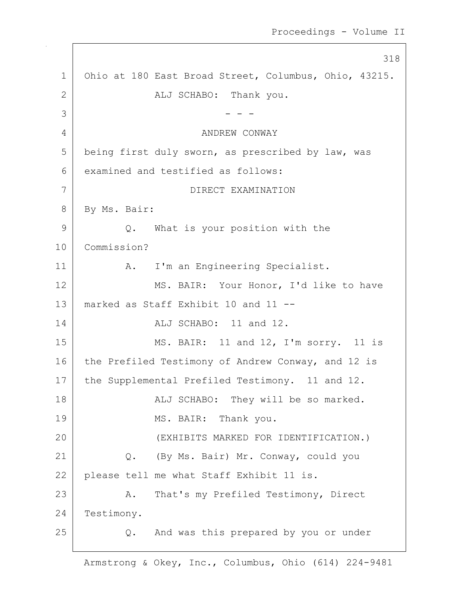318 1 Ohio at 180 East Broad Street, Columbus, Ohio, 43215. 2 | REJ SCHABO: Thank you.  $3 \mid - - -$ 4 ANDREW CONWAY 5 being first duly sworn, as prescribed by law, was 6 examined and testified as follows: 7 DIRECT EXAMINATION 8 By Ms. Bair: 9 Q. What is your position with the 10 Commission? 11 | A. I'm an Engineering Specialist. 12 MS. BAIR: Your Honor, I'd like to have 13 marked as Staff Exhibit 10 and 11 -- 14 ALJ SCHABO: 11 and 12. 15 MS. BAIR: 11 and 12, I'm sorry. 11 is 16 the Prefiled Testimony of Andrew Conway, and 12 is 17 | the Supplemental Prefiled Testimony. 11 and 12. 18 | ALJ SCHABO: They will be so marked. 19 MS. BAIR: Thank you. 20 (EXHIBITS MARKED FOR IDENTIFICATION.) 21 Q. (By Ms. Bair) Mr. Conway, could you 22 please tell me what Staff Exhibit 11 is. 23 | A. That's my Prefiled Testimony, Direct 24 Testimony. 25 Q. And was this prepared by you or under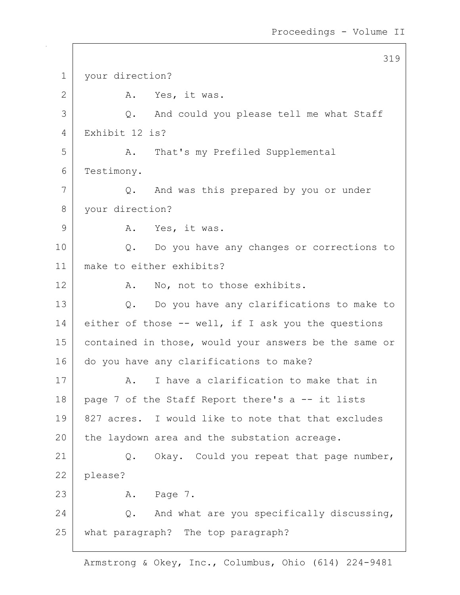319 1 | your direction? 2 A. Yes, it was. 3 Q. And could you please tell me what Staff 4 Exhibit 12 is? 5 A. That's my Prefiled Supplemental 6 Testimony. 7 Q. And was this prepared by you or under 8 your direction? 9 A. Yes, it was. 10 | Q. Do you have any changes or corrections to 11 make to either exhibits? 12 A. No, not to those exhibits. 13 Q. Do you have any clarifications to make to 14 either of those -- well, if I ask you the questions 15 | contained in those, would your answers be the same or 16 do you have any clarifications to make? 17 A. I have a clarification to make that in 18 | page 7 of the Staff Report there's a  $-$  it lists 19 827 acres. I would like to note that that excludes  $20$  the laydown area and the substation acreage. 21 | Q. Okay. Could you repeat that page number, 22 | please? 23 | A. Page 7. 24  $\vert$  0. And what are you specifically discussing, 25 what paragraph? The top paragraph?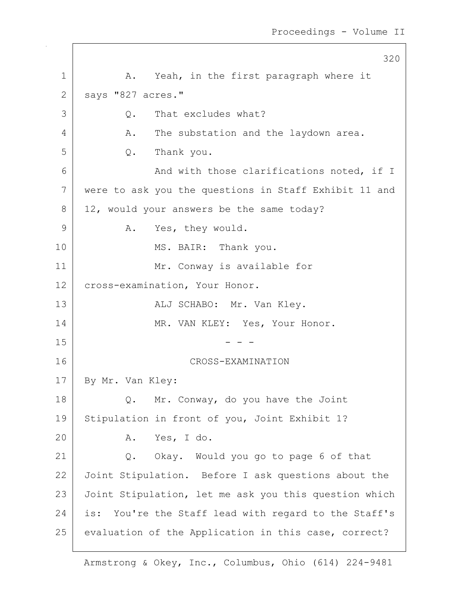320 1 | A. Yeah, in the first paragraph where it 2 | says "827 acres." 3 Q. That excludes what? 4 A. The substation and the laydown area. 5 Q. Thank you. 6 And with those clarifications noted, if I 7 were to ask you the questions in Staff Exhibit 11 and 8 12, would your answers be the same today? 9 A. Yes, they would. 10 MS. BAIR: Thank you. 11 Mr. Conway is available for 12 | cross-examination, Your Honor. 13 | RESORT ALJ SCHABO: Mr. Van Kley. 14 MR. VAN KLEY: Yes, Your Honor.  $15$  - - -16 CROSS-EXAMINATION 17 By Mr. Van Kley: 18 Q. Mr. Conway, do you have the Joint 19 Stipulation in front of you, Joint Exhibit 1? 20 A. Yes, I do. 21 Q. Okay. Would you go to page 6 of that 22 Joint Stipulation. Before I ask questions about the 23 Joint Stipulation, let me ask you this question which 24 is: You're the Staff lead with regard to the Staff's 25 | evaluation of the Application in this case, correct?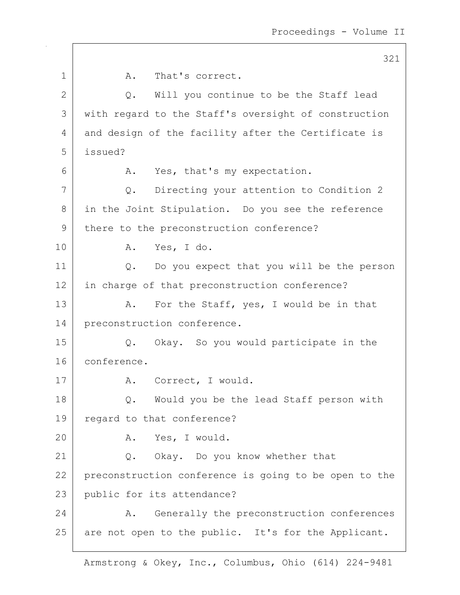321 1 A. That's correct.  $2$  Q. Will you continue to be the Staff lead 3 with regard to the Staff's oversight of construction 4 and design of the facility after the Certificate is 5 issued? 6 A. Yes, that's my expectation. 7 Q. Directing your attention to Condition 2 8 in the Joint Stipulation. Do you see the reference 9 there to the preconstruction conference? 10 A. Yes, I do. 11 | Q. Do you expect that you will be the person 12 in charge of that preconstruction conference? 13 A. For the Staff, yes, I would be in that 14 preconstruction conference. 15 Q. Okay. So you would participate in the 16 conference. 17 | A. Correct, I would. 18 Q. Would you be the lead Staff person with 19 | regard to that conference? 20 A. Yes, I would. 21 Q. Okay. Do you know whether that 22 preconstruction conference is going to be open to the 23 public for its attendance? 24 A. Generally the preconstruction conferences 25 are not open to the public. It's for the Applicant.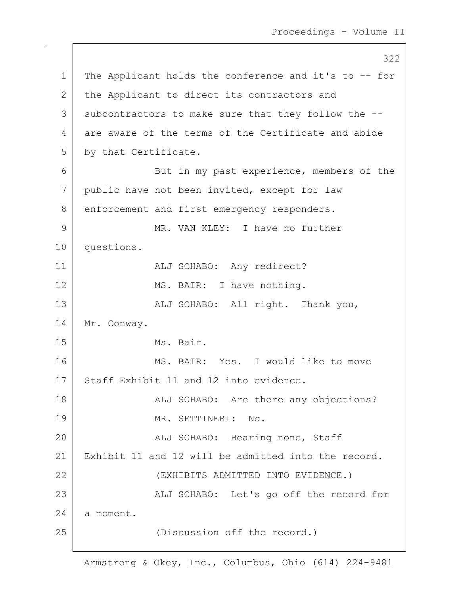322 1 | The Applicant holds the conference and it's to -- for 2 the Applicant to direct its contractors and 3 subcontractors to make sure that they follow the --4 are aware of the terms of the Certificate and abide 5 by that Certificate. 6 | But in my past experience, members of the 7 public have not been invited, except for law 8 enforcement and first emergency responders. 9 MR. VAN KLEY: I have no further 10 questions. 11 | ALJ SCHABO: Any redirect? 12 MS. BAIR: I have nothing. 13 | ALJ SCHABO: All right. Thank you, 14 Mr. Conway. 15 Ms. Bair. 16 MS. BAIR: Yes. I would like to move 17 Staff Exhibit 11 and 12 into evidence. 18 | ALJ SCHABO: Are there any objections? 19 MR. SETTINERI: No. 20 | REALJ SCHABO: Hearing none, Staff 21 Exhibit 11 and 12 will be admitted into the record. 22 (EXHIBITS ADMITTED INTO EVIDENCE.) 23 | ALJ SCHABO: Let's go off the record for 24 a moment. 25 (Discussion off the record.)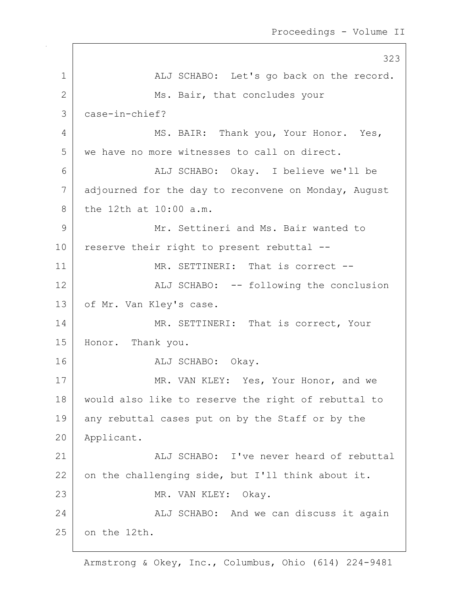323 1 | ALJ SCHABO: Let's go back on the record. 2 Ms. Bair, that concludes your 3 case-in-chief? 4 MS. BAIR: Thank you, Your Honor. Yes, 5 we have no more witnesses to call on direct. 6 ALJ SCHABO: Okay. I believe we'll be 7 adjourned for the day to reconvene on Monday, August 8 the 12th at 10:00 a.m. 9 Mr. Settineri and Ms. Bair wanted to  $10$  reserve their right to present rebuttal  $-$ 11 MR. SETTINERI: That is correct --12 | ALJ SCHABO: -- following the conclusion 13 of Mr. Van Kley's case. 14 MR. SETTINERI: That is correct, Your 15 Honor. Thank you. 16 ALJ SCHABO: Okay. 17 MR. VAN KLEY: Yes, Your Honor, and we 18 would also like to reserve the right of rebuttal to 19 any rebuttal cases put on by the Staff or by the 20 Applicant. 21 ALJ SCHABO: I've never heard of rebuttal 22 on the challenging side, but I'll think about it. 23 | MR. VAN KLEY: Okay. 24 ALJ SCHABO: And we can discuss it again 25 on the 12th.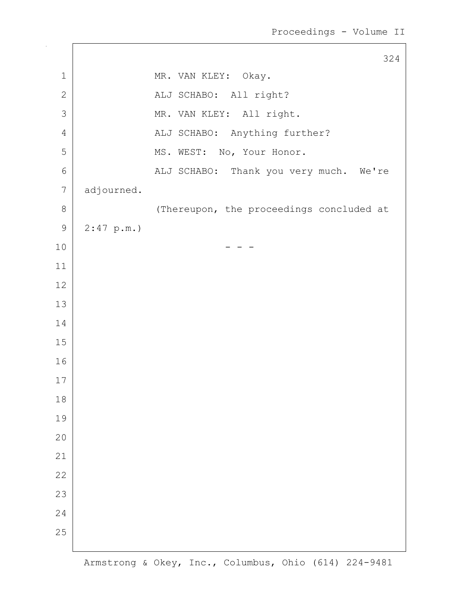|                  |            | 324                                      |
|------------------|------------|------------------------------------------|
| $\mathbf 1$      |            | MR. VAN KLEY: Okay.                      |
| $\mathbf{2}$     |            | ALJ SCHABO: All right?                   |
| $\mathcal{S}$    |            | MR. VAN KLEY: All right.                 |
| $\overline{4}$   |            | ALJ SCHABO: Anything further?            |
| 5                |            | MS. WEST: No, Your Honor.                |
| $\epsilon$       |            | ALJ SCHABO: Thank you very much. We're   |
| $\boldsymbol{7}$ | adjourned. |                                          |
| $\,8\,$          |            | (Thereupon, the proceedings concluded at |
| $\mathsf 9$      | 2:47 p.m.  |                                          |
| $10$             |            |                                          |
| $11\,$           |            |                                          |
| $12$             |            |                                          |
| 13               |            |                                          |
| 14               |            |                                          |
| 15               |            |                                          |
| 16               |            |                                          |
| 17               |            |                                          |
| $1\,8$           |            |                                          |
| 19               |            |                                          |
| 20               |            |                                          |
| 21               |            |                                          |
| 22               |            |                                          |
| 23               |            |                                          |
| 24               |            |                                          |
| 25               |            |                                          |
|                  |            |                                          |

 $\sqrt{2}$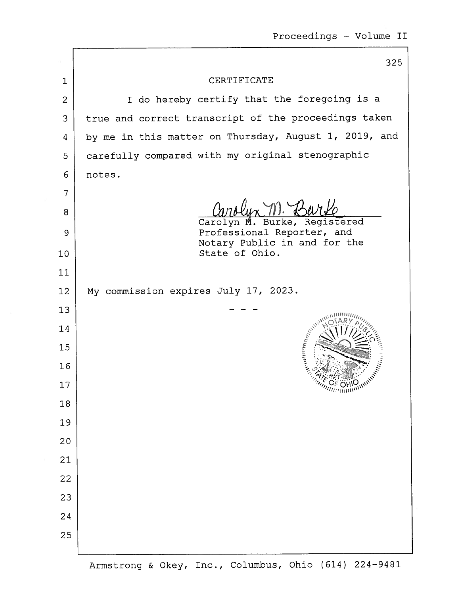|                | 325                                                                   |  |
|----------------|-----------------------------------------------------------------------|--|
| 1              | CERTIFICATE                                                           |  |
| $\overline{2}$ | I do hereby certify that the foregoing is a                           |  |
| 3              | true and correct transcript of the proceedings taken                  |  |
| 4              | by me in this matter on Thursday, August 1, 2019, and                 |  |
| 5              | carefully compared with my original stenographic                      |  |
| 6              | notes.                                                                |  |
| 7              |                                                                       |  |
| 8              | Carolyn M. Burke, Registered                                          |  |
| 9              | Professional Reporter, and                                            |  |
| 10             | Notary Public in and for the<br>State of Ohio.                        |  |
| 11             |                                                                       |  |
| 12             | My commission expires July 17, 2023.                                  |  |
| 13             |                                                                       |  |
| 14             | $\mathcal{N}_{\mathcal{M}_{\mathcal{A}_{\mathcal{A}_{\mathcal{A}}}}}$ |  |
| 15             |                                                                       |  |
| 16             | <b>Manu</b>                                                           |  |
| 17             | <b>THILITION SHOW</b>                                                 |  |
| 18             |                                                                       |  |
| 19             |                                                                       |  |
| 20             |                                                                       |  |
| 21             |                                                                       |  |
| 22             |                                                                       |  |
| 23             |                                                                       |  |
| 24             |                                                                       |  |
| 25             |                                                                       |  |
|                |                                                                       |  |